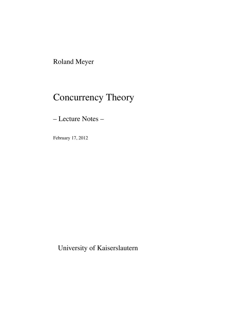Roland Meyer

# Concurrency Theory

– Lecture Notes –

February 17, 2012

University of Kaiserslautern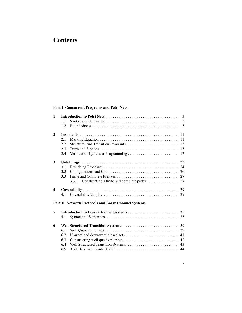## **Contents**

#### Part I Concurrent Programs and Petri Nets

| $\mathbf{1}$            | 3   |                                                     |    |  |  |
|-------------------------|-----|-----------------------------------------------------|----|--|--|
|                         | 1.1 |                                                     | 3  |  |  |
|                         | 1.2 |                                                     | 5  |  |  |
| $\mathbf{2}$            | 11  |                                                     |    |  |  |
|                         | 2.1 |                                                     | 11 |  |  |
|                         | 2.2 | Structural and Transition Invariants                | 13 |  |  |
|                         | 2.3 |                                                     | 15 |  |  |
|                         | 2.4 |                                                     | 17 |  |  |
| 3                       | 23  |                                                     |    |  |  |
|                         | 3.1 |                                                     | 24 |  |  |
|                         | 3.2 |                                                     | 26 |  |  |
|                         | 3.3 |                                                     | 27 |  |  |
|                         |     | 3.3.1<br>Constructing a finite and complete prefix  | 27 |  |  |
| $\overline{\mathbf{4}}$ | 29  |                                                     |    |  |  |
|                         | 4.1 |                                                     | 29 |  |  |
|                         |     | Part II Network Protocols and Lossy Channel Systems |    |  |  |
| 5                       |     |                                                     |    |  |  |
|                         | 5.1 |                                                     | 35 |  |  |
| 6                       | 39  |                                                     |    |  |  |
|                         | 6.1 |                                                     | 39 |  |  |
|                         | 6.2 |                                                     | 41 |  |  |
|                         | 6.3 |                                                     | 42 |  |  |
|                         | 6.4 | Well Structured Transition Systems                  | 43 |  |  |
|                         | 6.5 |                                                     | 44 |  |  |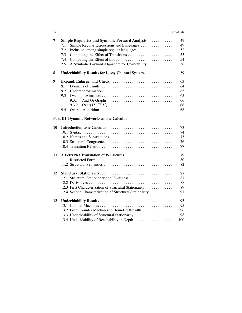| 7  | <b>Simple Regularity and Symbolic Forward Analysis </b> | 49 |  |  |  |
|----|---------------------------------------------------------|----|--|--|--|
|    | Simple Regular Expressions and Languages<br>7.1         | 49 |  |  |  |
|    | 7.2                                                     | 52 |  |  |  |
|    | 7.3                                                     | 53 |  |  |  |
|    | 7.4                                                     | 54 |  |  |  |
|    | A Symbolic Forward Algorithm for Coverability<br>7.5    | 56 |  |  |  |
| 8  | Undecidability Results for Lossy Channel Systems        | 59 |  |  |  |
| 9  |                                                         | 63 |  |  |  |
|    | 9.1                                                     | 64 |  |  |  |
|    | 9.2                                                     | 65 |  |  |  |
|    | 9.3                                                     | 65 |  |  |  |
|    | 9.3.1                                                   | 66 |  |  |  |
|    | 9.3.2                                                   | 66 |  |  |  |
|    | 9.4                                                     | 68 |  |  |  |
|    | Part III Dynamic Networks and $\pi$ -Calculus           |    |  |  |  |
| 10 |                                                         | 73 |  |  |  |
|    |                                                         | 74 |  |  |  |
|    |                                                         | 75 |  |  |  |
|    |                                                         | 76 |  |  |  |
|    |                                                         | 77 |  |  |  |
| 11 |                                                         | 79 |  |  |  |
|    |                                                         | 80 |  |  |  |
|    |                                                         | 82 |  |  |  |
| 12 |                                                         | 87 |  |  |  |
|    | 12.1 Structural Stationarity and Finiteness             | 87 |  |  |  |
|    |                                                         | 88 |  |  |  |
|    | 12.3 First Characterization of Structural Stationarity  | 89 |  |  |  |
|    | 12.4 Second Characterization of Structural Stationarity | 91 |  |  |  |
| 13 |                                                         |    |  |  |  |
|    |                                                         | 95 |  |  |  |
|    | 13.2 From Counter Machines to Bounded Breadth           | 96 |  |  |  |
|    | 13.3 Undecidability of Structural Stationarity          | 98 |  |  |  |

13.4 Undecidability of Reachability in Depth 1 . . . . . . . . . . . . . . . . . . . . . . 100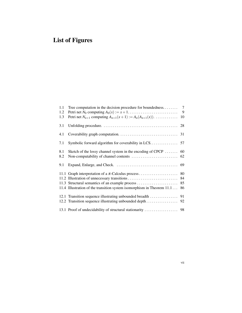## List of Figures

| 1.1 | $\tau$<br>Tree computation in the decision procedure for boundedness                        |    |  |
|-----|---------------------------------------------------------------------------------------------|----|--|
| 1.2 | Petri net $N_0$ computing $A_0(x) := x + 1, \ldots, \ldots, \ldots, \ldots, \ldots, \ldots$ | 9  |  |
| 1.3 | Petri net $N_{n+1}$ computing $A_{n+1}(x+1) := A_n(A_{n+1}(x))$ .                           | 10 |  |
| 3.1 |                                                                                             | 28 |  |
| 4.1 |                                                                                             | 31 |  |
| 7.1 |                                                                                             |    |  |
| 8.1 | Sketch of the lossy channel system in the encoding of CPCP $\dots\dots$                     | 60 |  |
| 8.2 |                                                                                             | 62 |  |
| 9.1 |                                                                                             | 69 |  |
|     |                                                                                             | 80 |  |
|     |                                                                                             | 84 |  |
|     | 11.3 Structural semantics of an example process                                             | 85 |  |
|     | 11.4 Illustration of the transition system isomorphism in Theorem 11.1                      | 86 |  |
|     | 12.1 Transition sequence illustrating unbounded breadth                                     | 91 |  |
|     | 12.2 Transition sequence illustrating unbounded depth                                       | 92 |  |
|     |                                                                                             |    |  |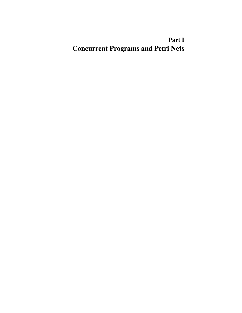## Part I Concurrent Programs and Petri Nets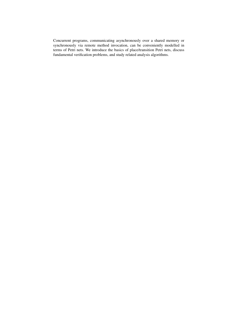Concurrent programs, communicating asynchronously over a shared memory or synchronously via remote method invocation, can be conveniently modelled in terms of Petri nets. We introduce the basics of place/transition Petri nets, discuss fundamental verification problems, and study related analysis algorithms.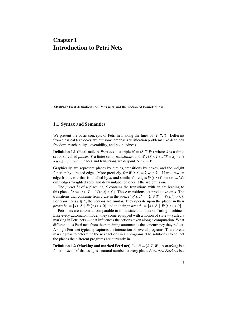### Chapter 1 Introduction to Petri Nets

Abstract First definitions on Petri nets and the notion of boundedness.

#### 1.1 Syntax and Semantics

We present the basic concepts of Petri nets along the lines of [?, ?, ?]. Different from classical textbooks, we put some emphasis verification problems like deadlock freedom, reachability, coverability, and boundedness.

**Definition 1.1 (Petri net).** A *Petri net* is a triple  $N = (S, T, W)$  where *S* is a finite set of so-called *places*, *T* a finite set of *transitions*, and  $W : (S \times T) \cup (T \times S) \rightarrow \mathbb{N}$ a *weight function*. Places and transitions are disjoint,  $S \cap T = \emptyset$ .

Graphically, we represent places by circles, transitions by boxes, and the weight function by directed edges. More precisely, for  $W(s,t) = k$  with  $k \in \mathbb{N}$  we draw an edge from *s* to *t* that is labelled by *k*, and similar for edges  $W(t, s)$  from *t* to *s*. We omit edges weighted zero, and draw unlabelled ones if the weight is one.

The *preset* • *s* of a place  $s \in S$  contains the transitions with an arc leading to this place,  $\bullet s := \{t \in T \mid W(t, s) > 0\}$ . Those transitions act productive on *s*. The transitions that consume from *s* are in the *postset of s*,  $s^{\bullet} := \{t \in T \mid W(s,t) > 0\}.$ For transitions  $t \in T$ , the notions are similar. They operate upon the places in their *preset* •  $t := \{ s \in S \mid W(s,t) > 0 \}$  and in their *postset*  $t^{\bullet} := \{ s \in S \mid W(t,s) > 0 \}.$ 

Petri nets are automata comparable to finite state automata or Turing machines. Like every automaton model, they come equipped with a notion of state — called a marking in Petri nets — that influences the actions taken along a computation. What differentiates Petri nets from the remaining automata is the concurrency they reflect. A single Petri net typically captures the interaction of several programs. Therefore, a marking has to determine the next actions in all programs. The solution is to collect the places the different programs are currently in.

**Definition 1.2 (Marking and marked Petri net).** Let  $N = (S, T, W)$ . A *marking* is a function  $M \in \mathbb{N}^S$  that assigns a natural number to every place. A *marked Petri net* is a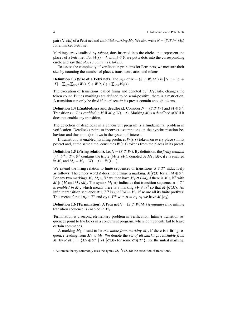pair  $(N, M_0)$  of a Petri net and an *initial marking*  $M_0$ . We also write  $N = (S, T, W, M_0)$ for a marked Petri net.

Markings are visualised by *tokens*, dots inserted into the circles that represent the places of a Petri net. For  $M(s) = k$  with  $k \in \mathbb{N}$  we put k dots into the corresponding circle and say that *place s contains k tokens*.

To assess the complexity of verification problems for Petri nets, we measure their size by counting the number of places, transitions, arcs, and tokens.

**Definition 1.3 (Size of a Petri net).** The *size* of  $N = (S, T, W, M_0)$  is  $||N|| := |S| +$  $|T| + \sum_{s \in S} \sum_{t \in T} (W(s,t) + W(t,s)) + \sum_{s \in S} M_0(s).$ 

The execution of transitions, called firing and denoted by  $^1$   $M_1[t/M_2]$ , changes the token count. But as markings are defined to be semi-positive, there is a restriction. A transition can only be fired if the places in its preset contain enough tokens.

**Definition 1.4 (Enabledness and deadlock).** Consider  $N = (S, T, W)$  and  $M \in \mathbb{N}^S$ . Transition *t* ∈ *T* is *enabled in M* if *M* ≥ *W*(−,*t*). Marking *M* is a *deadlock of N* if it does not enable any transition.

The detection of deadlocks in a concurrent program is a fundamental problem in verification. Deadlocks point to incorrect assumptions on the synchronisation behaviour and thus to major flaws in the system of interest.

If transition *t* is enabled, its firing produces  $W(t, s)$  tokens on every place *s* in its postset and, at the same time, consumes  $W(s,t)$  tokens from the places in its preset.

**Definition 1.5 (Firing relation).** Let  $N = (S, T, W)$ . By definition, the *firing relation*  $[\n\} \subseteq \mathbb{N}^S \times T \times \mathbb{N}^S$  contains the triple  $(M_1, t, M_2)$ , denoted by  $M_1[t \setminus M_2]$ , if *t* is enabled in *M*<sub>1</sub> and *M*<sub>2</sub> = *M*<sub>1</sub> − *W*(−,*t*) + *W*(*t*,−).

We extend the firing relation to finite sequences of transitions  $\sigma \in T^*$  inductively as follows. The empty word  $\varepsilon$  does not change a marking,  $M[\varepsilon\rangle M$  for all  $M \in \mathbb{N}^{\tilde{S}}$ . For any two markings  $M_1, M_2 \in \mathbb{N}^S$  we then have  $M_1[\sigma.t M_2]$  if there is  $M \in \mathbb{N}^S$  with  $M_1[\sigma/M]$  and  $M[t/M_2]$ . The syntax  $M_1[\sigma)$  indicates that transition sequence  $\sigma \in T^*$ is *enabled in*  $M_1$ , which means there is a marking  $M_2 \in \mathbb{N}^S$  so that  $M_1[\sigma/M_2]$ . An infinite transition sequence  $\sigma \in T^{\omega}$  is *enabled in*  $M_1$ , if so are all its finite prefixes. This means for all  $\sigma_a \in T^*$  and  $\sigma_b \in T^{\omega}$  with  $\sigma = \sigma_a \cdot \sigma_b$  we have  $M_1[\sigma_a)$ .

**Definition 1.6 (Termination).** A Petri net  $N = (S, T, W, M_0)$  *terminates* if no infinite transition sequence is enabled in  $M_0$ .

Termination is a second elementary problem in verification. Infinite transition sequences point to livelocks in a concurrent program, where components fail to leave certain commands.

A marking  $M_2$  is said to be *reachable from marking*  $M_1$ , if there is a firing sequence leading from *M*<sup>1</sup> to *M*2. We denote the *set of all markings reachable from*  $M_1$  by  $R(M_1) := \{M_2 \in \mathbb{N}^S \mid M_1[\sigma/M_2 \text{ for some } \sigma \in T^*\}.$  For the initial marking,

<sup>&</sup>lt;sup>1</sup> Automata theory commonly uses the syntax  $M_1 \stackrel{t}{\rightarrow} M_2$  for the execution of transitions.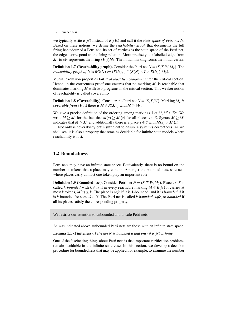#### 1.2 Boundedness 5

we typically write  $R(N)$  instead of  $R(M_0)$  and call it the *state space of Petri net* N. Based on these notions, we define the *reachability graph* that documents the full firing behaviour of a Petri net. Its set of vertices is the state space of the Petri net, the edges correspond to the firing relation. More precisely, a *t*-labelled edge from  $M_1$  to  $M_2$  represents the firing  $M_1[t\rangle M_2$ . The initial marking forms the initial vertex.

**Definition 1.7 (Reachability graph).** Consider the Petri net  $N = (S, T, W, M_0)$ . The *reachability graph of N* is  $RG(N) := (R(N), \{ \} \cap (R(N) \times T \times R(N)), M_0).$ 

Mutual exclusion properties fail if *at least two programs* enter the critical section. Hence, in the correctness proof one ensures that no marking  $M'$  is reachable that dominates marking *M* with two programs in the critical section. This weaker notion of reachability is called coverability.

**Definition 1.8 (Coverability).** Consider the Petri net  $N = (S, T, W)$ . Marking  $M_2$  is *coverable from*  $M_1$ , if there is  $M \in R(M_1)$  with  $M \geq M_2$ .

We give a precise definition of the ordering among markings. Let  $M, M' \in \mathbb{N}^S$ . We write  $M \ge M'$  for the fact that  $M(s) \ge M'(s)$  for all places  $s \in S$ . Syntax  $M \ge M'$ indicates that  $M \ge M'$  and additionally there is a place  $s \in S$  with  $M(s) > M'(s)$ .

Not only is coverability often sufficient to ensure a system's correctness. As we shall see, it is also a property that remains decidable for infinite state models where reachability is lost.

#### 1.2 Boundedness

Petri nets may have an infinite state space. Equivalently, there is no bound on the number of tokens that a place may contain. Amongst the bounded nets, safe nets where places carry at most one token play an important role.

**Definition 1.9 (Boundedness).** Consider Petri net  $N = (S, T, W, M_0)$ . Place  $s \in S$  is called *k-bounded* with  $k \in \mathbb{N}$  if in every reachable marking  $M \in R(N)$  it carries at most *k* tokens,  $M(s) \leq k$ . The place is *safe* if it is 1-bounded, and it is *bounded* if it is *k*-bounded for some  $k \in \mathbb{N}$ . The Petri net is called *k*-bounded, *safe*, or *bounded* if all its places satisfy the corresponding property.

We restrict our attention to unbounded and to safe Petri nets.

As was indicated above, unbounded Petri nets are those with an infinite state space.

Lemma 1.1 (Finiteness). *Petri net N is bounded if and only if R*(*N*) *is finite.*

One of the fascinating things about Petri nets is that important verification problems remain decidable in the infinite state case. In this section, we develop a decision procedure for boundedness that may be applied, for example, to examine the number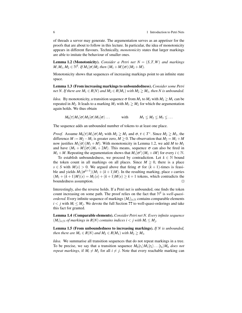of threads a server may generate. The argumentation serves as an appetiser for the proofs that are about to follow in this lecture. In particular, the idea of monotonicity appears in different flavours. Technically, *monotonicity* states that larger markings are able to imitate the behaviour of smaller ones.

**Lemma 1.2 (Monotonicity).** *Consider a Petri net*  $N = (S, T, W)$  *and markings*  $M, M_1, M_2 \in \mathbb{N}^S$ *. If*  $M_1[\sigma \rangle M_2$  *then*  $(M_1 + M)[\sigma \rangle (M_2 + M)$ *.* 

Monotonicity shows that sequences of increasing markings point to an infinite state space.

Lemma 1.3 (From increasing markings to unboundedness). *Consider some Petri net N. If there are*  $M_1 \in R(N)$  *and*  $M_2 \in R(M_1)$  *with*  $M_2 \geq M_1$ *, then* N *is unbounded.* 

*Idea.* By monotonicity, a transition sequence  $\sigma$  from  $M_1$  to  $M_2$  with  $M_2 \geq M_1$  can be repeated in  $M_2$ . It leads to a marking  $M_3$  with  $M_3 \ge M_2$  for which the argumentation again holds. We thus obtain

 $M_0[\tau \rangle M_1[\sigma \rangle M_2[\sigma \rangle M_3[\sigma \rangle \dots$  with  $M_1 \leq M_2 \leq M_3 \leq \dots$ 

The sequence adds an unbounded number of tokens to at least one place.

*Proof.* Assume  $M_0[\tau/M_1[\sigma/M_2 \text{ with } M_2 \ge M_1 \text{ and } \sigma, \tau \in T^*$ . Since  $M_2 \ge M_1$ , the difference  $M := M_2 - M_1$  is greater zero,  $M \geq 0$ . The observation that  $M_2 = M_1 + M_2$ now justifies  $M_1[\sigma\rangle(M_1 + M)$ . With monotonicity in Lemma 1.2, we add *M* to  $M_1$ and have  $(M_1 + M)(\sigma)(M_1 + 2M)$ . This means, sequence  $\sigma$  can also be fired in  $M_1 + M$ . Repeating the argumentation shows that  $M_1[\sigma^i\rangle(M_1 + iM)$  for every  $i \in \mathbb{N}$ .

To establish unboundedness, we proceed by contradiction. Let  $k \in \mathbb{N}$  bound the token count in all markings on all places. Since  $M \geq 0$ , there is a place  $s \in S$  with  $M(s) > 0$ . We argued above that firing  $\sigma$  for  $(k+1)$ -times is feasible and yields  $M_1[\sigma^{k+1}](M_1 + (k+1)M)$ . In the resulting marking, place *s* carries  $(M_1 + (k+1)M)(s) = M_1(s) + (k+1)M(s) \ge k+1$  tokens, which contradicts the boundedness assumption.  $\Box$ 

Interestingly, also the reverse holds. If a Petri net is unbounded, one finds the token count increasing on some path. The proof relies on the fact that  $\mathbb{N}^S$  is *well-quasiordered*. Every infinite sequence of markings  $(M_i)_{i \in \mathbb{N}}$  contains comparable elements  $i < j$  with  $M_i \leq M_j$ . We devote the full Section ?? to well-quasi-orderings and take this fact for granted.

Lemma 1.4 (Comparable elements). *Consider Petri net N. Every infinite sequence*  $(M_i)_{i \in \mathbb{N}}$  *of markings in*  $R(N)$  *contains indices i* < *j with*  $M_i \leq M_j$ *.* 

Lemma 1.5 (From unboundedness to increasing markings). *If N is unbounded, then there are*  $M_1 \in R(N)$  *and*  $M_2 \in R(M_1)$  *with*  $M_2 \geq M_1$ *.* 

*Idea.* We summarise all transition sequences that do not repeat markings in a tree. To be precise, we say that a transition sequence  $M_0[t_1/M_1[t_2)...[t_n/M_n]$  does not *repeat markings*, if  $M_i \neq M_j$  for all  $i \neq j$ . Note that every reachable marking can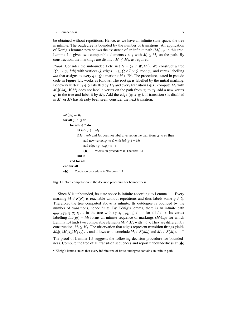#### 1.2 Boundedness 7

be obtained without repetitions. Hence, as we have an infinite state space, the tree is infinite. The outdegree is bounded by the number of transitions. An application of König's lemma<sup>2</sup> now shows the existence of an infinite path  $(M_i)_{i \in \mathbb{N}}$  in this tree. Lemma 1.4 gives two comparable elements  $i < j$  with  $M_i \leq M_j$  on the path. By construction, the markings are distinct,  $M_i \leq M_j$ , as required.

*Proof.* Consider the unbounded Petri net  $N = (S, T, W, M_0)$ . We construct a tree  $(Q, \rightarrow, q_0, lab)$  with vertices  $Q$ , edges  $\rightarrow \subseteq Q \times T \times Q$ , root  $q_0$ , and vertex labelling *lab* that assigns to every  $q \in Q$  a marking  $M \in \mathbb{N}^S$ . The procedure, stated in pseudo code in Figure 1.1, works as follows. The root  $q_0$  is labelled by the initial marking. For every vertex  $q_1 \in Q$  labelled by  $M_1$  and every transition  $t \in T$ , compute  $M_2$  with  $M_1[t/M_2]$ . If  $M_2$  does not label a vertex on the path from  $q_0$  to  $q_1$ , add a new vertex  $q_2$  to the tree and label it by  $M_2$ . Add the edge  $(q_1, t, q_2)$ . If transition *t* is disabled in *M*<sup>1</sup> or *M*<sup>2</sup> has already been seen, consider the next transition.

```
lab(q_0) = M_0for all q1 ∈ Q do
     for all t \in T do
          let lab(q_1) = M_1if M_1[t \mid M_2] and M_2 does not label a vertex on the path from q_0 to q_1 then
               add new vertex q_2 to Q with lab(q_2) = M_2add edge (q_1, t, q_2) to \rightarrow(♠) //decision procedure in Theorem 1.1
          end if
     end for all
end for all
(♣) //decision procedure in Theorem 1.1
```
Fig. 1.1 Tree computation in the decision procedure for boundedness.

Since *N* is unbounded, its state space is infinite according to Lemma 1.1. Every marking  $M \in R(N)$  is reachable without repetitions and thus labels some  $q \in Q$ . Therefore, the tree computed above is infinite. Its outdegree is bounded by the number of transitions, hence finite. By König's lemma, there is an infinite path  $q_0, t_1, q_1, t_2, q_2, t_3...$  in the tree with  $(q_i, t_{i+1}, q_{i+1}) \in \rightarrow$  for all  $i \in \mathbb{N}$ . Its vertex labelling  $lab(q_i) = M_i$  forms an infinite sequence of markings  $(M_i)_{i \in \mathbb{N}}$  for which Lemma 1.4 finds two comparable elements  $M_i \leq M_j$  with  $i < j$ . They are different by construction,  $M_i \leq M_j$ . The observation that edges represent transition firings yields  $M_0[t_1\}M_1[t_2\}M_2[t_3\}...$  and allows us to conclude  $M_i \in R(M_0)$  and  $M_i \in R(M_i).$ 

The proof of Lemma 1.5 suggests the following decision procedure for boundedness. Compute the tree of all transition sequences and report unboundedness at (♦)

 $2$  König's lemma states that every infinite tree of finite outdegree contains an infinite path.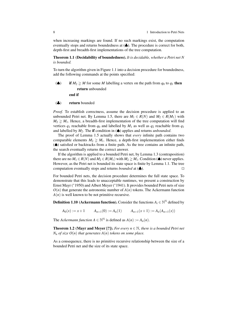when increasing markings are found. If no such markings exist, the computation eventually stops and returns boundedness at (♣). The procedure is correct for both, depth-first and breadth-first implementations of the tree computation.

Theorem 1.1 (Decidability of boundedness). *It is decidable, whether a Petri net N is bounded.*

To turn the algorithm given in Figure 1.1 into a decision procedure for boundedness, add the following commands at the points specified:

- ( $\spadesuit$ ) if  $M_2 \geq M$  for some *M* labelling a vertex on the path from  $q_0$  to  $q_1$  then return unbounded end if
- (♣) return bounded

*Proof.* To establish correctness, assume the decision procedure is applied to an unbounded Petri net. By Lemma 1.5, there are  $M_1 \in R(N)$  and  $M_2 \in R(M_1)$  with  $M_2 \geq M_1$ . Hence, a breadth-first implementation of the tree computation will find vertices  $q_1$  reachable from  $q_0$  and labelled by  $M_1$  as well as  $q_2$  reachable from  $q_1$ and labelled by *M*2. The if condition in (♠) applies and returns *unbounded*.

The proof of Lemma 1.5 actually shows that *every* infinite path contains two comparable elements  $M_2 \geq M_1$ . Hence, a depth-first implementation either finds (♠) satisfied or backtracks from a finite path. As the tree contains an infinite path, the search eventually returns the correct answer.

If the algorithm is applied to a bounded Petri net, by Lemma 1.3 (contraposition) there are no  $M_1 \in R(N)$  and  $M_2 \in R(M_1)$  with  $M_2 \geq M_1$ . Condition ( $\spadesuit$ ) never applies. However, as the Petri net is bounded its state space is finite by Lemma 1.1. The tree computation eventually stops and returns *bounded* at  $(\clubsuit)$ .

For bounded Petri nets, the decision procedure determines the full state space. To demonstrate that this leads to unacceptable runtimes, we present a construction by Ernst Mayr (∗1950) and Albert Meyer (∗1941). It provides bounded Petri nets of size  $O(n)$  that generate the astronomic number of  $A(n)$  tokens. The Ackermann function  $A(n)$  is well known to be not primitive recursive.

**Definition 1.10 (Ackermann function).** Consider the functions  $A_i \in \mathbb{N}^{\mathbb{N}}$  defined by

 $A_0(x) := x + 1$   $A_{n+1}(0) := A_n(1)$   $A_{n+1}(x+1) := A_n(A_{n+1}(x))$ 

The *Ackermann function*  $A \in \mathbb{N}^{\mathbb{N}}$  is defined as  $A(n) := A_n(n)$ .

**Theorem 1.2 (Mayr and Meyer [?]).** *For every n*  $\in \mathbb{N}$ *, there is a bounded Petri net*  $N_n$  *of size*  $O(n)$  *that generates*  $A(n)$  *tokens on some place.* 

As a consequence, there is no primitive recursive relationship between the size of a bounded Petri net and the size of its state space.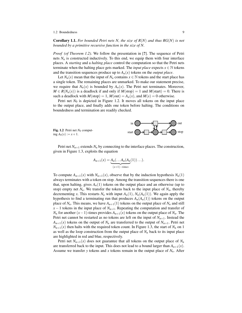#### 1.2 Boundedness 9

Corollary 1.1. *For bounded Petri nets N, the size of R*(*N*) *and thus RG*(*N*) *is not bounded by a primitive recursive function in the size of N.*

*Proof (of Theorem 1.2).* We follow the presentation in [?]. The sequence of Petri nets  $N_n$  is constructed inductively. To this end, we equip them with four interface places. A *starting* and a *halting place* control the computation so that the Petri nets terminate when the halting place gets marked. The *input place* expects  $x \in \mathbb{N}$  tokens and the transition sequences produce up to  $A_n(x)$  tokens on the *output place*.

Let  $N_n(x)$  mean that the input of  $N_n$  contains  $x \in \mathbb{N}$  tokens and the start place has a single token. The remaining places are unmarked. To make our statement precise, we require that  $N_n(x)$  is bounded by  $A_n(x)$ . The Petri net terminates. Moreover,  $M \in R(N_n(x))$  is a deadlock if and only if  $M(\text{stop}) = 1$  and  $M(\text{start}) = 0$ . There is such a deadlock with  $M(\text{stop}) = 1, M(\text{out}) = A_n(x)$ , and  $M(s) = 0$  otherwise.

Petri net  $N_0$  is depicted in Figure 1.2. It moves all tokens on the input place to the output place, and finally adds one token before halting. The conditions on boundedness and termination are readily checked.



Petri net  $N_{n+1}$  extends  $N_n$  by connecting to the interface places. The construction, given in Figure 1.3, exploits the equation

$$
A_{n+1}(x) = \underbrace{A_n(\ldots A_n(A_n(1))\ldots)}_{(x+1)-times}.
$$

To compute  $A_{n+1}(x)$  with  $N_{n+1}(x)$ , observe that by the induction hypothesis  $N_n(1)$ always terminates with a token on stop. Among the transition sequences there is one that, upon halting, gives  $A_n(1)$  tokens on the output place and an otherwise (up to stop) empty net  $N_n$ . We transfer the tokens back to the input place of  $N_n$ , thereby decrementing *x*. This restarts  $N_n$  with input  $A_n(1)$ ,  $N_n(A_n(1))$ . We again apply the hypothesis to find a terminating run that produces  $A_n(A_n(1))$  tokens on the output place of  $N_n$ . This means, we have  $A_{n+1}(1)$  tokens on the output place of  $N_n$  and still  $x - 1$  tokens in the input place of  $N_{n+1}$ . Repeating the computation and transfer of *N<sub>n</sub>* for another  $(x-1)$ -times provides  $A_{n+1}(x)$  tokens on the output place of  $N_n$ . The Petri net cannot be restarted as no tokens are left on the input of  $N_{n+1}$ . Instead the  $A_{n+1}(x)$  tokens on the output of  $N_n$  are transferred to the output of  $N_{n+1}$ . Petri net  $N_{n+1}(x)$  then halts with the required token count. In Figure 1.3, the start of  $N_n$  on 1 as well as the loop construction from the output place of  $N<sub>n</sub>$  back to its input place are highlighted in red and blue, respectively.

Petri net  $N_{n+1}(x)$  does not guarantee that all tokens on the output place of  $N_n$ are transferred back to the input. This does not lead to a bound larger than  $A_{n+1}(x)$ . Assume we transfer *y* tokens and *x* tokens remain in the output place of  $N<sub>n</sub>$ . After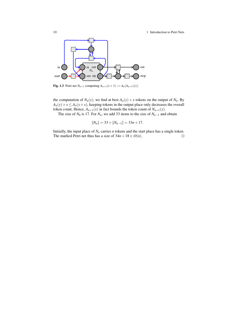10 10 1 Introduction to Petri Nets



**Fig. 1.3** Petri net  $N_{n+1}$  computing  $A_{n+1}(x+1) := A_n(A_{n+1}(x)).$ 

the computation of  $N_n(y)$ , we find at best  $A_n(y) + x$  tokens on the output of  $N_n$ . By  $A_n(y) + x \leq A_n(y + x)$ , keeping tokens in the output place only decreases the overall token count. Hence,  $A_{n+1}(x)$  in fact bounds the token count of  $N_{n+1}(x)$ .

The size of  $N_0$  is 17. For  $N_n$ , we add 33 items to the size of  $N_{n-1}$  and obtain

$$
||N_n|| = 33 + ||N_{n-1}|| = 33n + 17.
$$

Initially, the input place of  $N<sub>n</sub>$  carries  $n$  tokens and the start place has a single token. The marked Petri net thus has a size of  $34n + 18 \in O(n)$ .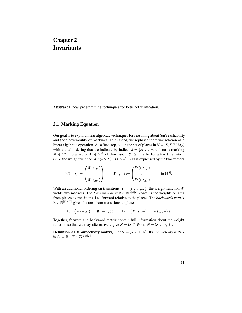## Chapter 2 Invariants

Abstract Linear programming techniques for Petri net verification.

#### 2.1 Marking Equation

Our goal is to exploit linear algebraic techniques for reasoning about (un)reachability and (non)coverability of markings. To this end, we rephrase the firing relation as a linear algebraic operation. As a first step, equip the set of places in  $N = (S, T, W, M_0)$ with a total ordering that we indicate by indices  $S = \{s_1, \ldots, s_n\}$ . It turns marking  $M \in \mathbb{N}^S$  into a vector  $M \in \mathbb{N}^{|S|}$  of dimension |*S*|. Similarly, for a fixed transition *t* ∈ *T* the weight function *W* :  $(S \times T) \cup (T \times S) \rightarrow \mathbb{N}$  is expressed by the two vectors

$$
W(-,t) := \begin{pmatrix} W(s_1,t) \\ \vdots \\ W(s_n,t) \end{pmatrix} \qquad W(t,-) := \begin{pmatrix} W(t,s_1) \\ \vdots \\ W(t,s_n) \end{pmatrix} \qquad \text{in } \mathbb{N}^{|S|}.
$$

With an additional ordering on transitions,  $T = \{t_1, \ldots, t_m\}$ , the weight function *W* yields two matrices. The *forward matrix*  $\mathbb{F} \in \mathbb{N}^{|\hat{S}| \times |T|}$  contains the weights on arcs from places to transitions, i.e., forward relative to the places. The *backwards matrix*  $\mathbb{B} \in \mathbb{N}^{|S| \times |T|}$  gives the arcs from transitions to places:

$$
\mathbb{F}:=\big(W(-,t_1)\ldots W(-,t_m)\big)\qquad \mathbb{B}:=\big(W(t_1,-)\ldots W(t_m,-)\big).
$$

Together, forward and backward matrix contain full information about the weight function so that we may alternatively give  $N = (S, T, W)$  as  $N = (S, T, \mathbb{F}, \mathbb{B})$ .

**Definition 2.1 (Connectivity matrix).** Let  $N = (S, T, \mathbb{F}, \mathbb{B})$ . Its *connectivity matrix* is  $\mathbb{C} := \mathbb{B} - \mathbb{F} \in \mathbb{Z}^{|S| \times |T|}$ .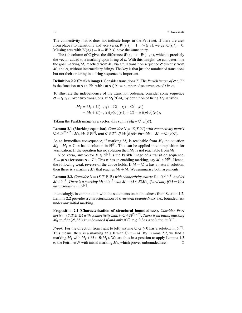The connectivity matrix does not indicate loops in the Petri net. If there are arcs from place *s* to transition *t* and vice versa,  $W(s,t) = 1 = W(t,s)$ , we get  $\mathbb{C}(s,t) = 0$ . Missing arcs with  $W(s,t) = 0 = W(t,s)$  have the same entry.

The *i*-th column of  $\mathbb C$  gives the difference  $W(t_i, -) - W(-, t_i)$ , which is precisely the vector added to a marking upon firing of  $t_i$ . With this insight, we can determine the goal marking  $M_2$  reached from  $M_1$  via a full transition sequence  $\sigma$  directly from  $M_1$  and  $\sigma$ , without intermediary firings. The key is that just the number of transitions but not their ordering in a firing sequence is important.

**Definition 2.2 (Parikh image).** Consider transitions *T*. The *Parikh image of*  $\sigma \in T^*$ is the function  $p(\sigma) \in \mathbb{N}^T$  with  $(p(\sigma))(t) =$  number of occurrences of *t* in  $\sigma$ .

To illustrate the independence of the transition ordering, consider some sequence  $\sigma = t_1 \cdot t_2 \cdot t_1$  over two transitions. If  $M_1[\sigma M_2]$  by definition of firing  $M_2$  satisfies

$$
M_2 = M_1 + \mathbb{C}(-,t_1) + \mathbb{C}(-,t_2) + \mathbb{C}(-,t_1)
$$
  
=  $M_1 + \mathbb{C}(-,t_1)(p(\sigma)(t_1)) + \mathbb{C}(-,t_2)(p(\sigma)(t_2)).$ 

Taking the Parikh image as a vector, this sum is  $M_0 + \mathbb{C} \cdot p(\sigma)$ .

**Lemma 2.1 (Marking equation).** *Consider N* =  $(S, T, W)$  *with connectivity matrix*  $\mathbb{C} \in \mathbb{N}^{|S| \times |T|}$ ,  $M_1, M_2 \in \mathbb{N}^{|S|}$ , and  $\sigma \in T^*$ . If  $M_1[\sigma \rangle M_2$  then  $M_2 = M_1 + \mathbb{C} \cdot p(\sigma)$ .

As an immediate consequence, if marking  $M_2$  is reachable from  $M_1$  the equation  $M_2 - M_1 = \mathbb{C} \cdot x$  has a solution in  $\mathbb{N}^{|T|}$ . This can be applied in contraposition for verification. If the equation has no solution then  $M_2$  is not reachable from  $M_1$ .

Vice versa, any vector  $K \in \mathbb{N}^{|T|}$  is the Parikh image of a transition sequence,  $K = p(\sigma)$  for some  $\sigma \in T^*$ . This  $\sigma$  has an enabling marking, say  $M_1 \in \mathbb{N}^{|S|}$ . Hence, the following weak reverse of the above holds. If  $M = \mathbb{C} \cdot x$  has a natural solution, then there is a marking  $M_1$  that reaches  $M_1 + M$ . We summarise both arguments.

**Lemma 2.2.** *Consider*  $N = (S, T, \mathbb{F}, \mathbb{B})$  *with connectivity matrix*  $\mathbb{C} \in \mathbb{N}^{|S| \times |T|}$  *and let*  $M\in \mathbb{N}^{|\mathcal{S}|}$  . There is a marking  $M_1\in \mathbb{N}^{|\mathcal{S}|}$  with  $M_1+M\in R(M_1)$  if and only if  $M=\mathbb{C}\cdot x$ *has a solution in*  $\mathbb{N}^{|T|}$ *.* 

Interestingly, in combination with the statements on boundedness from Section 1.2, Lemma 2.2 provides a characterisation of *structural boundedness*, i.e., boundedness under any initial marking.

Proposition 2.1 (Characterisation of structural boundedness). *Consider Petri*  $\mathcal{M} = (S, T, \mathbb{F}, \mathbb{B})$  with connectivity matrix  $\mathbb{C} \in \mathbb{N}^{|S|\times |T|}$  . There is an initial marking *M*<sub>0</sub> *so that*  $(N, M_0)$  *is unbounded if and only if*  $\mathbb{C} \cdot x \ge 0$  *has a solution in*  $\mathbb{N}^{|T|}$ *.* 

*Proof.* For the direction from right to left, assume  $C \cdot x \ge 0$  has a solution in  $\mathbb{N}^{|T|}$ . This means, there is a marking  $M \geq 0$  with  $\mathbb{C} \cdot x = M$ . By Lemma 2.2, we find a marking  $M_1$  with  $M_1 + M \in R(M_1)$ . We are thus in a position to apply Lemma 1.3 to the Petri net *N* with initial marking  $M_1$ , which proves unboundedness.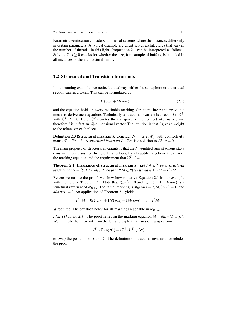Parametric verification considers families of systems where the instances differ only in certain parameters. A typical example are client server architectures that vary in the number of threads. In this light, Proposition 2.1 can be interpreted as follows. Solving  $C \cdot x > 0$  checks for whether the size, for example of buffers, is bounded in all instances of the architectural family.

#### 2.2 Structural and Transition Invariants

In our running example, we noticed that always either the semaphore or the critical section carries a token. This can be formulated as

$$
M(pcs) + M(sem) = 1,\t(2.1)
$$

and the equation holds in every reachable marking. Structural invariants provide a means to derive such equations. Technically, a structural invariant is a vector  $I \in \mathbb{Z}^{|S|}$ with  $\mathbb{C}^T \cdot I = 0$ . Here,  $\mathbb{C}^T$  denotes the transpose of the connectivity matrix, and therefore  $I$  is in fact an  $|S|$ -dimensional vector. The intuition is that  $I$  gives a weight to the tokens on each place.

**Definition 2.3 (Structural invariant).** Consider  $N = (S, T, W)$  with connectivity matrix  $\mathbb{C} \in \mathbb{Z}^{|S| \times |T|}$ . A *structural invariant*  $I \in \mathbb{Z}^{|S|}$  is a solution to  $\mathbb{C}^T \cdot x = 0$ .

The main property of structural invariants is that the *I*-weighted sum of tokens stays constant under transition firings. This follows, by a beautiful algebraic trick, from the marking equation and the requirement that  $\mathbb{C}^T \cdot I = 0$ .

**Theorem 2.1 (Invariance of structural invariants).** Let  $I \in \mathbb{Z}^{|S|}$  be a structural *invariant of*  $N = (S, T, W, M_0)$ *. Then for all*  $M \in R(N)$  *we have*  $I^T \cdot M = I^T \cdot M_0$ *.* 

Before we turn to the proof, we show how to derive Equation 2.1 in our example with the help of Theorem 2.1. Note that  $I(pw) = 0$  and  $I(pcs) = 1 = I(sem)$  is a structural invariant of  $N_{M+S}$ . The initial marking is  $M_0(pw) = 2$ ,  $M_0(sem) = 1$ , and  $M_0(pcs) = 0$ . An application of Theorem 2.1 yields

$$
I^T \cdot M = 0M(pw) + 1M(pcs) + 1M(sem) = 1 = I^T M_0,
$$

as required. The equation holds for all markings reachable in *NM*+*S*.

*Idea (Theorem 2.1)*. The proof relies on the marking equation  $M = M_0 + \mathbb{C} \cdot p(\sigma)$ . We multiply the invariant from the left and exploit the laws of transposition

$$
I^T \cdot (\mathbb{C} \cdot p(\sigma)) = (\mathbb{C}^T \cdot I)^T \cdot p(\sigma)
$$

to swap the positions of *I* and C. The definition of structural invariants concludes the proof.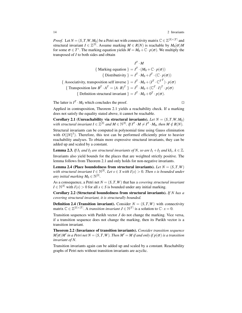*Proof.* Let  $N = (S, T, W, M_0)$  be a Petri net with connectivity matrix  $\mathbb{C} \in \mathbb{Z}^{|S| \times |T|}$  and structural invariant  $I \in \mathbb{Z}^{|S|}$ . Assume marking  $M \in R(N)$  is reachable by  $M_0[\sigma \rangle M$ for some  $\sigma \in T^*$ . The marking equation yields  $M = M_0 + \mathbb{C} \cdot p(\sigma)$ . We multiply the transposed of *I* to both sides and obtain

$$
I^T \cdot M
$$
  
\n{ Marking equation } =  $I^T \cdot (M_0 + \mathbb{C} \cdot p(\sigma))$   
\n{ Distributivity } =  $I^T \cdot M_0 + I^T \cdot (\mathbb{C} \cdot p(\sigma))$   
\n{ Associativity, transposition self inverse } =  $I^T \cdot M_0 + (I^T \cdot \mathbb{C}^{T^T}) \cdot p(\sigma)$   
\n{ Transposition law  $B^T \cdot A^T = (A \cdot B)^T$ } =  $I^T \cdot M_0 + (\mathbb{C}^T \cdot I)^T \cdot p(\sigma)$   
\n{ Definition structural invariant } =  $I^T \cdot M_0 + 0^T \cdot p(\sigma)$ .

The latter is  $I^T \cdot M_0$  which concludes the proof.

Applied in contraposition, Theorem 2.1 yields a reachability check. If a marking does not satisfy the equality stated above, it cannot be reachable.

Corollary 2.1 (Unreachability via structural invariants). Let  $N = (S, T, W, M_0)$ with structural invariant  $I \in \mathbb{Z}^{|S|}$  and  $M \in \mathbb{N}^{|S|}$ . If  $I^T \cdot M \neq I^T \cdot M_0$ , then  $M \notin R(N)$ .

Structural invariants can be computed in polynomial time using Gauss elimination with  $O(||N||^3)$ . Therefore, this test can be performed efficiently prior to heavier reachability analyses. To obtain more expressive structural invariants, they can be added up and scaled by a constant.

**Lemma 2.3.** *If*  $I_1$  *and*  $I_2$  *are structural invariants of* N, so are  $I_1 + I_2$  *and*  $kI_1, k \in \mathbb{Z}$ *.* Invariants also yield bounds for the places that are weighted strictly positive. The lemma follows from Theorem 2.1 and only holds for non-negative invariants.

**Lemma 2.4 (Place boundedness from structural invariants).** Let  $N = (S, T, W)$ with structural invariant  $I \in \mathbb{N}^{|S|}$ . Let  $s \in S$  with  $I(s) > 0$ . Then s is bounded under any initial marking  $M_0 \in \mathbb{N}^{|S|}$ .

As a consequence, a Petri net  $N = (S, T, W)$  that has a *covering structural invariant*  $I \in \mathbb{N}^{|S|}$  with  $I(s) > 0$  for all  $s \in S$  is bounded under any initial marking.

Corollary 2.2 (Structural boundedness from structural invariants). *If N has a covering structural invariant, it is structurally bounded.*

**Definition 2.4 (Transition invariant).** Consider  $N = (S, T, W)$  with connectivity matrix  $\mathbb{C} \in \mathbb{Z}^{|S| \times |T|}$ . A *transition invariant*  $J \in \mathbb{N}^{|T|}$  is a solution to  $\mathbb{C} \cdot x = 0$ .

Transition sequences with Parikh vector *J* do not change the marking. Vice versa, if a transition sequence does not change the marking, then its Parikh vector is a transition invariant.

Theorem 2.2 (Invariance of transition invariants). *Consider transition sequence*  $M[\sigma\rangle M'$  in a Petri net  $N=(S,T,W)$ . Then  $M'=M$  if and only if  $p(\sigma)$  is a transition *invariant of N.*

Transition invariants again can be added up and scaled by a constant. Reachability graphs of Petri nets without transition invariants are acyclic.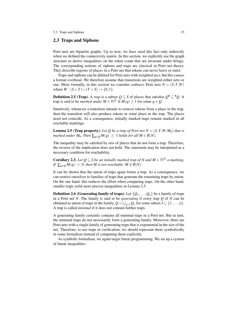#### 2.3 Traps and Siphons

Petri nets are bipartite graphs. Up to now, we have used this fact only indirectly when we defined the connectivity matrix. In this section, we explictily use the graph structure to derive inequalities on the token count that are invariant under firings. The corresponding notions of siphons and traps are classical in Petri net theory. They describe regions of places in a Petri net that tokens can never leave or enter.

Traps and siphons can be defined for Petri nets with weighted arcs, but this causes a formal overhead. We therefore assume that transitions are weighted either zero or one. More formally, in this section we consider *ordinary* Petri nets  $N = (S, T, W)$ where  $W : (S \times T) \cup (T \times S) \rightarrow \{0, 1\}.$ 

**Definition 2.5 (Trap).** A *trap* is a subset  $Q \subseteq S$  of places that satisfies  $Q^{\bullet} \subseteq {}^{\bullet}Q$ . A trap is said to be *marked under*  $M \in \mathbb{N}^{|S|}$  if  $M(q) \ge 1$  for some  $q \in Q$ .

Intuitively, whenever a transition intends to remove tokens from a place in the trap, then the transition will also produce tokens in some place in the trap. The places need not coincide. As a consequence, initially marked traps remain marked in all reachable markings.

**Lemma 2.5 (Trap property).** Let Q be a trap of Petri net  $N = (S, T, W, M_0)$  that is *marked under*  $M_0$ *. Then*  $\sum_{q \in Q} M(q) \geq 1$  *holds for all*  $M \in R(N)$ *.* 

The inequality may be satisfied by sets of places that do not form a trap. Therefore, the reverse of the implication does not hold. The statement may be interpreted as a necessary condition for reachability.

**Corollary 2.3.** *Let*  $Q \subseteq S$  *be an initially marked trap of N* and  $M \in \mathbb{N}^{|S|}$  a marking. *If*  $\sum_{q \in O} M(q) = 0$  *then M is not reachable,*  $M \notin R(N)$ *.* 

It can be shown that the union of traps again forms a trap. As a consequence, we can restrict ourselves to families of traps that generate the remaining traps by union. On the one hand, this reduces the effort when computing traps. On the other hand, smaller traps yield more precise inequalities in Lemma 2.5.

**Definition 2.6 (Generating family of traps).** Let  $\{Q_1, \ldots, Q_n\}$  be a family of traps in a Petri net *N*. The family is said to be *generating* if every trap *Q* of *N* can be obtained as union of traps in the family,  $Q = \bigcup_{j \in J} Q_j$  for some subset  $J \subseteq \{1, \ldots, n\}$ . A trap is called *minimal* if it does not contain further traps.

A generating family certainly contains all minimal traps in a Petri net. But in turn, the minimal traps do not necessarily form a generating family. Moreover, there are Petri nets with a single family of generating traps that is exponential in the size of the net. Therefore, to use traps in verification, we should represent them symbolically in some formalism instead of computing them explicitly.

As symbolic formalism, we again target linear programming. We set up a system of linear inequalities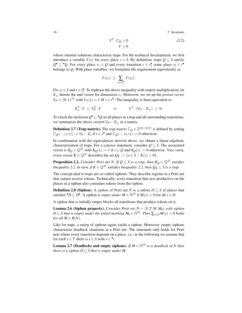16 2 Invariants

$$
Y^T \cdot \mathbb{C}_Q \ge 0
$$
  
 
$$
Y \ge 0
$$
 (2.2)

whose rational solutions characterize traps. For the technical development, we first introduce a variable *Y*(*s*) for every place  $s \in S$ . By definition, traps  $Q \subseteq S$  satisfy  $Q^{\bullet} \subseteq {}^{\bullet}Q$ . For every place  $s_1 \in Q$  and every transition  $t \in s_1^{\bullet}$  some place  $s_2 \in t^{\bullet}$ belongs to *Q*. With place variables, we formulate the requirement equivalently as

$$
Y(s_1) \leq \sum_{s_2 \in t^{\bullet}} Y(s_2).
$$

Fix  $s_1 \in S$  and  $t \in s_1^{\bullet}$ . To rephrase the above inequality with matrix multiplication, let *Es*1 denote the unit vector for dimension *s*1. Moreover, we set up the *postset vector*  $V_{t} \bullet \in \{0,1\}^{|S|}$  with  $V_{t} \bullet (s) = 1$  iff  $s \in t^{\bullet}$ . The inequality is then equivalent to

 $E_{s_1}^T \cdot Y \leq V_t^T \cdot Y$   $\Leftrightarrow$   $Y^T \cdot (V_t \cdot -E_{s_1}) \geq 0.$ 

To check the inclusion  $Q^{\bullet} \subseteq {}^{\bullet}Q$  on all places in a trap and all surrounding transitions, we summarize the above vectors  $V_t \bullet -E_{s_1}$  in a matrix.

**Definition 2.7 (Trap matrix).** The *trap matrix*  $\mathbb{C}_Q \in \mathbb{Z}^{|S| \times |S||T|}$  is defined by setting  $\mathbb{C}_Q(-, (s,t)) := V_t \cdot -E_s$  if  $t \in s^{\bullet}$  and  $\mathbb{C}_Q(-, (s,t)) := 0$  otherwise.

In combination with the equivalences derived above, we obtain a linear algebraic characterization of traps. For a concise statement, consider  $Q \subseteq S$ . The associated vector is  $K_Q \in \mathbb{Q}^{|S|}$  with  $K_Q(s) := 1$  if  $s \in Q$  and  $K_Q(s) := 0$  otherwise. Vice versa, every vector  $K \in \mathbb{Q}^{|S|}$  describes the set  $Q_K := \{ s \in S \mid K(s) > 0 \}.$ 

**Proposition 2.2.** Consider Petri net N. If  $Q \subseteq S$  is a trap, then  $K_Q \in \mathbb{Q}^{|S|}$  satisfies *Inequality 2.2. In turn, if*  $K \in \mathbb{Q}^{|S|}$  *satisfies Inequality 2.2, then*  $Q_K \subseteq S$  *is a trap.* 

The concept dual to traps are so-called siphons. They describe regions in a Petri net that cannot receive tokens. Technically, every transition that acts productive on the places in a siphon also consumes tokens from the siphon.

**Definition 2.8 (Siphon).** A *siphon* of Petri net *N* is a subset  $D \subseteq S$  of places that satisfies  $\bullet$  *D* ⊆ *D*<sup>•</sup>. A siphon is *empty under M* ∈ N<sup>[S]</sup> if *M*(*s*) = 0 for all *s* ∈ *D*.

A siphon that is initially empty blocks all transitions that produce tokens on it.

**Lemma 2.6 (Siphon property).** *Consider Petri net*  $N = (S, T, W, M_0)$  *with siphon*  $D \subseteq S$  that is empty under the initial marking  $M_0 \in \mathbb{N}^{|S|}$ . Then  $\sum_{s \in D} M(s) = 0$  holds *for all*  $M \in R(N)$ *.* 

Like for traps, a union of siphons again yields a siphon. Moreover, empty siphons characterize deadlock situations in a Petri net. The statement only holds for Petri nets where every transition depends on a place, i.e., in the following we assume that for each  $t \in T$  there is  $s \in S$  with  $s \in \bullet t$ .

**Lemma 2.7 (Deadlocks and empty siphons).** *If*  $M \in \mathbb{N}^{|S|}$  *is a deadlock of* N then *there is a siphon*  $D \subseteq S$  *that is empty under M.*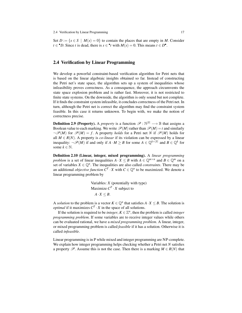Set  $D := \{s \in S \mid M(s) = 0\}$  to contain the places that are empty in M. Consider  $t \in \mathcal{P}$ . Since *t* is dead, there is  $s \in \mathcal{P}$  with  $M(s) = 0$ . This means  $t \in D^{\bullet}$ .

#### 2.4 Verification by Linear Programming

We develop a powerful constraint-based verification algorithm for Petri nets that is based on the linear algebraic insights obtained so far. Instead of constructing the Petri net's state space, the algorithm sets up a system of inequalities whose infeasibility proves correctness. As a consequence, the approach circumvents the state space explosion problem and is rather fast. Moreover, it is not restricted to finite state systems. On the downside, the algorithm is only sound but not complete. If it finds the constraint system infeasible, it concludes correctness of the Petri net. In turn, although the Petri net is correct the algorithm may find the constraint system feasible. In this case it returns unknown. To begin with, we make the notion of correctness precise.

**Definition 2.9 (Property).** A *property* is a function  $\mathscr{P}: \mathbb{N}^{|S|} \longrightarrow \mathbb{B}$  that assigns a Boolean value to each marking. We write  $\mathcal{P}(M)$  rather than  $\mathcal{P}(M) = t$  and similarly  $\neg \mathscr{P}(M)$  for  $\mathscr{P}(M) = f$ . A property *holds* for a Petri net *N* if  $\mathscr{P}(M)$  holds for all  $M \in R(N)$ . A property is *co-linear* if its violation can be expressed by a linear inequality:  $\neg \mathscr{P}(M)$  if and only if  $A \cdot M \geq B$  for some  $A \in \mathbb{Q}^{k \times |S|}$  and  $B \in \mathbb{Q}^k$  for some  $k \in \mathbb{N}$ .

Definition 2.10 (Linear, integer, mixed programming). A *linear programming problem* is a set of linear inequalities  $A \cdot X \leq B$  with  $A \in \mathbb{Q}^{m \times n}$  and  $B \in \mathbb{Q}^m$  on a set of variables  $X \in \mathbb{Q}^n$ . The inequalities are also called *constraints*. There may be an additional *objective function*  $C^T \cdot X$  with  $C \in \mathbb{Q}^n$  to be maximized. We denote a linear programming problem by

> Variables: *X* (potentially with type) Maximize  $C^T \cdot X$  subject to  $A \cdot X \leq B$ .

A *solution* to the problem is a vector  $K \in \mathbb{Q}^n$  that satisfies  $A \cdot X \leq B$ . The solution is *optimal* if it maximizes  $C^T \cdot X$  in the space of all solutions.

If the solution is required to be *integer*,  $K \in \mathbb{Z}^n$ , then the problem is called *integer programming problem*. If some variables are to receive integer values while others can be evaluated rational, we have a *mixed programming problem*. A linear, integer, or mixed programming problem is called *feasible* if it has a solution. Otherwise it is called *infeasible*.

Linear programming is in P while mixed and integer programming are NP-complete. We explain how integer programming helps checking whether a Petri net *N* satisfies a property  $\mathscr{P}$ . Assume this is not the case. Then there is a marking  $M \in R(N)$  that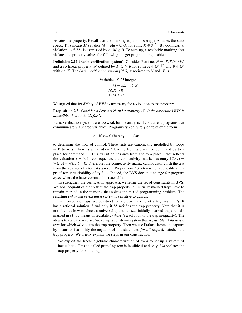violates the property. Recall that the marking equation overapproximates the state space. This means *M* satisfies  $M = M_0 + \mathbb{C} \cdot X$  for some  $X \in \mathbb{N}^{|T|}$ . By co-linearity, violation  $\neg \mathscr{P}(M)$  is expressed by  $A \cdot M \geq B$ . To sum up, a reachable marking that violates the property solves the following integer programming problem.

**Definition 2.11 (Basic verification system).** Consider Petri net  $N = (S, T, W, M_0)$ and a co-linear property  $\mathscr P$  defined by  $A \cdot X \geq B$  for some  $A \in \mathbb Q^{k \times |S|}$  and  $B \in \mathbb Q^k$ with  $k \in \mathbb{N}$ . The *basic verification system (BVS)* associated to *N* and  $\mathscr{P}$  is

Variables: *X*, *M* integer  
\n
$$
M = M_0 + \mathbb{C} \cdot X
$$
\n
$$
M, X \ge 0
$$
\n
$$
A \cdot M \ge B.
$$

We argued that feasibility of BVS is necessary for a violation to the property.

**Proposition 2.3.** *Consider a Petri net N and a property*  $\mathscr{P}$ *. If the associated BVS is infeasible, then*  $\mathscr P$  *holds for*  $N$ *.* 

Basic verification systems are too weak for the analysis of concurrent programs that communicate via shared variables. Programs typically rely on tests of the form

$$
c_0
$$
; if  $x = 0$  then  $c_1$ ; ... else ...

to determine the flow of control. These tests are canonically modelled by loops in Petri nets. There is a transition  $t$  leading from a place for command  $c_0$  to a place for command *c*1. This transition has arcs from and to a place *s* that reflects the valuation  $x = 0$ . In consequence, the connectivity matrix has entry  $\mathbb{C}(s,t) =$  $W(t,s) - W(s,t) = 0$ . Therefore, the connectivity matrix cannot distinguish the test from the absence of a test. As a result, Proposition 2.3 often is not applicable and a proof for unreachability of  $c_1$  fails. Indeed, the BVS does not change for program  $c_0$ ;  $c_1$  where the latter command is reachable.

To strengthen the verification approach, we refine the set of constraints in BVS. We add inequalities that reflect the trap property: all initially marked traps have to remain marked in the marking that solves the mixed programming problem. The resulting *enhanced verification system* is sensitive to guards.

To incorporate traps, we construct for a given marking *M* a *trap inequality*. It has a rational solution if and only if *M* satisfies the trap property. Note that it is not obvious how to check a universal quantifier (*all* initially marked traps remain marked in *M*) by means of feasibility (*there is* a solution to the trap inequality). The idea is to state the reverse. We set up a constraint system that is *feasible* iff *there is a trap* for which *M* violates the trap property. Then we use Farkas' lemma to capture by means of feasibility the negation of this statement: *for all traps M* satisfies the trap property. We briefly explain the steps in our construction.

1. We exploit the linear algebraic characterization of traps to set up a system of inequalities. This so-called primal system is feasible if and only if *M* violates the trap property for some trap.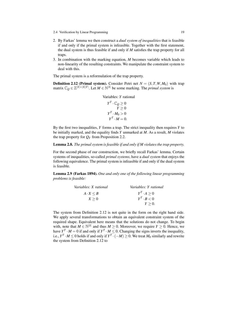- 2.4 Verification by Linear Programming 19
- 2. By Farkas' lemma we then construct a *dual system of inequalities* that is feasible if and only if the primal system is infeasible. Together with the first statement, the dual system is thus feasible if and only if *M* satisfies the trap property for all traps.
- 3. In combination with the marking equation, *M* becomes variable which leads to non-linearity of the resulting constraints. We manipulate the constraint system to deal with this.

The primal system is a reformulation of the trap property.

**Definition 2.12 (Primal system).** Consider Petri net  $N = (S, T, W, M_0)$  with trap matrix  $\mathbb{C}_Q \in \mathbb{Z}^{|S| \times |S||T|}$ . Let  $M \in \mathbb{N}^{|S|}$  be some marking. The *primal system* is

```
Variables: Y rational
    Y^T \cdot \mathbb{C}_Q \geq 0Y \geq 0Y^T \cdot M_0 > 0Y^T \cdot M = 0.
```
By the first two inequalities, *Y* forms a trap. The strict inequality then requires *Y* to be initially marked, and the equality finds *Y* unmarked at *M*. As a result, *M* violates the trap property for  $Q<sub>Y</sub>$  from Proposition 2.2.

#### Lemma 2.8. *The primal system is feasible if and only if M violates the trap property.*

For the second phase of our construction, we briefly recall Farkas' lemma. Certain systems of inequalities, so-called *primal systems*, have a *dual system* that enjoys the following equivalence. The primal system is infeasible if and only if the dual system is feasible.

Lemma 2.9 (Farkas 1894). *One and only one of the following linear programming problems is feasible:*

| Variables: X rational | Variables: Y rational |
|-----------------------|-----------------------|
| $A \cdot X \leq B$    | $Y^T \cdot A > 0$     |
| X > 0                 | $Y^T \cdot B < 0$     |
|                       | $Y > 0$ .             |

The system from Definition 2.12 is not quite in the form on the right hand side. We apply several transformations to obtain an equivalent constraint system of the required shape. Equivalent here means that the solutions do not change. To begin with, note that  $M \in \mathbb{N}^{|S|}$  and thus  $M \geq 0$ . Moreover, we require  $Y \geq 0$ . Hence, we have  $Y^T \cdot M = 0$  if and only if  $Y^T \cdot M \leq 0$ . Changing the signs inverts the inequality, i.e.,  $Y^T \cdot M \leq 0$  holds if and only if  $Y^T \cdot (-M) \geq 0$ . We treat  $M_0$  similarly and rewrite the system from Definition 2.12 to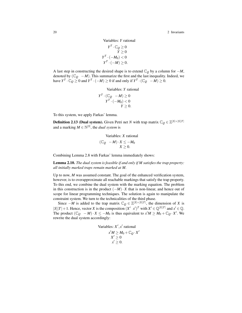20 2 Invariants

Variables: 
$$
Y
$$
 rational

$$
Y^T \cdot \mathbb{C}_Q \ge 0
$$
  
\n
$$
Y^T \cdot (-M_0) < 0
$$
  
\n
$$
Y^T \cdot (-M) \ge 0.
$$

A last step in constructing the desired shape is to extend C*<sup>Q</sup>* by a column for −*M*, denoted by  $(\mathbb{C}_Q - M)$ . This summarize the first and the last inequality. Indeed, we have  $Y^T \cdot \mathbb{C}_Q \ge 0$  and  $Y^T \cdot (-M) \ge 0$  if and only if  $Y^T \cdot (\mathbb{C}_Q - M) \ge 0$ .

Variables: *Y* rational

$$
Y^T \cdot (\mathbb{C}_Q - M) \ge 0
$$
  
 
$$
Y^T \cdot (-M_0) < 0
$$
  
 
$$
Y \ge 0.
$$

To this system, we apply Farkas' lemma.

**Definition 2.13 (Dual system).** Given Petri net *N* with trap matrix  $\mathbb{C}_Q \in \mathbb{Z}^{|\mathcal{S}| \times |\mathcal{S}||T|}$ and a marking  $M \in \mathbb{N}^{|S|}$ , the *dual system* is

Variables: X rational  
\n
$$
(\mathbb{C}_Q - M) \cdot X \leq -M_0
$$
  
\n $X \geq 0$ .

Combining Lemma 2.8 with Farkas' lemma immediately shows:

Lemma 2.10. *The dual system is feasible if and only if M satisfies the trap property: all initially marked traps remain marked at M.*

Up to now, *M* was assumed constant. The goal of the enhanced verification system, however, is to overapproximate all reachable markings that satisfy the trap property. To this end, we combine the dual system with the marking equation. The problem in this construction is in the product  $(-M) \cdot X$  that is non-linear, and hence out of scope for linear programming techniques. The solution is again to manipulate the constraint system. We turn to the technicalities of the third phase.

Since  $-M$  is added to the trap matrix  $\mathbb{C}_Q \in \mathbb{Z}^{|S| \times |S||T|}$ , the dimension of *X* is  $|S||T| + 1$ . Hence, vector *X* is the composition  $(X' \ x')^T$  with  $X' \in \mathbb{Q}^{|S||T|}$  and  $x' \in \mathbb{Q}$ . The product  $(\mathbb{C}_Q \ -M) \cdot X \leq -M_0$  is thus equivalent to  $x'M \geq M_0 + \mathbb{C}_Q \cdot X'$ . We rewrite the dual system accordingly:

Variables: 
$$
X', x'
$$
 rational  
\n $x'M \ge M_0 + \mathbb{C}_Q \cdot X'$   
\n $X' \ge 0$   
\n $x' \ge 0$ .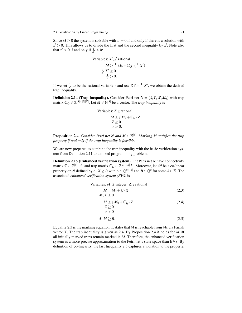Since  $M \ge 0$  the system is solvable with  $x' = 0$  if and only if there is a solution with  $x' > 0$ . This allows us to divide the first and the second inequality by  $x'$ . Note also that  $x' > 0$  if and only if  $\frac{1}{x'} > 0$ :

Variables: 
$$
X', x'
$$
 rational  
\n
$$
M \ge \frac{1}{x'} M_0 + \mathbb{C}_Q \cdot (\frac{1}{x'} X')
$$
\n
$$
\frac{1}{x'} X' \ge 0
$$
\n
$$
\frac{1}{x'} > 0.
$$

If we set  $\frac{1}{x'}$  to be the rational variable *z* and use *Z* for  $\frac{1}{x'}$  *X'*, we obtain the desired trap inequality.

**Definition 2.14 (Trap inequality).** Consider Petri net  $N = (S, T, W, M_0)$  with trap matrix  $\mathbb{C}_Q \in \mathbb{Z}^{|S| \times |S||\bar{T}|}$ . Let  $M \in \mathbb{N}^{|S|}$  be a vector. The *trap inequality* is

Variables: Z, z rational  
\n
$$
M \ge z M_0 + \mathbb{C}_Q \cdot Z
$$
\n
$$
Z \ge 0
$$
\n
$$
z > 0.
$$

**Proposition 2.4.** *Consider Petri net N and M*  $\in$   $\mathbb{N}^{|S|}$ *. Marking M satisfies the trap property if and only if the trap inequality is feasible.*

We are now prepared to combine the trap inequality with the basic verification system from Definition 2.11 to a mixed programming problem.

Definition 2.15 (Enhanced verification system). Let Petri net *N* have connectivity matrix  $\mathbb{C} \in \mathbb{Z}^{|S|\times |T|}$  and trap matrix  $\mathbb{C}_Q \in \mathbb{Z}^{|S|\times |S||T|}$ . Moreover, let  $\mathscr{P}$  be a co-linear property on *N* defined by  $A \cdot X \geq B$  with  $A \in \mathbb{Q}^{k \times |S|}$  and  $B \in \mathbb{Q}^k$  for some  $k \in \mathbb{N}$ . The associated *enhanced verification system (EVS)* is

Variables: *M*, *X* integer *Z*, *z* rational  
\n
$$
M = M_0 + \mathbb{C} \cdot X
$$
\n
$$
M, X \ge 0
$$
\n(2.3)

$$
M \geq z M_0 + \mathbb{C}_Q \cdot Z \tag{2.4}
$$
  

$$
Z \geq 0
$$

$$
z > 0
$$

$$
A \cdot M \ge B. \tag{2.5}
$$

Equality 2.3 is the marking equation. It states that *M* is reachable from  $M_0$  via Parikh vector *X*. The trap inequality is given as 2.4. By Proposition 2.4 it holds for *M* iff all initially marked traps remain marked in *M*. Therefore, the enhanced verification system is a more precise approximation to the Petri net's state space than BVS. By definition of co-linearity, the last Inequality 2.5 captures a violation to the property.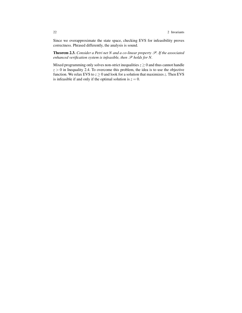Since we overapproximate the state space, checking EVS for infeasibility proves correctness. Phrased differently, the analysis is sound.

Theorem 2.3. *Consider a Petri net N and a co-linear property* P*. If the associated enhanced verification system is infeasible, then*  $\mathscr P$  *holds for* N.

Mixed programming only solves non-strict inequalities  $z \ge 0$  and thus cannot handle  $z > 0$  in Inequality 2.4. To overcome this problem, the idea is to use the objective function. We relax EVS to  $z \ge 0$  and look for a solution that maximizes *z*. Then EVS is infeasible if and only if the optimal solution is  $z = 0$ .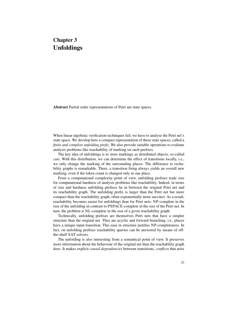## Chapter 3 Unfoldings

Abstract Partial order representations of Petri net state spaces.

When linear algebraic verification techniques fail, we have to analyse the Petri net's state space. We develop here a compact representation of these state spaces, called a *finite and complete unfolding prefix.* We also provide suitable operations to evaluate analysis problems like reachability of marking on such prefixes.

The key idea of unfoldings is to store markings as distributed objects, so-called *cuts*. With this distribution, we can determine the effect of transitions locally, i.e., we only change the marking of the surrounding places. The difference to rechability graphs is remarkable. There, a transition firing always yields an overall new marking, even if the token count is changed only in one place.

From a computational complexity point of view, unfolding prefixes trade size for computational hardness of analysis problems like reachability. Indeed, in terms of size and hardness unfolding prefixes lie in between the original Petri net and its reachability graph. The unfolding prefix is larger than the Petri net but more compact than the reachability graph, often exponentially more succinct. As a result, reachability becomes easier for unfoldings than for Petri nets: NP-complete in the size of the unfolding in contrast to PSPACE-complete in the size of the Petri net. In turn, the problem is NL-complete in the size of a given reachability graph.

Technically, unfolding prefixes are themselves Petri nets that have a simpler structure than the original net. They are acyclic and forward branching, i.e., places have a unique input transition. This ease in structure justifies NP-completeness. In fact, on unfolding prefixes reachability queries can be answered by means of offthe-shelf SAT-solvers.

The unfolding is also interesting from a semantical point of view. It preserves more information about the behaviour of the original net than the reachability graph does. It makes explicit *causal dependencies* between transitions, *conflicts* that arise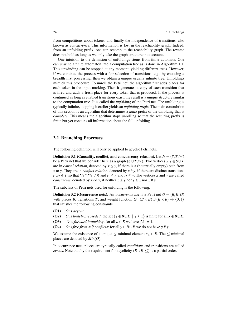from competitions about tokens, and finally the independence of transitions, also known as *concurrency*. This information is lost in the reachability graph. Indeed, from an unfolding prefix, one can recompute the reachability graph. The reverse does not hold as long as we only take the graph structure into account.

One intuition to the definition of unfoldings stems from finite automata. One can unwind a finite automaton into a computation tree as is done in Algorithm 1.1. This unwinding can be stopped at any moment, yielding different trees. However, if we continue the process with a fair selection of transitions, e.g., by choosing a breadth first processing, then we obtain a unique usually infinite tree. Unfoldings mimick this procedure. To unroll the Petri net, the algorithm first adds places for each token in the input marking. Then it generates a copy of each transition that is fired and adds a fresh place for every token that is produced. If the process is continued as long as enabled transitions exist, the result is a unique structure similar to the computation tree. It is called the *unfolding* of the Petri net. The unfolding is typically infinite, stopping it earlier yields an *unfolding prefix*. The main contrubtion of this section is an algorithm that determines a *finite* prefix of the unfolding that is *complete*. This means the algorithm stops unrolling so that the resulting prefix is finite but yet contains all information about the full unfolding.

#### 3.1 Branching Processes

The following definition will only be applied to acyclic Petri nets.

**Definition 3.1** (Causality, conflict, and concurrency relation). Let  $N = (S, T, W)$ be a Petri net that we consider here as a graph  $(S \cup T, W)$ . Two vertices  $x, y \in S \cup T$ are in *causal relation*, denoted by  $x \le y$ , if there is a (potentially empty) path from *x* to *y*. They are in *conflict relation*, denoted by *x* # *y*, if there are distinct transitions *t*<sub>1</sub>,*t*<sub>2</sub> ∈ *T* so that  $^{\bullet}t_1$  ∩  $^{\bullet}t_2 \neq \emptyset$  and *t*<sub>1</sub> ≤ *x* and *t*<sub>2</sub> ≤ *y*. The vertices *x* and *y* are called *concurrent*, denoted by *x co y*, if neither  $x \le y$  nor  $y \le x$  nor  $x \ne y$ .

The subclass of Petri nets used for unfolding is the following.

**Definition 3.2 (Occurrence nets).** An *occurrence net* is a Petri net  $O = (B, E, G)$ with places *B*, transitions *T*, and weight function  $G : (B \times E) \cup (E \times B) \rightarrow \{0,1\}$ that satisfies the following constraints.

- (O1) *O* is *acyclic*.
- (O2) *O* is *finitely preceeded*: the set  $\{y \in B \cup E \mid y \leq x\}$  is finite for all  $x \in B \cup E$ .
- (O3) *O* is *forward branching*: for all  $b \in B$  we have  $|\cdot b| = 1$ .
- (O4) *O* is *free from self conflicts*: for all  $y \in B \cup E$  we do not have  $y \neq y$ .

We assume the existence of a unique  $\le$ -minimal element  $e_{\perp} \in E$ . The  $\le$ -minimal places are denoted by *Min*(*O*).

In occurrence nets, places are typically called *conditions* and transitions are called *events*. Note that by the requirement for acyclicity  $(B \cup E, \leq)$  is a partial order.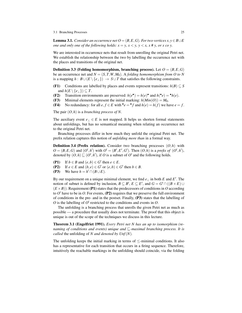3.1 Branching Processes 25

**Lemma 3.1.** *Consider an occurrence net*  $O = (B, E, G)$ *. For two vertices*  $x, y \in B \cup E$ *one and only one of the following holds:*  $x = y$ ,  $x < y$ ,  $y < x$ ,  $x \neq y$ , or x co y.

We are interested in occurrence nets that result from unrolling the original Petri net. We establish the relationship between the two by labelling the occurrence net with the places and transitions of the original net.

**Definition 3.3** (Folding homomorphism, branching process). Let  $O = (B, E, G)$ be an occurrence net and  $N = (S, T, W, M_0)$ . A *folding homomorphism from O to N* is a mapping  $h : B \cup (E \setminus \{e_1\}) \rightarrow S \cup T$  that satisfies the following constraints.

- (F1) Conditions are labelled by places and events represent transitions:  $h(B) \subseteq S$ and  $h(E \setminus \{e_{\perp}\}) \subseteq T$ .
- (F2) Transition environments are preserved:  $h(e^{\bullet}) = h(e)^{\bullet}$  and  $h({\bullet}e) = {\bullet}h(e)$ .
- (F3) Minimal elements represent the initial marking:  $h(Min(O)) = M_0$ .
- (F4) No redundancy: for all  $e, f \in E$  with  $\mathbf{e}e = \mathbf{e}f$  and  $h(e) = h(f)$  we have  $e = f$ .

The pair (*O*,*h*) is a *branching process of N*.

The auxiliary event  $e_{\perp} \in E$  is not mapped. It helps us shorten formal statements about unfoldings, but has no semantical meaning when relating an occurrence net to the original Petri net.

Branching processes differ in how much they unfold the original Petri net. The prefix relation captures this notion of *unfolding more than* in a formal way.

Definition 3.4 (Prefix relation). Consider two branching processes (*O*,*h*) with  $O = (B, E, G)$  and  $(O', h')$  with  $O' = (B', E', G')$ . Then  $(O, h)$  is a *prefix of*  $(O', h'),$ denoted by  $(O, h) \sqsubseteq (O', h')$ , if *O* is a subnet of *O'* and the following holds.

- (P1) If  $b \in B$  and  $(e, b) \in G'$  then  $e \in E$ .
- (P2) If  $e \in E$  and  $(b, e) \in G'$  or  $(e, b) \in G'$  then  $b \in B$ .
- (P3) We have  $h = h' \cap (B \cup E)$ .

By our requirement on a unique minimal element, we find  $e_{\perp}$  in both *E* and *E'*. The notion of subnet is defined by inclusion,  $B \subseteq B'$ ,  $E \subseteq E'$ , and  $G = G' \cap ((B \times E) \cup$  $(E \times B)$ ). Requirement (P1) states that the predecessors of conditions in *O* according to  $O'$  have to be in  $O$ . For events,  $(P2)$  requires that we preserve the full environment of conditions in the pre- and in the postset. Finally, (P3) states that the labelling of  $O$  is the labelling of  $O'$  restricted to the conditions and events in  $O$ .

The unfolding is a branching process that unrolls the given Petri net as much as possible — a procedure that usually does not terminate. The proof that this object is unique is out of the scope of the techniques we discuss in this lecture.

Theorem 3.1 (Engelfriet 1991). *Every Petri net N has an up to isomorphism (renaming of conditions and events) unique and*  $\Box$ *-maximal branching process. It is called* the unfolding of *N and denoted by Unf*(*N*)*.*

The unfolding keeps the initial marking in terms of  $\le$ -minimal conditions. It also has a representative for each transition that occurs in a firing sequence. Therefore, intuitively the reachable markings in the unfolding should coincide, via the folding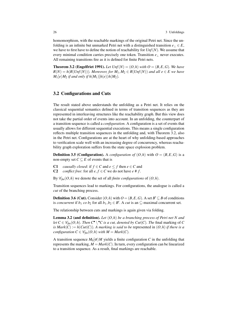homomorphism, with the reachable markings of the original Petri net. Since the unfolding is an infinite but unmarked Petri net with a distinguished transition  $e_+ \in E$ , we have to first have to define the notion of reachability for  $\text{Unf}(N)$ . We assume that every minimal condition carries precisely one token. Transition *e*<sup>⊥</sup> never executes. All remaining transitions fire as it is defined for finite Petri nets.

**Theorem 3.2 (Engelfriet 1991).** Let  $Unf(N) = (O,h)$  with  $O = (B, E, G)$ . We have  $R(N) = h(R(Unf(N)))$ *. Moreover, for*  $M_1, M_2 \in R(Unf(N))$  *and all e*  $\in E$  *we have*  $M_1[e \rangle M_2$  *if and only if h*( $M_1$ )[ $h(e) \rangle h(M_2)$ *.* 

#### 3.2 Configurations and Cuts

The result stated above understands the unfolding as a Petri net. It relies on the classical sequential semantics defined in terms of transition sequences as they are represented in interleaving structures like the reachability graph. But this view does not take the partial order of events into account. In an unfolding, the counterpart of a transition sequence is called a *configuration*. A configuration is a set of events that usually allows for different sequential executions. This means a single configuration reflects multiple transition sequences in the unfolding and, with Theorem 3.2, also in the Petri net. Configurations are at the heart of why unfolding-based approaches to verification scale well with an increasing degree of concurrency, whereas reachability graph exploration suffers from the state space explosion problem.

**Definition 3.5 (Configuration).** A *configuration of*  $(O,h)$  with  $O = (B, E, G)$  is a non-empty set  $C \subseteq E$  of events that is

- C1 *causally closed*: if  $f \in C$  and  $e \leq f$  then  $e \in C$  and
- C2 *conflict free:* for all  $e, f \in C$  we do not have  $e \neq f$ .

By  $\mathcal{C}_{fin}(O,h)$  we denote the set of all *finite configurations* of  $(O,h)$ .

Transition sequences lead to markings. For configurations, the analogue is called a *cut* of the branching process.

**Definition 3.6 (Cut).** Consider  $(O, h)$  with  $O = (B, E, G)$ . A set  $B' \subseteq B$  of conditions is *concurrent* if  $b_1$  *co*  $b_2$  for all  $b_1$ ,  $b_2 \in B'$ . A *cut* is an  $\subseteq$ -maximal concurrent set.

The relationship between cuts and markings is again given via folding.

Lemma 3.2 (and definition). *Let* (*O*,*h*) *be a branching process of Petri net N and let*  $C \in \mathcal{C}_{fin}(O,h)$ *. Then*  $C^{\bullet} \setminus C^{\bullet}$  *is a cut, denoted by Cut*(*C*)*. The* final marking of *C is Mark*(*C*) := *h*( $Cut(C)$ ). A marking is said to be represented in  $(O,h)$  *if there is a configuration*  $C \in \mathcal{C}_{fin}(O,h)$  *with*  $M = Mark(C)$ *.* 

A transition sequence  $M_0[\sigma/M]$  yields a finite configuration *C* in the unfolding that represents the marking,  $M = Mark(C)$ . In turn, every configuration can be linearized to a transition sequence. As a result, final markings are reachable.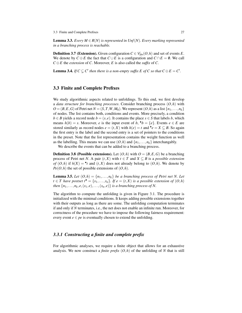3.3 Finite and Complete Prefixes 27

**Lemma 3.3.** *Every M*  $\in$  *R*(*N*) *is represented in Unf*(*N*)*. Every marking represented in a branching process is reachable.*

**Definition 3.7 (Extension).** Given configuration  $C \in \mathcal{C}_{fin}(O,h)$  and set of events *E*. We denote by  $C \oplus E$  the fact that  $C \cup E$  is a configuration and  $C \cap E = \emptyset$ . We call  $C \oplus E$  the *extension* of *C*. Moreover, *E* is also called the *suffix* of *C*.

**Lemma 3.4.** *If*  $C \subsetneq C'$  then there is a non-empty suffix E of C so that  $C \oplus E = C'$ .

#### 3.3 Finite and Complete Prefixes

We study algorithmic aspects related to unfoldings. To this end, we first develop a *data structure for branching processes*. Consider branching process (*O*,*h*) with  $O = (B, E, G)$  of Petri net  $N = (S, T, W, M_0)$ . We represent  $(O, h)$  as a list  $\{n_1, \ldots, n_k\}$ of nodes. The list contains both, conditions and events. More precisely, a condition *b* ∈ *B* yields a record node *b* = (*s*, *e*). It contains the place *s* ∈ *S* that labels *b*, which means  $h(b) = s$ . Moreover, *e* is the input event of *b*,  $\bullet b = \{e\}$ . Events  $e \in E$  are stored similarly as record nodes  $e = (t, X)$  with  $h(e) = t$  and  $\mathbf{e} = X \subseteq B$ . So again the first entry is the label and the second entry is a set of pointers to the conditions in the preset. Note that the list representation contains the weight function as well as the labelling. This means we can use  $(O, h)$  and  $\{n_1, \ldots, n_k\}$  interchangably.

We describe the events that can be added to a branching process.

**Definition 3.8 (Possible extensions).** Let  $(O,h)$  with  $O = (B, E, G)$  be a branching process of Petri net *N*. A pair  $(t, X)$  with  $t \in T$  and  $X \subseteq B$  is a *possible extension of*  $(O, h)$  if  $h(X) = \cdot t$  and  $(t, X)$  does not already belong to  $(O, h)$ . We denote by  $Pe(O, h)$  the set of possible extensions of  $(O, h)$ .

**Lemma 3.5.** *Let*  $(O,h) = \{n_1, \ldots, n_k\}$  *be a branching process of Petri net N. Let t* ∈ *T* have postset  $t^{\bullet} = \{s_1, \ldots, s_n\}$ . If  $e = (t, X)$  is a possible extension of  $(O, h)$ *then*  $\{n_1, \ldots, n_k, e, (s_1, e), \ldots, (s_n, e)\}$  *is a branching process of N.* 

The algorithm to compute the unfolding is given in Figure 3.1. The procedure is initialized with the minimal conditions. It keeps adding possible extensions together with their outputs as long as there are some. The unfolding computation terminates if and only if *N* terminates, i.e., the net does not enable an infinite run. Moreover, for correctness of the procedure we have to impose the following fairness requirement: every event  $e \in pe$  is eventually chosen to extend the unfolding.

#### *3.3.1 Constructing a finite and complete prefix*

For algorithmic analyses, we require a finite object that allows for an exhaustive analysis. We now construct a *finite prefix*  $(O, h)$  of the unfolding of N that is still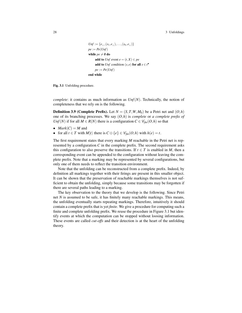```
Unf := {e_1, (s_1, e_1),..., (s_n, e_1)}
pe := Pe(Unf)while pe \neq \emptyset do
     add to Unf event e = (t, X) \in peadd to Unf condition (s, e) for all s \in t^{\bullet}pe := Pe(Unf)end while
```
Fig. 3.1 Unfolding procedure.

*complete*: it contains as much information as  $Unf(N)$ . Technically, the notion of completeness that we rely on is the following.

**Definition 3.9 (Complete Prefix).** Let  $N = (S, T, W, M_0)$  be a Petri net and  $(O, h)$ one of its branching processes. We say (*O*,*h*) is *complete* or *a complete prefix of Unf*(*N*) if for all *M* ∈ *R*(*N*) there is a configuration *C* ∈  $\mathcal{C}_{fin}(O,h)$  so that

- $Mark(C) = M$  and
- for all  $t \in T$  with  $M[t]$  there is  $C \oplus \{e\} \in \mathcal{C}_{fin}(O,h)$  with  $h(e) = t$ .

The first requirement states that every marking *M* reachable in the Petri net is represented by a configuration  $C$  in the complete prefix. The second requirement asks this configuration to also preserve the transitions. If  $t \in T$  is enabled in *M*, then a corresponding event can be appended to the configuration without leaving the complete prefix. Note that a marking may be represented by several configurations, but only one of them needs to reflect the transition environment.

Note that the unfolding can be reconstructed from a complete prefix. Indeed, by definition all markings together with their firings are present in this smaller object. It can be shown that the preservation of reachable markings themselves is not sufficient to obtain the unfolding, simply because some transitions may be forgotten if there are several paths leading to a marking.

The key observation to the theory that we develop is the following. Since Petri net *N* is assumed to be safe, it has finitely many reachable markings. This means, the unfolding eventually starts repeating markings. Therefore, intuitively it should contain a complete prefix that is yet *finite*. We give a procedure for computing such a finite and complete unfolding prefix. We reuse the procedure in Figure 3.1 but identify events at which the computation can be stopped without loosing information. These events are called *cut-offs* and their detection is at the heart of the unfolding theory.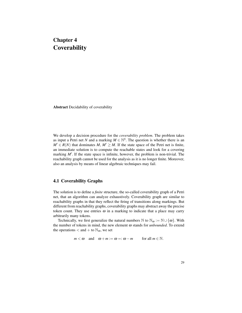## Chapter 4 **Coverability**

Abstract Decidability of coverability

We develop a decision procedure for the *coverability problem*. The problem takes as input a Petri net *N* and a marking  $M \in \mathbb{N}^S$ . The question is whether there is an  $M' \in R(N)$  that dominates *M*,  $M' \geq M$ . If the state space of the Petri net is finite, an immediate solution is to compute the reachable states and look for a covering marking  $M'$ . If the state space is infinite, however, the problem is non-trivial. The reachability graph cannot be used for the analysis as it is no longer finite. Moreover, also an analysis by means of linear algebraic techniques may fail.

#### 4.1 Coverability Graphs

The solution is to define a *finite* structure, the so-called coverability graph of a Petri net, that an algorithm can analyze exhaustively. Coverability graph are similar to reachability graphs in that they reflect the firing of transitions along markings. But different from reachability graphs, coverability graphs may abstract away the precise token count. They use entries  $\omega$  in a marking to indicate that a place may carry arbitrarily many tokens.

Technically, we first generalize the natural numbers N to  $\mathbb{N}_{\omega} := \mathbb{N} \cup \{\omega\}$ . With the number of tokens in mind, the new element ω stands for *unbounded*. To extend the operations  $<$  and  $+$  to  $\mathbb{N}_{\omega}$ , we set

 $m < \omega$  and  $\omega + m := \omega =: \omega - m$  for all  $m \in \mathbb{N}$ .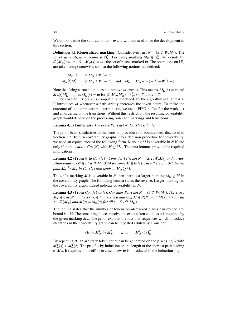We do not define the subtraction  $\omega - \omega$  and will not need it for the development in this section.

**Definition 4.1 (Generalized marking).** Consider Petri net  $N = (S, T, W, M_0)$ . The set of *generalized markings* is  $\mathbb{N}_{\omega}^S$ . For every marking  $M_{\omega} \in \mathbb{N}_{\omega}^S$ , we denote by  $\Omega(M_\omega) := \{ s \in S \mid M_\omega(s) = \omega \}$  the set of places marked  $\omega$ . The operations on  $\mathbb{N}^S_\omega$ are taken componentwise, so also the following notions are defined:

 $M_{\omega}[t\}$  if  $M_{\omega} \ge W(-,t)$  $M_{\omega}[t|M'_{\omega}]$  if  $M_{\omega} \ge W(-,t)$  and  $M'_{\omega} = M_{\omega} - W(-,t) + W(t,-).$ 

Note that firing a transition does not remove  $\omega$ -entries. This means,  $M_{\omega}(s) = \omega$  and  $M_{\omega}[t|M'_{\omega}$ implies M'_{\omega}(s) = \omega$  for all  $M_{\omega}, M'_{\omega} \in \mathbb{N}_{\omega}^S$ ,  $s \in S$ , and  $t \in T$ .

The coverability graph is computed (and defined) by the algorithm in Figure 4.1. It introduces  $\omega$  whenever a path strictly increases the token count. To make the outcome of the computation deterministic, we use a FIFO buffer for the work list and an ordering on the transitions. Without this restriction, the resulting coverability graph would depend on the processing order for markings and transitions.

Lemma 4.1 (Finiteness). *For every Petri net N, Cov*(*N*) *is finite.*

The proof bears similarities to the decision procedure for boundedness discussed in Section 1.2. To turn coverability graphs into a decision procedure for coverability, we need an equivalence of the following form. Marking *M* is coverable in *N* if and only if there is  $M_{\omega} \in Cov(N)$  with  $M \leq M_{\omega}$ . The next lemmas provide the required implications.

**Lemma 4.2 (From** *N* **to**  $Cov(N)$ **).** *Consider Petri net* $N = (S, T, W, M_0)$ *and a tran* $s$ *ition sequence*  $\sigma \in T^*$  *with*  $M_0[\sigma \rangle M$  for some  $M \in R(N)$ . Then there is a  $\sigma$ -labelled path  $M_0 \stackrel{\sigma}{\rightarrow} M_\omega$  in  $Cov(N)$  that leads to  $M_\omega \geq M$ .

Thus, if a marking *M* is coverable in *N* then there is a larger marking  $M_{\omega} \geq M$  in the coverability graph. The following lemma states the reverse. Larger markings in the coverability graph indeed indicate coverability in *N*.

**Lemma 4.3 (From**  $Cov(N)$  to *N*). *Consider Petri net*  $N = (S, T, W, M_0)$ *. For every*  $M_{\omega} \in Cov(N)$  *and every*  $k \in \mathbb{N}$  *there is a marking*  $M \in R(N)$  *with*  $M(s) \geq k$  *for all*  $s \in \Omega(M_\omega)$  *and*  $M(s) = M_\omega(s)$  *for all*  $s \in S \setminus \Omega(M_\omega)$ *.* 

The lemma states that the number of tokens on  $\omega$ -marked places can exceed any bound  $k \in \mathbb{N}$ . The remaining places receive the exact token count as it is required by the given marking  $M_{\omega}$ . The proof exploits the fact that sequences which introduce ω-entries in the coverability graph can be repeated arbitrarily. Consider

 $M_0 \stackrel{\tau}{\rightarrow} M_\omega^1 \stackrel{\sigma}{\rightarrow} M_\omega^2$  with  $M_\omega^1 \leq M_\omega^2$ .

By repeating  $\sigma$ , an arbitrary token count can be generated on the places  $s \in S$  with  $M^1_{\omega}(s) < M^2_{\omega}(s)$ . The proof is by induction on the length of the shortest path leading to  $M_{\omega}$ . It requires some effort in case a new  $\omega$  is introduced in the induction step.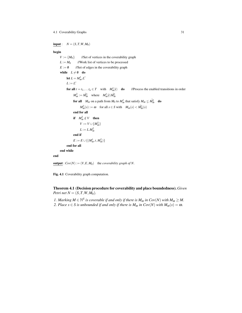#### 4.1 Coverability Graphs 31

 $input: N = (S, T, W, M_0)$ 

#### begin

 $V := \{M_0\}$  //Set of vertices in the coverability graph  $L := M_0$  //Work list of vertices to be processed  $E := \emptyset$  //Set of edges in the coverability graph while  $L \neq \emptyset$  do let  $L = M^1_{\omega} L'$  $L := L'$ for all  $t = t_1, \ldots t_n \in T$  with  $M_{\omega}^1[t\rangle$  do //Process the enabled transitions in order  $M_{\omega}^2 := \tilde{M}_{\omega}^2$  where  $M_{\omega}^1[t\rangle\tilde{M}_{\omega}^2$ **for all**  $M_{\omega}$  on a path from  $M_0$  to  $M_{\omega}^1$  that satisfy  $M_{\omega} \leq \tilde{M}_{\omega}^2$  **do**  $M_{\omega}^2(s) := \omega$  for all  $s \in S$  with  $M_{\omega}(s) < \tilde{M}_{\omega}^2(s)$ end for all if  $M_{\omega}^2 \notin V$  then  $V := V \cup \{M_{\omega}^2\}$  $L := L.M_{\omega}^2$ end if  $E := E \cup \{(M_{\omega}^1, t, M_{\omega}^2)\}$ end for all end while end

**output** :  $Cov(N) := (V, E, M_0)$  the *coverability graph of N*.

Fig. 4.1 Coverability graph computation.

Theorem 4.1 (Decision procedure for coverability and place boundedness). *Given Petri net*  $N = (S, T, W, M_0)$ *.* 

*1. Marking*  $M \in \mathbb{N}^S$  *is coverable if and only if there is*  $M_\omega$  *in Cov*(*N*) *with*  $M_\omega \geq M$ . *2. Place*  $s \in S$  *is unbounded if and only if there is*  $M_{\omega}$  *in Cov(N) with*  $M_{\omega}(s) = \omega$ *.*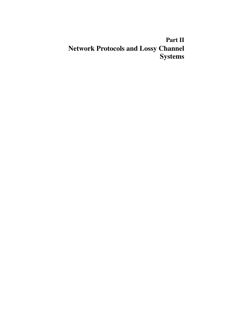# Part II Network Protocols and Lossy Channel Systems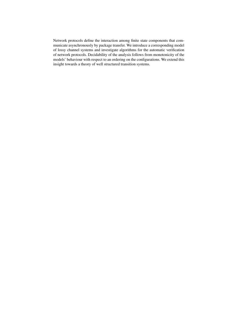Network protocols define the interaction among finite state components that communicate asynchronously by package transfer. We introduce a corresponding model of lossy channel systems and investigate algorithms for the automatic verification of network protocols. Decidability of the analysis follows from monotonicity of the models' behaviour with respect to an ordering on the configurations. We extend this insight towards a theory of well structured transition systems.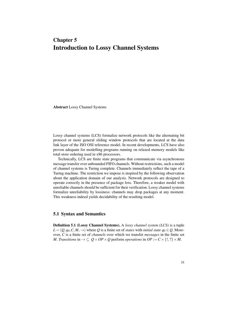## Chapter 5 Introduction to Lossy Channel Systems

Abstract Lossy Channel Systems

Lossy channel systems (LCS) formalize network protocols like the alternating bit protocol or more general sliding window protocols that are located at the data link layer of the ISO OSI reference model. In recent developments, LCS have also proven adequate for modelling programs running on relaxed memory models like total store ordering used in x86 processors.

Technically, LCS are finite state programs that communicate via asynchronous message transfer over unbounded FIFO channels. Without restrictions, such a model of channel systems is Turing complete. Channels immediately reflect the tape of a Turing machine. The restriction we impose is inspired by the following observation about the application domain of our analysis. Network protocols are designed to operate correctly in the presence of package loss. Therefore, a weaker model with unreliable channels should be sufficient for their verification. Lossy channel systems formalize unreliability by lossiness: channels may drop packages at any moment. This weakness indeed yields decidability of the resulting model.

### 5.1 Syntax and Semantics

Definition 5.1 (Lossy Channel Systems). A *lossy channel system (LCS)* is a tuple  $L = (Q, q_0, C, M, \rightarrow)$  where Q is a finite set of *states* with *initial state*  $q_0 \in Q$ . Moreover, *C* is a finite set of *channels* over which we transfer *messages* in the finite set *M*. *Transitions* in  $\rightarrow \subseteq Q \times OP \times Q$  perform *operations* in  $OP := C \times \{!, ?\} \times M$ .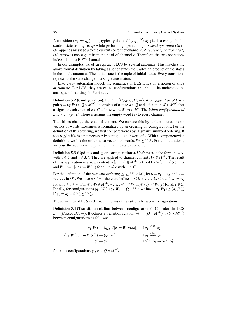A transition  $(q_1, op, q_2) \in \rightarrow$ , typically denoted by  $q_1 \stackrel{op}{\rightarrow} q_2$  yields a change in the control state from *q*<sup>1</sup> to *q*<sup>2</sup> while performing operation *op*. A *send operation c*!*a* in *OP* appends message *a* to the current content of channel *c*. A *receive operation c*? $a \in$ *OP* removes message *a* from the head of channel *c*. Therefore, the two operations indeed define a FIFO channel.

In our examples, we often represent LCS by several automata. This matches the above formal definition by taking as set of states the Cartesian product of the states in the single automata. The initial state is the tuple of initial states. Every transitions represents the state change in a single automaton.

Like every automaton model, the semantics of LCS relies on a notion of *state at runtime*. For LCS, they are called configurations and should be understood as analogue of markings in Petri nets.

**Definition 5.2 (Configuration).** Let  $L = (Q, q_0, C, M, \rightarrow)$ . A *configuration of L* is a pair  $\gamma = (q, W) \in Q \times {M^*}^C$  . It consists of a state  $q \in Q$  and a function  $W \in {M^*}^C$  that assigns to each channel  $c \in C$  a finite word  $W(c) \in M^*$ . The *initial configuration of L* is  $\gamma_0 := (q_0, \varepsilon)$  where  $\varepsilon$  assigns the empty word  $(\varepsilon)$  to every channel.

Transitions change the channel content. We capture this by update operations on vectors of words. Lossiness is formalized by an ordering on configurations. For the definition of this ordering, we first compare words by Higman's subword ordering. It sets  $u \leq^* v$  if *u* is a not necessarily contiguous subword of *v*. With a componentwise definition, we lift the ordering to vectors of words,  $W_1 \preceq^* W_2$ . For configurations, we pose the additional requirement that the states coincide.

**Definition 5.3 (Updates and**  $\leq$  **on configurations).** *Updates* take the form  $[c := x]$ with *c*  $\in$  *C* and *x*  $\in$  *M*<sup>\*</sup>. They are applied to channel contents  $W \in M^{*C}$ . The result of this application is a new content  $W[c := x] \in M^{*C}$  defined by  $W[c := x](c) := x$ and  $W[c := x](c') := W(c')$  for all  $c' \neq c$  with  $c' \in C$ .

For the definition of the *subword ordering*  $\preceq^* \subseteq M^* \times M^*$ , let  $u = u_1 \dots u_m$  and  $v =$  $v_1 \dots v_n$  in  $M^*$ . We have  $u \leq v$  if there are indices  $1 \leq i_1 < \dots < i_m \leq n$  with  $u_j = v_{i_j}$ for all  $1 \le j \le m$ . For  $W_1, W_2 \in M^{*C}$ , we set  $W_1 \preceq^* W_2$  if  $W_1(c) \preceq^* W_2(c)$  for all  $c \in C$ . Finally, for configurations  $(q_1, W_1), (q_2, W_2) \in \mathbb{Q} \times M^{*C}$  we have  $(q_1, W_1) \preceq (q_2, W_2)$ if  $q_1 = q_2$  and  $W_1 \preceq^* W_2$ .

The semantics of LCS is defined in terms of transitions between configurations.

Definition 5.4 (Transition relation between configurations). Consider the LCS  $L = (Q, q_0, C, M, \rightarrow)$ . It defines a transition relation  $\rightarrow \subseteq (Q \times M^{*C}) \times (Q \times M^{*C})$ between configurations as follows:

$$
(q_1, W) \to (q_2, W[c := W(c).m]) \quad \text{if } q_1 \xrightarrow{c \text{ } m} q_2
$$

$$
(q_1, W[c := m.W(c)]) \to (q_2, W) \quad \text{if } q_1 \xrightarrow{c \text{ } m} q_2
$$

$$
\gamma'_1 \to \gamma'_2 \quad \text{if } \gamma'_1 \succeq \gamma_1 \to \gamma_2 \succeq \gamma'_2
$$

for some configurations  $\gamma_1, \gamma_2 \in Q \times M^{*C}$ .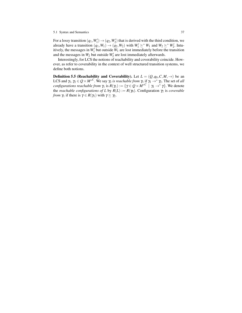#### 5.1 Syntax and Semantics 37

For a lossy transition  $(q_1, W_1') \rightarrow (q_2, W_2')$  that is derived with the third condition, we already have a transition  $(q_1, W_1) \rightarrow (q_2, W_2)$  with  $W_1' \succeq^* W_1$  and  $W_2 \succeq^* W_2'$ . Intuitively, the messages in  $W_1'$  but outside  $W_1$  are lost immediately before the transition and the messages in  $W_2$  but outside  $W'_2$  are lost immediately afterwards.

Interestingly, for LCS the notions of reachability and coverability coincide. However, as refer to coverability in the context of well structured transition systems, we define both notions.

**Definition 5.5 (Reachability and Coverability).** Let  $L = (Q, q_0, C, M, \rightarrow)$  be an LCS and  $\gamma_1, \gamma_2 \in Q \times M^{*C}$ . We say  $\gamma_2$  *is reachable from*  $\gamma_1$  if  $\gamma_1 \to^* \gamma_2$ . The set of *all configurations reachable from*  $\gamma_1$  is  $R(\gamma_1) := \{ \gamma \in Q \times M^{*C} \mid \gamma_1 \to^* \gamma \}$ . We denote the *reachable configurations of L* by  $R(L) := R(\gamma_0)$ . Configuration  $\gamma_2$  is *coverable from*  $\gamma_1$  if there is  $\gamma \in R(\gamma_1)$  with  $\gamma \succeq \gamma_2$ .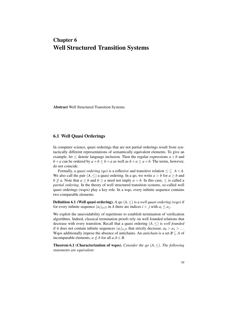## Chapter 6 Well Structured Transition Systems

Abstract Well Structured Transition Systems

## 6.1 Well Quasi Orderings

In computer science, quasi orderings that are not partial orderings result from syntactically different representations of semantically equivalent elements. To give an example, let  $\leq$  denote language inclusion. Then the regular expressions  $a + b$  and *b*+*a* can be ordered by  $a + b \leq b + a$  as well as  $b + a \leq a + b$ . The terms, however, do not coincide.

Formally, a *quasi ordering (qo)* is a reflexive and transitive relation  $\leq \subseteq A \times A$ . We also call the pair  $(A, \leq)$  a quasi ordering. In a qo, we write  $a > b$  for  $a \geq b$  and *b*  $\ngeq$  *a*. Note that *a*  $\geq$  *b* and *b*  $\geq$  *a* need not imply *a* = *b*. In this case,  $\leq$  is called a *partial ordering*. In the theory of well structured transition systems, so-called well quasi orderings (wqos) play a key role. In a wqo, every infinite sequence contains two comparable elements.

**Definition 6.1 (Well quasi ordering).** A go  $(A, \leq)$  is a *well quasi ordering (wqo)* if for every infinite sequence  $(a_i)_{i \in \mathbb{N}}$  in *A* there are indices  $i < j$  with  $a_i \leq a_j$ .

We exploit the unavoidability of repetitions to establish termination of verification algorithms. Indeed, classical termination proofs rely on well founded relations that decrease with every transition. Recall that a quasi ordering  $(A, \leq)$  is *well founded* if it does not contain infinite sequences  $(a_i)_{i \in \mathbb{N}}$  that strictly decrease,  $a_0 > a_1 > \ldots$ Wqos additionally impose the absence of antichains. An *antichain* is a set  $B \subseteq A$  of incomparable elements,  $a \nleq b$  for all  $a, b \in B$ .

Theorem 6.1 (Characterization of wqos). *Consider the qo* (*A*,≤)*. The following statements are equivalent:*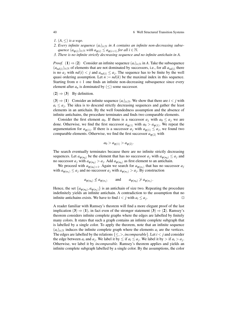#### 40 6 Well Structured Transition Systems

- *1.* (*A*,≤) *is a wqo.*
- 2. Every infinite sequence  $(a_i)_{i \in \mathbb{N}}$  in A contains an infinite non-decreasing subse- $\mathcal{L}$  *quence*  $(a_{\varphi(i)})_{i \in \mathbb{N}}$  *with*  $a_{\varphi(i)} \leq a_{\varphi(i+1)}$  for all  $i \in \mathbb{N}$ .
- *3. There is no infinite strictly decreasing sequence and no infinite antichain in A.*

*Proof.* (1)  $\Rightarrow$  (2) Consider an infinite sequence  $(a_i)_{i \in \mathbb{N}}$  in *A*. Take the subsequence  $(a_{nd(i)})_{i \in \mathbb{N}}$  of elements that are not dominated by successors, i.e., for all  $a_{nd(i)}$  there is no  $a_j$  with  $nd(i) < j$  and  $a_{nd(i)} \leq a_j$ . The sequence has to be finite by the well quasi ordering assumption. Let  $n := nd(k)$  be the maximal index in this sequence. Starting from  $n+1$  one finds an infinite non-decreasing subsequence since every element after  $a_n$  is dominated by  $(\le)$  some successor.

 $(2) \Rightarrow (3)$  By definition.

 $(3) \Rightarrow (1)$  Consider an infinite sequence  $(a_i)_{i \in \mathbb{N}}$ . We show that there are  $i < j$  with  $a_i \le a_j$ . The idea is to descend strictly decreasing sequences and gather the least elements in an antichain. By the well foundedness assumption and the absence of infinite antichains, the procedure terminates and finds two comparable elements.

Consider the first element  $a_0$ . If there is a successor  $a_j$  with  $a_0 \leq a_j$  we are done. Otherwise, we find the first successor  $a_{\varphi(1)}$  with  $a_0 > a_{\varphi(1)}$ . We repeat the argumentation for  $a_{\varphi(1)}$ . If there is a successor  $a_j$  with  $a_{\varphi(1)} \le a_j$ , we found two comparable elements. Otherwise, we find the first successor  $a_{\varphi(2)}$  with

$$
a_0 > a_{\varphi(1)} > a_{\varphi(2)}.
$$

The search eventually terminates because there are no infinite strictly decreasing sequences. Let  $a_{\varphi(n_0)}$  be the element that has no successor  $a_j$  with  $a_{\varphi(n_0)} \leq a_j$  and no successor  $a_j$  with  $a_{\varphi(n_0)} > a_j$ . Add  $a_{\varphi(n_0)}$  as first element to an antichain.

We proceed with  $a_{\varphi(n_0)+1}$ . Again we search for  $a_{\varphi(n_1)}$  that has no successor  $a_j$ with  $a_{\varphi(n_1)} \le a_j$  and no successor  $a_j$  with  $a_{\varphi(n_1)} > a_j$ . By construction

$$
a_{\varphi(n_0)} \nleq a_{\varphi(n_1)}
$$
 and  $a_{\varphi(n_0)} \ngeq a_{\varphi(n_1)}$ .

Hence, the set  $\{a_{\varphi(n_0)}, a_{\varphi(n_1)}\}$  is an antichain of size two. Repeating the procedure indefinitely yields an infinite antichain. A contradiction to the assumption that no infinite antichains exists. We have to find  $i < j$  with  $a_i \leq a_j$ . . The contract of  $\Box$ 

A reader familiar with Ramsey's theorem will find a more elegant proof of the last implication (3)  $\Rightarrow$  (1), in fact even of the stronger statement (3)  $\Rightarrow$  (2). Ramsey's theorem considers infinite complete graphs where the edges are labelled by finitely many colors. It states that such a graph contains an infinite complete subgraph that is labelled by a single color. To apply the theorem, note that an infinite sequence  $(a_i)_{i \in \mathbb{N}}$  induces the infinite complete graph where the elements  $a_i$  are the vertices. The edges are labelled by the relations  $\{\leq,>,\text{incomparable}\}\$ . Let  $i < j$  and consider the edge between  $a_i$  and  $a_j$ . We label it by  $\leq$  if  $a_i \leq a_j$ . We label it by  $>$  if  $a_i > a_j$ . Otherwise, we label it by *incomparable*. Ramsey's theorem applies and yields an infinite complete subgraph labelled by a single color. By the assumptions, the color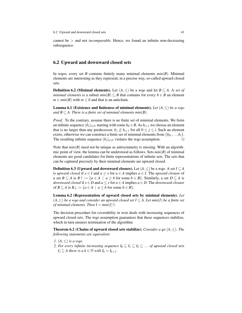cannot be > and not *incomparable*. Hence, we found an infinite non-decreasing subsequence.

### 6.2 Upward and downward closed sets

In wqos, every set *B* contains finitely many minimal elements  $min(B)$ . Minimal elements are interesting as they represent, in a precise way, so-called upward closed sets.

**Definition 6.2 (Minimal elements).** Let  $(A, \leq)$  be a wqo and let  $B \subseteq A$ . A *set of minimal elements* is a subset  $min(B) \subseteq B$  that contains for every  $b \in B$  an element  $m \in min(B)$  with  $m \leq b$  and that is an antichain.

Lemma 6.1 (Existence and finiteness of minimal elements). *Let* (*A*,≤) *be a wqo and*  $B \subseteq A$ *. There is a finite set of minimal elements min(B).* 

*Proof.* To the contrary, assume there is no finite set of minimal elements. We form an infinite sequence  $(b_i)_{i\in\mathbb{N}}$  starting with some  $b_0 \in B$ . As  $b_{i+1}$  we choose an element that is no larger than any predecessor,  $b_j \nleq b_{i+1}$  for all  $0 \leq j \leq i$ . Such an element exists, otherwise we can construct a finite set of minimal elements from  $\{b_0, \ldots, b_i\}$ . The resulting infinite sequence  $(b_i)_{i \in \mathbb{N}}$  violates the wqo assumption.

Note that  $min(B)$  need not be unique as antisymmetry is missing. With an algorithmic point of view, the lemma can be understood as follows. Sets *min*(*B*) of minimal elements are good candidates for finite representations of infinite sets. The sets that can be captured precisely by their minimal elements are upward closed.

**Definition 6.3 (Upward and downward closure).** Let  $(A, \leq)$  be a wqo. A set  $I \subseteq A$ is *upward closed* if  $x \in I$  and  $a \ge x$  for  $a \in A$  implies  $a \in I$ . The *upward closure* of a set  $B \subseteq A$  is  $B \cap \{a \in A \mid a \geq b \text{ for some } b \in B\}$ . Similarly, a set  $D \subseteq A$  is *downward closed* if  $x \in D$  and  $a \leq x$  for  $a \in A$  implies  $a \in D$ . The *downward closure* of  $B \subseteq A$  is  $B \downarrow := \{a \in A \mid a \le b$  for some  $b \in B\}$ .

Lemma 6.2 (Representation of upward closed sets by minimal elements). *Let* (*A*,≤) *be a wqo and consider an upward closed set I* ⊆ *A. Let min*(*I*) *be a finite set of minimal elements. Then*  $I = min(I)$ <sup> $\uparrow$ </sup>.

The decision procedure for coverability in wsts deals with increasing sequences of upward closed sets. The wqo assumption guarantees that these sequences stabilize, which in turn ensures termination of the algorithm.

Theorem 6.2 (Chains of upward closed sets stabilize). *Consider a qo* (*A*,≤)*. The following statements are equivalent:*

- *1.* (*A*,≤) *is a wqo.*
- *2. For every infinite increasing sequence*  $I_0 \subseteq I_1 \subseteq I_2 \subseteq \ldots$  *of upward closed sets*  $I_j \subseteq A$  there is a  $k \in \mathbb{N}$  with  $I_k = I_{k+1}$ .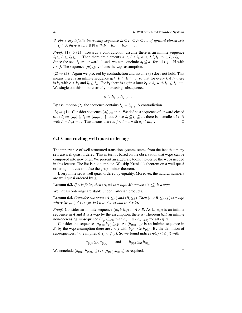42 6 Well Structured Transition Systems

*3. For every infinite increasing sequence*  $I_0 \subseteq I_1 \subseteq I_2 \subseteq \ldots$  *of upward closed sets*  $I_j \subseteq A$  there is an  $l \in \mathbb{N}$  with  $I_l = I_{l+1} = I_{l+2} = \ldots$ 

*Proof.* (1)  $\Rightarrow$  (2) Towards a contradiction, assume there is an infinite sequence  $I_0 \subsetneq I_1 \subsetneq I_2 \subsetneq \ldots$  Then there are elements  $a_0 \in I_1 \setminus I_0$ ,  $a_1 \in I_2 \setminus I_1$ ,  $a_2 \in I_3 \setminus I_2$ , ... Since the sets  $I_j$  are upward closed, we can conclude  $a_i \nleq a_j$  for all  $i, j \in \mathbb{N}$  with  $i < j$ . The sequence  $(a_i)_{i \in \mathbb{N}}$  violates the wqo assumption.

 $(2) \Rightarrow (3)$  Again we proceed by contradiction and assume (3) does not hold. This means there is an infinite sequence  $I_0 \subseteq I_1 \subseteq I_2 \subseteq \ldots$  so that for every  $k \in \mathbb{N}$  there is  $k_1$  with  $k < k_1$  and  $I_k \subsetneq I_{k_1}$ . For  $k_1$  there is again a later  $k_1 < k_2$  with  $I_{k_1} \subsetneq I_{k_2}$  etc. We single out this infinite strictly increasing subsequence.

$$
I_k\subsetneq I_{k_1}\subsetneq I_{k_2}\subsetneq\ldots
$$

By assumption (2), the sequence contains  $I_{k_j} = I_{k_{j+1}}$ . A contradiction.

(3)  $\Rightarrow$  (1) Consider sequence  $(a_i)_{i \in \mathbb{N}}$  in *A*. We define a sequence of upward closed sets:  $I_0 := \{a_0\} \uparrow$ ,  $I_1 := \{a_0, a_1\} \uparrow$ , etc. Since  $I_0 \subseteq I_1 \subseteq \ldots$  there is a smallest  $l \in \mathbb{N}$ with  $I_l = I_{l+1} = \dots$  This means there is  $j < l+1$  with  $a_j \le a_{l+1}$ .

### 6.3 Constructing well quasi orderings

The importance of well structured transition systems stems from the fact that many sets are well quasi ordered. This in turn is based on the observation that wqos can be composed into new ones. We present an algebraic toolkit to derive the wqos needed in this lecture. The list is not complete. We skip Kruskal's theorem on a well quasi ordering on trees and also the graph minor theorem.

Every finite set is well quasi ordered by equality. Moreover, the natural numbers are well quasi ordered by  $\leq$ .

**Lemma 6.3.** *If A is finite, then*  $(A, =)$  *is a wqo. Moreover,*  $(\mathbb{N}, \leq)$  *is a wqo.* 

Well quasi orderings are stable under Cartesian products.

**Lemma 6.4.** *Consider two wqos*  $(A, \leq_A)$  *and*  $(B, \leq_B)$ *. Then*  $(A \times B, \leq_{A \times B})$  *is a wqo where*  $(a_1, b_1) \leq_{A \times B} (a_2, b_2)$  *if*  $a_1 \leq_A a_2$  *and*  $b_1 \leq_B b_2$ *.* 

*Proof.* Consider an infinite sequence  $(a_i, b_i)_{i \in \mathbb{N}}$  in  $A \times B$ . As  $(a_i)_{i \in \mathbb{N}}$  is an infinite sequence in *A* and *A* is a wqo by the assumption, there is (Theorem 6.1) an infinite non-decreasing subsequence  $(a_{\varphi(i)})_{i \in \mathbb{N}}$  with  $a_{\varphi(i)} \leq A a_{\varphi(i+1)}$  for all  $i \in \mathbb{N}$ .

Consider the sequence  $(a_{\varphi(i)}, b_{\varphi(i)})_{i \in \mathbb{N}}$ . As  $(b_{\varphi(i)})_{i \in \mathbb{N}}$  is an infinite sequence in *B*, by the wqo assumption there are  $i < j$  with  $b_{\varphi(i)} \leq_B b_{\varphi(j)}$ . By the definition of subsequences,  $i < j$  implies  $\varphi(i) < \varphi(j)$ . So we found indices  $\varphi(i) < \varphi(j)$  with

$$
a_{\varphi(i)} \leq_A a_{\varphi(j)}
$$
 and  $b_{\varphi(i)} \leq_B b_{\varphi(j)}$ .

We conclude  $(a_{\varphi(i)}, b_{\varphi(i)}) \leq_{A \times B} (a_{\varphi(j)}, b_{\varphi(j)})$  as required.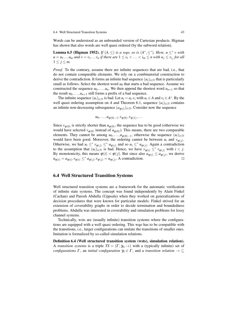Words can be understood as an unbounded version of Cartesian products. Higman has shown that also words are well quasi ordered (by the subword relation).

**Lemma 6.5 (Higman 1952).** *If*  $(A, \leq)$  *is a wqo, so is*  $(A^*, \leq^*)$ *. Here, u*  $\leq^*$  *v with*  $u = u_1 \dots u_m$  and  $v = v_1 \dots v_n$  *if there are*  $1 \leq i_1 < \dots < i_m \leq n$  with  $u_j \leq v_{i_j}$  for all  $1 \leq j \leq m$ .

*Proof.* To the contrary, assume there are infinite sequences that are bad, i.e., that do not contain comparable elements. We rely on a combinatorial construction to derive the contradiction. It forms an infinite bad sequence  $(u_i)_{i\in\mathbb{N}}$  that is particularly small as follows. Select the shortest word  $u_0$  that starts a bad sequence. Assume we constructed the sequence  $u_0, \ldots, u_n$ . We then append the shortest word  $u_{n+1}$  so that the result  $u_0, \ldots, u_{n+1}$  still forms a prefix of a bad sequence.

The infinite sequence  $(u_i)_{i \in \mathbb{N}}$  is bad. Let  $u_i = a_i \cdot v_i$  with  $a_i \in A$  and  $v_i \in A^*$ . By the well quasi ordering assumption on *A* and Theorem 6.1, sequence  $(a_i)_{i \in \mathbb{N}}$  contains an infinite non-decreasing subsequence  $(a_{\varphi(i)})_{i \in \mathbb{N}}$ . Consider now the sequence

$$
u_0,\ldots,u_{\varphi(0)-1},v_{\varphi(0)},v_{\varphi(1)},\ldots
$$

Since  $v_{\varphi(0)}$  is strictly shorter than  $u_{\varphi(0)}$ , the sequence has to be good (otherwise we would have selected  $v_{\varphi(0)}$  instead of  $u_{\varphi(0)}$ ). This means, there are two comparable elements. They cannot be among  $u_0, \ldots, u_{\varphi(0)-1}$ , otherwise the sequence  $(u_i)_{i \in \mathbb{N}}$ would have been good. Moreover, the ordering cannot be between  $u_i$  and  $v_{\varphi(j)}$ . Otherwise, we had  $u_i \leq^* v_{\varphi(j)} \leq^* u_{\varphi(j)}$  and so  $u_i \leq^* u_{\varphi(j)}$ . Again a contradiction to the assumption that  $(u_i)_{i \in \mathbb{N}}$  is bad. Hence, we have  $v_{\varphi(i)} \leq^* v_{\varphi(j)}$  with  $i < j$ . By monotonicity, this means  $\varphi(i) < \varphi(j)$ . But since also  $a_{\varphi(i)} \le a_{\varphi(j)}$ , we derive  $u_{\varphi(i)} = a_{\varphi(i)} \cdot v_{\varphi(i)} \leq^* a_{\varphi(j)} \cdot v_{\varphi(j)} = u_{\varphi(j)}$ . A contradiction.

### 6.4 Well Structured Transition Systems

Well structured transition systems are a framework for the automatic verification of infinite state systems. The concept was found independently by Alain Finkel (Cachan) and Parosh Abdulla (Uppsala) when they worked on generalizations of decision procedures that were known for particular models. Finkel strived for an extension of coverability graphs in order to decide termination and boundedness problems. Abdulla was interested in coverability and simulation problems for lossy channel systems.

Technically, wsts are (usually infinite) transition systems where the configurations are equipped with a well quasi ordering. This wqo has to be compatible with the transitions, i.e., larger configurations can imitate the transitions of smaller ones. Imitation is formalized by so-called simulation relations.

Definition 6.4 (Well structured transition system (wsts), simulation relation). A *transition systems* is a triple  $TS = (\Gamma, \gamma_0, \rightarrow)$  with a (typically infinite) set of *configurations*  $\Gamma$ , an *initial configuration*  $\gamma_0 \in \Gamma$ , and a *transition relation*  $\rightarrow \subseteq$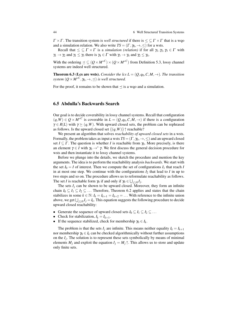44 6 Well Structured Transition Systems

 $\Gamma \times \Gamma$ . The transition system is *well structured* if there is  $\leq \Gamma \times \Gamma$  that is a wqo and a simulation relation. We also write  $TS = (\Gamma, \gamma_0, \rightarrow, \leq)$  for a wsts.

Recall that  $\leq \subseteq \Gamma \times \Gamma$  is a *simulation (relation)* if for all  $\gamma_1, \gamma_2, \gamma_3 \in \Gamma$  with  $\gamma_1 \rightarrow \gamma_2$  and  $\gamma_1 \leq \gamma_3$  there is  $\gamma_4 \in \Gamma$  with  $\gamma_3 \rightarrow \gamma_4$  and  $\gamma_2 \leq \gamma_4$ .

With the ordering  $\leq \leq (Q \times M^{*C}) \times (Q \times M^{*C})$  from Definition 5.3, lossy channel systems are indeed well structured.

**Theorem 6.3 (Lcs are wsts).** *Consider the lcs L* =  $(Q, q_0, C, M, \rightarrow)$ *. The transition*  $system\left(Q\times M^{\ast}{}^{C},\gamma_{0},\rightarrow,\preceq\right)$  *is well structured.* 

For the proof, it remains to be shown that  $\preceq$  is a wqo and a simulation.

## 6.5 Abdulla's Backwards Search

Our goal is to decide coverability in lossy channel systems. Recall that configuration  $(q, W)$  ∈  $Q \times M^{*C}$  is coverable in  $L = (Q, q_0, C, M, \rightarrow)$  if there is a configuration  $\gamma \in R(L)$  with  $\gamma \succeq (q, W)$ . With upward closed sets, the problem can be rephrased as follows. Is the upward closed set  $\{(q, W)\}\uparrow$  reachable?

We present an algorithm that solves *reachability of upward closed sets* in a wsts. Formally, the problem takes as input a wsts  $TS = (\Gamma, \gamma_0, \rightarrow, \leq)$  and an upward closed set  $I \subseteq \Gamma$ . The question is whether *I* is reachable from  $\gamma_0$ . More precisely, is there an element  $\gamma \in I$  with  $\gamma_0 \to^* \gamma$ . We first discuss the general decision procedure for wsts and then instantiate it to lossy channel systems.

Before we plunge into the details, we sketch the procedure and mention the key arguments. The idea is to perform the reachability analysis *backwards*. We start with the set  $I_0 = I$  of interest. Then we compute the set of configurations  $I_1$  that reach *I* in at most one step. We continue with the configurations  $I_2$  that lead to  $I$  in up to two steps and so on. The procedure allows us to reformulate reachability as follows. The set *I* is reachable form  $\gamma_0$  if and only if  $\gamma_0 \in \bigcup_{j \geq 0} I_j$ .

The sets  $I_j$  can be shown to be upward closed. Moreover, they form an infinite chain  $I_0 \subseteq I_1 \subseteq I_2 \subseteq \ldots$  Therefore, Theorem 6.2 applies and states that the chain stabilizes in some  $k \in \mathbb{N}$ :  $I_k = I_{k+1} = I_{k+2} = \dots$  With reference to the infinite union above, we get  $\bigcup_{j\geq 0} I_j = I_k$ . This equation suggests the following procedure to decide upward closed reachability:

- Generate the sequence of upward closed sets  $I_0 \subseteq I_1 \subseteq I_2 \subseteq \ldots$
- Check for stabilization,  $I_k = I_{k+1}$ .
- If the sequence stabilized, check for membership  $\gamma_0 \in I_k$ .

The problem is that the sets  $I_j$  are infinite. This means neither equality  $I_k = I_{k+1}$ nor membership  $\gamma_0 \in I_k$  can be checked algorithmically without further assumptions on the *I<sup>j</sup>* . The solution is to represent these sets symbolically by means of minimal elements  $M_j$  and exploit the equation  $I_j = M_j \uparrow$ . This allows us to store and update only finite sets.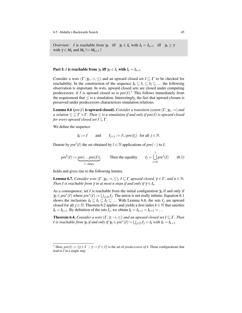Overview: *I* is reachable from  $\gamma_0$  iff  $\gamma_0 \in I_k$  with  $I_k = I_{k+1}$  iff  $\gamma_0 \ge \gamma$ with  $\gamma \in M_k$  and  $M_k \uparrow = M_{k+1} \uparrow$ 

Part I: *I* is reachable from  $\gamma_0$  iff  $\gamma_0 \in I_k$  with  $I_k = I_{k+1}$ 

Consider a wsts  $(\Gamma, \gamma_0, \rightarrow, \leq)$  and an upward closed set  $I \subseteq \Gamma$  to be checked for reachability. In the construction of the sequence  $I_0 \subseteq I_1 \subseteq I_2 \subseteq \ldots$  the following observation is important. In wsts, upward closed sets are closed under computing predecessors: if *I* is upward closed so is  $pre(I)$ .<sup>1</sup> This follows immediately from the requirement that  $\leq$  is a simulation. Interestingly, the fact that upward closure is preserved under predecessors characterizes simulation relations.

**Lemma 6.6** (*pre*(*I*) is upward closed). *Consider a transition system* ( $\Gamma$ ,  $\gamma$ <sub>0</sub>,  $\rightarrow$ ) *and a relation*  $\leq \subseteq \Gamma \times \Gamma$ *. Then*  $\leq$  *is a simulation if and only if pre(I) is upward closed for every upward closed set*  $I \subseteq \Gamma$ *.* 

We define the sequence

$$
I_0 := I \qquad \text{and} \qquad I_{j+1} := I \cup pre(I_j) \text{ for all } j \in \mathbb{N}.
$$

Denote by  $pre^{l}(I)$  the set obtained by  $l \in \mathbb{N}$  applications of  $pre(-)$  to *I*:

$$
pre^{l}(I) := \underbrace{pre(...pre(I))}_{l-\text{times}}.
$$
 Then the equality  $I_{j} = \bigcup_{l=0}^{j} pre^{l}(I)$  (6.1)

holds and gives rise to the following lemma.

**Lemma 6.7.** *Consider wsts*  $(\Gamma, \gamma_0, \rightarrow, \leq), I \subseteq \Gamma$  *upward closed,*  $\gamma \in \Gamma$ *, and*  $n \in \mathbb{N}$ *. Then I is reachable from*  $\gamma$  *in at most n steps if and only if*  $\gamma \in I_n$ *.* 

As a consequence, set *I* is reachable from the initial configuration  $\gamma_0$  if and only if  $\gamma_0 \in pre^*(I)$  where  $pre^*(I) := \bigcup_{j \in \mathbb{N}} I_j$ . The union is not really infinite. Equation 6.1 shows the inclusions  $I_0 \subseteq I_1 \subseteq I_2 \subseteq \dots$  With Lemma 6.6, the sets  $I_i$  are upward closed for all  $j \in \mathbb{N}$ . Theorem 6.2 applies and yields a first index  $k \in \mathbb{N}$  that satisfies  $I_k = I_{k+1}$ . By definition of the sets  $I_j$ , we obtain  $I_k = I_{k+1} = I_{k+2} = \dots$ 

**Theorem 6.4.** *Consider a wsts*  $(\Gamma, \gamma, \rightarrow, \leq)$  *and an upward closed set*  $I \subseteq \Gamma$ *. Then I* is reachable from  $\gamma_0$  if and only if  $\gamma_0 \in pre^*(I) = \bigcup_{j \in \mathbb{N}} I_j = I_k$  with  $I_k = I_{k+1}$ .

<sup>&</sup>lt;sup>1</sup> Here,  $pre(I) := \{ \gamma \in \Gamma \mid \gamma \to \gamma' \in I \}$  is the set of *predecessors of I*. Those configurations that lead to *I* in a single step.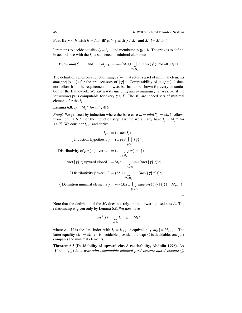46 6 Well Structured Transition Systems

Part II:  $\gamma_0 \in I_k$  with  $I_k = I_{k+1}$  iff  $\gamma_0 \geq \gamma$  with  $\gamma \in M_k$  and  $M_k \uparrow = M_{k+1} \uparrow$ 

It remains to decide equality  $I_k = I_{k+1}$  and membership  $\gamma_0 \in I_k$ . The trick is to define, in accordance with the  $I_j$ , a sequence of minimal elements:

$$
M_0 := min(I) \quad \text{and} \quad M_{j+1} := min(M_0 \cup \bigcup_{\gamma \in M_j} minpre(\gamma)) \text{ for all } j \in \mathbb{N}.
$$

The definition relies on a function *minpre*(−) that returns a set of minimal elements *min*( $pre({\gamma \nmid \gamma})$ ) for the predecessors of  ${\gamma}$  ↑. Computability of *minpre*(-) does not follow from the requirements on wsts but has to be shown for every instantiation of the framework. We say a wsts *has computable minimal predecessors* if the set  $minpre(\gamma)$  is computable for every  $\gamma \in \Gamma$ . The  $M_j$  are indeed sets of minimal elements for the *I<sup>j</sup>* .

**Lemma 6.8.**  $I_j = M_j \uparrow$  *for all*  $j \in \mathbb{N}$ .

*Proof.* We proceed by induction where the base case  $I_0 = min(I) \uparrow = M_0 \uparrow$  follows from Lemma 6.2. For the induction step, assume we already have  $I_i = M_i \uparrow$  for  $j \in \mathbb{N}$ . We consider  $I_{j+1}$  and derive

$$
I_{j+1} = I \cup pre(I_j)
$$
  
\n{ Induction hypothesis } = I \cup pre(\bigcup\_{\gamma \in M\_j} {\gamma} \uparrow)  
\n{ Distributivity of pre(-) over  $\cup$  } = I \cup \bigcup\_{\gamma \in M\_j} pre({\gamma} \uparrow)  
\n{  $pre({\gamma} \uparrow \uparrow)$  upward closed } = M\_0 \uparrow \cup \bigcup\_{\gamma \in M\_j} min(pre({\gamma} \uparrow \uparrow)) \uparrow  
\n{ Distributivity  $\uparrow$  over  $\cup$  } = (M\_0 \cup \bigcup\_{\gamma \in M\_j} min(pre({\gamma} \uparrow \uparrow))) \uparrow  
\n{ Definition minimal elements } = min(M\_0 \cup \bigcup\_{\gamma \in M\_j} min(pre({\gamma} \uparrow \uparrow))) \uparrow = M\_{j+1} \uparrow

Note that the definition of the *M<sup>j</sup>* does not rely on the upward closed sets *I<sup>j</sup>* . The relationship is given only by Lemma 6.8. We now have

$$
pre^*(I) = \bigcup_{j \in \mathbb{N}} I_j = I_k = M_k \uparrow
$$

where  $k \in \mathbb{N}$  is the first index with  $I_k = I_{k+1}$  or equivalently  $M_k \uparrow = M_{k+1} \uparrow$ . The latter equality  $M_k \uparrow = M_{k+1} \uparrow$  is decidable provided the wqo  $\leq$  is decidable: one just compares the minimal elements.

Theorem 6.5 (Decidability of upward closed reachability, Abdulla 1996). *Let*  $(\Gamma, \gamma_0, \rightarrow, \leq)$  *be a wsts with computable minimal predecessors and decidable*  $\leq$ *.*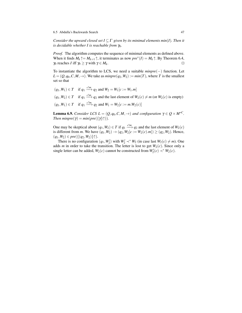6.5 Abdulla's Backwards Search 47

*Consider the upward closed set*  $I \subseteq \Gamma$  *given by its minimal elements min(I). Then it is decidable whether I is reachable from*  $γ<sub>0</sub>$ *.* 

*Proof.* The algorithm computes the sequence of minimal elements as defined above. When it finds  $M_k \uparrow = M_{k+1} \uparrow$ , it terminates as now  $pre^*(I) = M_k \uparrow$ . By Theorem 6.4,  $\gamma_0$  reaches *I* iff  $\gamma_0 \geq \gamma$  with  $\gamma \in M_k$ . . The contract of the contract of the contract of the contract of the contract of the contract of the contract of the contract of the contract of the contract of the contract of the contract of the contract of the contract

To instantiate the algorithm to LCS, we need a suitable *minpre*(−) function. Let  $L = (Q, q_0, C, M, \rightarrow)$ . We take as  $minpre(q_2, W_2) := min(T)$ , where *T* is the smallest set so that

$$
(q_1, W_1) \in T \quad \text{if } q_1 \xrightarrow{c \mid m} q_2 \text{ and } W_2 = W_1[c := W_1.m]
$$
\n
$$
(q_1, W_2) \in T \quad \text{if } q_1 \xrightarrow{c \mid m} q_2 \text{ and the last element of } W_2(c) \neq m \text{ (or } W_2(c) \text{ is empty)}
$$
\n
$$
(q_1, W_1) \in T \quad \text{if } q_1 \xrightarrow{c \mid m} q_2 \text{ and } W_1 = W_2[c := m.W_2(c)]
$$

**Lemma 6.9.** *Consider LCS*  $L = (Q, q_0, C, M, \rightarrow)$  *and configuration*  $\gamma \in Q \times M^{*C}$ *. Then minpre* $(\gamma) = min(pre(\{\gamma\})).$ 

One may be skeptical about  $(q_1, W_2) \in T$  if  $q_1 \xrightarrow{c \text{!} m} q_2$  and the last element of  $W_2(c)$ is different from *m*. We have  $(q_1, W_2) \to (q_2, W_2[c := W_2(c).m]) \ge (q_2, W_2)$ . Hence,  $(q_1, W_2) \in pre(\{(q_2, W_2)\}\uparrow).$ 

There is no configuration  $(q_1, W_2')$  with  $W_2' \prec^* W_2$  (in case last  $W_2(c) \neq m$ ). One adds *m* in order to take the transition. The letter is lost to get  $W_2(c)$ . Since only a single letter can be added,  $W_2(c)$  cannot be constructed from  $W'_2(c) \prec^* W_2(c)$ .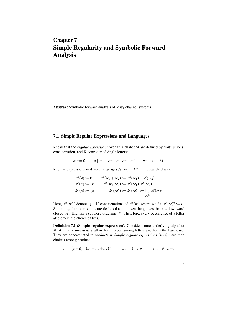## Chapter 7 Simple Regularity and Symbolic Forward Analysis

Abstract Symbolic forward analysis of lossy channel systems

## 7.1 Simple Regular Expressions and Languages

Recall that the *regular expressions* over an alphabet *M* are defined by finite unions, concatenation, and Kleene star of single letters:

 $re ::= \emptyset \mid \varepsilon \mid a \mid re_1 + re_2 \mid re_1 \cdot re_2 \mid re^*$  where  $a \in M$ .

Regular expressions *re* denote languages  $\mathscr{L}(re) \subseteq M^*$  in the standard way:

$$
\mathcal{L}(\emptyset) := \emptyset \qquad \mathcal{L}(re_1 + re_2) := \mathcal{L}(re_1) \cup \mathcal{L}(re_2)
$$

$$
\mathcal{L}(\varepsilon) := \{\varepsilon\} \qquad \mathcal{L}(re_1 \cdot re_2) := \mathcal{L}(re_1) \cdot \mathcal{L}(re_2)
$$

$$
\mathcal{L}(a) := \{a\} \qquad \qquad \mathcal{L}(re^*) := \mathcal{L}(re)^* := \bigcup_{j \in \mathbb{N}} \mathcal{L}(re)^j
$$

Here,  $\mathscr{L}(re)^j$  denotes  $j \in \mathbb{N}$  concatenations of  $\mathscr{L}(re)$  where we fix  $\mathscr{L}(re)^0 := \varepsilon$ . Simple regular expressions are designed to represent languages that are downward closed wrt. Higman's subword ordering  $\preceq^*$ . Therefore, every occurrence of a letter also offers the choice of loss.

Definition 7.1 (Simple regular expression). Consider some underlying alphabet *M*. *Atomic expressions e* allow for choices among letters and form the base case. They are concatenated to *products p*. *Simple regular expressions (sres) r* are then choices among products:

$$
e ::= (a + \varepsilon) \mid (a_1 + \ldots + a_m)^* \qquad p ::= \varepsilon \mid e.p \qquad r ::= \emptyset \mid p + r
$$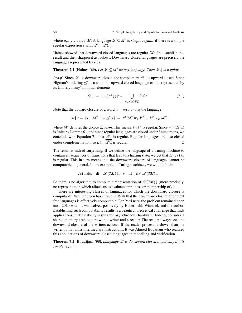where  $a, a_1, \ldots, a_m \in M$ . A language  $\mathcal{L} \subseteq M^*$  is *simple regular* if there is a simple regular expression *r* with  $\mathscr{L} = \mathscr{L}(r)$ .

Haines showed that downward closed languages are regular. We first establish this result and then sharpen it as follows. Downward closed languages are precisely the languages represented by sres.

**Theorem 7.1 (Haines '69).** Let  $\mathcal{L} \subseteq M^*$  be any language. Then  $\mathcal{L} \downarrow$  is regular.

*Proof.* Since  $\mathscr{L} \downarrow$  is downward closed, the complement  $\overline{\mathscr{L} \downarrow}$  is upward closed. Since Higman's ordering  $\preceq^*$  is a wqo, this upward closed language can be represented by its (finitely many) minimal elements:

$$
\overline{\mathscr{L}\downarrow} = \min(\overline{\mathscr{L}\downarrow})\uparrow = \bigcup_{w \in \min(\overline{\mathscr{L}\downarrow})} \{w\}\uparrow. \tag{7.1}
$$

Note that the upward closure of a word  $w = w_1 \dots w_n$  is the language

$$
\{w\}\uparrow = \{y \in M^* \mid w \leq^* y\} = \mathscr{L}(M^*.w_1.M^*...M^*.w_n.M^*)
$$

where  $M^*$  denotes the choice  $\Sigma_{m \in M}$ *m*. This means  $\{w\} \uparrow$  is regular. Since  $min(\overline{\mathscr{L}\downarrow})$ is finite by Lemma 6.1 and since regular languages are closed under finite unions, we conclude with Equation 7.1 that  $\overline{\mathscr{L}\downarrow}$  is regular. Regular languages are also closed under complementation, so  $L \downarrow = \overline{\mathcal{L} \downarrow}$  is regular.

The result is indeed surprising. If we define the language of a Turing machine to contain all sequences of transitions that lead to a halting state, we get that  $\mathscr{L}(TM) \downarrow$ is regular. This in turn means that the downward closure of languages cannot be computable in general. In the example of Turing machines, we would obtain

$$
TM \text{ halts} \quad \text{iff} \quad \mathscr{L}(TM) \downarrow \neq \emptyset \quad \text{iff} \quad \varepsilon \in \mathscr{L}(TM) \downarrow.
$$

So there is no algorithm to compute a representation of  $\mathscr{L}(TM) \downarrow$  (more precisely, no representation which allows us to evaluate emptiness or membership of  $ε$ ).

There are interesting classes of languages for which the downward closure is computable. Van Leeuwen has shown in 1978 that the downward closure of context free languages is effectively computable. For Petri nets, the problem remained open until 2010 when it was solved positively by Habermehl, Wimmel, and the author. Establishing such computability results is a beautiful theoretical challenge that finds applications in decidability results for asynchronous hardware. Indeed, consider a shared memory architecture with a writer and a reader. The reader always sees the downward closure of the writers actions. If the reader process is slower than the writer, it may miss intermediary instructions. It was Ahmed Bouajjani who realized this applications of downward closed languages in modelling and verification.

**Theorem 7.2 (Bouajjani '98).** *Language*  $L$  *is downward closed if and only if it is simple regular.*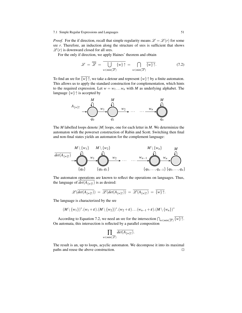#### 7.1 Simple Regular Expressions and Languages 51

*Proof.* For the if direction, recall that simple regularity means  $\mathscr{L} = \mathscr{L}(r)$  for some sre *r*. Therefore, an induction along the structure of sres is sufficient that shows  $\mathscr{L}(r)$  is downward closed for all sres.

For the only if direction, we apply Haines' theorem and obtain

$$
\mathscr{L} = \overline{\overline{\mathscr{L}}} = \overline{\bigcup_{w \in min(\overline{\mathscr{L}})} \{w\} \uparrow} = \bigcap_{w \in min(\overline{\mathscr{L}})} \overline{\{w\} \uparrow}. \tag{7.2}
$$

To find an sre for  $\overline{\{w\}}\uparrow$ , we take a detour and represent  $\{w\}\uparrow$  by a finite automaton. This allows us to apply the standard construction for complementation, which hints to the required expression. Let  $w = w_1 \dots w_n$  with *M* as underlying alphabet. The language  $\{w\}$ <sup> $\uparrow$ </sup> is accepted by



The *M* labelled loops denote |*M*| loops, one for each letter in *M*. We determinize the automaton with the powerset construction of Rabin and Scott. Switching then final and non-final states yields an automaton for the complement language:



The automaton operations are known to reflect the operations on languages. Thus, the language of  $det(A_{\{w\}\uparrow})$  is as desired:

$$
\mathscr{L}(\overline{det(A_{\{w\}\}})) = \overline{\mathscr{L}(det(A_{\{w\}\}})) = \overline{\mathscr{L}(A_{\{w\}\}})} = \overline{\{w\}\uparrow}.
$$

The language is characterized by the sre

$$
(M \setminus \{w_1\})^*.(w_1+\varepsilon).(M \setminus \{w_2\})^*.(w_2+\varepsilon)...(w_{n-1}+\varepsilon).(M \setminus \{w_n\})^*
$$

According to Equation 7.2, we need an sre for the intersection  $\bigcap_{w \in min(\overline{\mathscr{L}})} \{w\} \uparrow$ . On automata, this intersection is reflected by a parallel composition

$$
\prod_{w \in min(\overline{\mathscr{L}})} \overline{det(A_{\{w\}\uparrow})}.
$$

The result is an, up to loops, acyclic automaton. We decompose it into its maximal paths and reuse the above construction.  $\Box$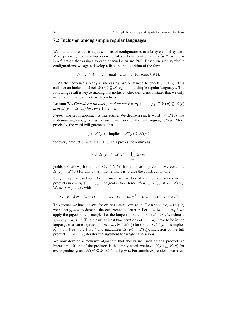#### 7.2 Inclusion among simple regular languages

We intend to use sres to represent sets of configurations in a lossy channel system. More precisely, we develop a concept of symbolic configurations (*q*,*R*) where *R* is a function that assings to each channel  $c$  an sre  $R(c)$ . Based on such symbolic configurations, we again develop a fixed point algorithm of the form

 $I_0 \subseteq I_1 \subseteq I_2 \subseteq \ldots$  until  $I_{k+1} = I_k$  for some  $k \in \mathbb{N}$ .

As the sequence already is increasing, we only need to check  $I_{k+1} \subseteq I_k$ . This calls for an inclusion check  $\mathscr{L}(r_1) \subseteq \mathscr{L}(r_2)$  among simple regular languages. The following result is key to making this inclusion check efficient. It states that we only need to compare products with products.

**Lemma 7.1.** *Consider a product p and an sre*  $r = p_1 + \ldots + p_k$ *. If*  $\mathscr{L}(p) \subseteq \mathscr{L}(r)$ *then*  $\mathscr{L}(p) \subseteq \mathscr{L}(p_i)$  *for some*  $1 \leq i \leq k$ .

*Proof.* The proof approach is interesting. We devise a single word  $y \in \mathcal{L}(p)$  that is demanding enough so as to ensure inclusion of the full language  $\mathscr{L}(p)$ . More precisely, the word will guarantee that

$$
y \in \mathscr{L}(p_i)
$$
 implies  $\mathscr{L}(p) \subseteq \mathscr{L}(p_i)$ 

for every product  $p_i$  with  $1 \le i \le k$ . This proves the lemma as

$$
y \in \mathscr{L}(p) \subseteq \mathscr{L}(r) = \bigcup_{i=1}^k \mathscr{L}(p_i)
$$

yields  $y \in \mathcal{L}(p_i)$  for some  $1 \leq i \leq k$ . With the above implication, we conclude  $\mathscr{L}(p) \subseteq \mathscr{L}(p_i)$  for this  $p_i$ . All that remains is to give the construction of *y*.

Let  $p = e_1 \dots e_n$  and let *j* be the maximal number of atomic expressions in the products in  $r = p_1 + \ldots + p_k$ . The goal is to enforce  $\mathscr{L}(p) \subseteq \mathscr{L}(p_i)$  if  $y \in \mathscr{L}(p_i)$ . We set  $y = y_1 \dots y_n$  with

$$
y_i := a
$$
 if  $e_i = (a + \varepsilon)$   $y_i := (a_1 ... a_m)^{j+1}$  if  $e_i = (a_1 + ... + a_m)^*$ .

This means we have a word for every atomic expression. For a choice  $e_i = (a + \varepsilon)$ we select  $y_i = a$  to demand the occurrence of letter *a*. For  $e_i = (a_1 + ... a_m)^*$  we apply the pigeonhole principle. Let the longest product in *r* be  $e'_1 \dots e'_j$ . We choose  $y_i = (a_1 \dots a_m)^{j+1}$ . This means at least two iterations of  $a_1 \dots a_m$  have to be in the language of a same expression,  $(a_1 \dots a_m)^2 \in \mathcal{L}(e'_l)$  for some  $1 \le l \le j$ . This implies  $e'_{l} = (\ldots + a_1 + \ldots + a_m)^*$  and guarantees  $\mathscr{L}(e_i) \subseteq \mathscr{L}(e'_{l})$ . Inclusion of the full product  $p = e_1 \dots e_n$  iterates the argument for single expressions.

We now develop a recursive algorithm that checks inclusion among products in linear time. If one of the products is the empty word, we have  $\mathscr{L}(\varepsilon) \subseteq \mathscr{L}(p)$  for every product *p* and  $\mathcal{L}(p) \nsubseteq \mathcal{L}(\varepsilon)$  for all  $p \neq \varepsilon$ . For atomic expressions, we have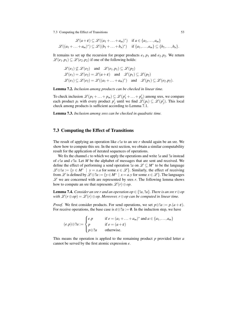7.3 Computing the Effect of Transitions 53

$$
\mathscr{L}(a+\varepsilon) \subseteq \mathscr{L}((a_1+\ldots+a_m)^*) \quad \text{if } a \in \{a_1,\ldots,a_m\}
$$

$$
\mathscr{L}((a_1+\ldots+a_m)^*) \subseteq \mathscr{L}((b_1+\ldots+b_n)^*) \quad \text{if } \{a_1,\ldots,a_m\} \subseteq \{b_1,\ldots,b_n\}.
$$

It remains to set up the recursion for proper products  $e_1$ .  $p_1$  and  $e_2$ .  $p_2$ . We return  $\mathscr{L}(e_1, p_1) \subseteq \mathscr{L}(e_2, p_2)$  if one of the following holds:

$$
\mathcal{L}(e_1) \not\subseteq \mathcal{L}(e_2) \quad \text{and} \quad \mathcal{L}(e_1 \cdot p_1) \subseteq \mathcal{L}(p_2)
$$
\n
$$
\mathcal{L}(e_1) = \mathcal{L}(e_2) = \mathcal{L}(a + \varepsilon) \quad \text{and} \quad \mathcal{L}(p_1) \subseteq \mathcal{L}(p_2)
$$
\n
$$
\mathcal{L}(e_1) \subseteq \mathcal{L}(e_2) = \mathcal{L}((a_1 + \ldots + a_m)^*) \quad \text{and} \quad \mathcal{L}(p_1) \subseteq \mathcal{L}(e_2 \cdot p_2).
$$

Lemma 7.2. *Inclusion among products can be checked in linear time.*

To check inclusion  $\mathscr{L}(p_1 + ... + p_m) \subseteq \mathscr{L}(p'_1 + ... + p'_n)$  among sres, we compare each product  $p_i$  with every product  $p'_j$  until we find  $\mathscr{L}(p_i) \subseteq \mathscr{L}(p'_j)$ . This local check among products is sufficient according to Lemma 7.1.

Lemma 7.3. *Inclusion among sres can be checked in quadratic time.*

## 7.3 Computing the Effect of Transitions

The result of applying an operation like *c*!*a* to an sre *r* should again be an sre. We show how to compute this sre. In the next section, we obtain a similar computability result for the application of iterated sequences of operations.

We fix the channel *c* to which we apply the operations and write !*a* and ?*a* instead of *c*!*a* and *c*?*a*. Let *M* be the alphabet of messages that are sent and received. We define the effect of performing a send operation *!a* on  $\mathscr{L} \subseteq M^*$  to be the language  $\mathscr{L} \oplus !a := \{ y \in M^* \mid y = x.a \text{ for some } x \in \mathscr{L} \}.$  Similarly, the effect of receiving from  $\mathscr L$  is defined by  $\mathscr L \oplus ?a := \{y \in M^* \mid x = a.y \text{ for some } x \in \mathscr L\}$ . The languages  $L$  we are concerned with are represented by sres  $r$ . The following lemma shows how to compute an sre that represents  $\mathscr{L}(r) \oplus op$ .

**Lemma 7.4.** *Consider an sre r and an operation op*  $\in \{a, 2a\}$ *. There is an sre r* $\oplus$ *op with*  $\mathscr{L}(r \oplus op) = \mathscr{L}(r) \oplus op$ . Moreover,  $r \oplus op$  can be computed in linear time.

*Proof.* We first consider products. For send operations, we set  $p \oplus !a := p.(a + \varepsilon)$ . For receive operations, the base case is  $\varepsilon \oplus ?a := \emptyset$ . In the induction step, we have

$$
(e.p) \oplus ?a := \begin{cases} e.p & \text{if } e = (a_1 + \dots + a_m)^* \text{ and } a \in \{a_1, \dots, a_m\} \\ p & \text{if } e = (a + \varepsilon) \\ p \oplus ?a & \text{otherwise.} \end{cases}
$$

This means the operation is applied to the remaining product *p* provided letter *a* cannot be served by the first atomic expression *e*.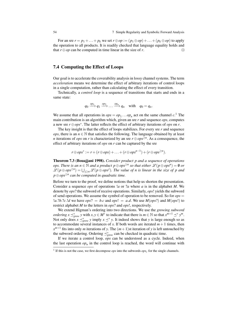For an sre  $r = p_1 + \ldots + p_k$  we set  $r \oplus op := (p_1 \oplus op) + \ldots + (p_k \oplus op)$  to apply the operation to all products. It is readily checked that language equality holds and that  $r \oplus op$  can be computed in time linear in the size of *r*.

## 7.4 Computing the Effect of Loops

Our goal is to accelerate the coverability analysis in lossy channel systems. The term *acceleration* means we determine the effect of arbitrary iterations of control loops in a single computation, rather than calculating the effect of every transition.

Technically, a *control loop* is a sequence of transitions that starts and ends in a same state:

$$
q_0 \xrightarrow{op_1} q_1 \xrightarrow{op_2} \dots \xrightarrow{op_n} q_n \quad \text{with} \quad q_0 = q_n.
$$

We assume that all operations in  $ops = op_1 \dots op_n$  act on the same channel  $c<sup>1</sup>$ . The main contribution is an algorithm which, given an sre *r* and sequence *ops*, computes a new sre *r* ⊕*ops*<sup>∗</sup> . The latter reflects the effect of arbitrary iterations of *ops* on *r*.

The key insight is that the effect of loops stabilizes. For every sre *r* and sequence *ops*, there is an  $n \in \mathbb{N}$  that satisfies the following. The language obtained by at least *n* iterations of *ops* on *r* is characterized by an sre  $r \oplus ops^{\geq n}$ . As a consequence, the effect of arbitrary iterations of *ops* on *r* can be captured by the sre

$$
r \oplus ops^* := r + (r \oplus ops) + \ldots + (r \oplus ops^{n-1}) + (r \oplus ops^{\geq n}).
$$

Theorem 7.3 (Bouajjani 1998). *Consider product p and a sequence of operations ops. There is an*  $n \in \mathbb{N}$  *and a product*  $p \oplus ops^{\geq n}$  *so that either*  $\mathscr{L}(p \oplus ops^n) = \emptyset$  *or*  $\mathscr{L}(p \oplus ops^{\geq n}) = \bigcup_{j \geq n} \mathscr{L}(p \oplus ops^j)$ . The value of n is linear in the size of p and *p*⊕*ops*≥*<sup>n</sup> can be computed in quadratic time.*

Before we turn to the proof, we define notions that help us shorten the presentation. Consider a sequence *ops* of operations !*a* or ?*a* where *a* is in the alphabet *M*. We denote by *ops*? the subword of receive operations. Similarly, *ops*! yields the subword of send operations. We assume the symbol of operation to be removed. So for *ops* = *la.?b.?c.!d* we have  $ops? = b.c$  and  $ops! = a.d.$  We use  $M(ops?)$  and  $M(ops!)$  to restrict alphabet *M* to the letters in *ops*? and *ops*!, respectively.

We extend Higman's ordering into two directions. We use the *growing subword ordering*  $x \leq_{\text{grow}}^* y$  with  $x, y \in M^*$  to indicate that there is  $m \in \mathbb{N}$  so that  $x^{m+1} \leq^* y^m$ . Not only does  $x \leq_{\text{grow}}^* y$  imply  $x \leq^* y$ . It indeed shows that *y* is large enough so as to accommodate several instances of x. If both words are iterated  $m+1$  times, then  $x^{m+1}$  fits into only *m* iterations of *y*. The  $(m+1)$ st iteration of *y* is left untouched by the subword ordering. Ordering  $\preceq^*_{grow}$  can be checked in quadratic time.

If we iterate a control loop, *ops* can be understood as a cycle. Indeed, when the last operation  $op_n$  in the control loop is reached, the word will continue with

<sup>&</sup>lt;sup>1</sup> If this is not the case, we first decompose *ops* into the subwords  $ops_c$  for the single channels.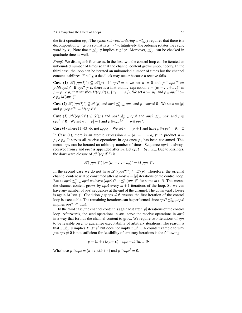the first operation  $op_1$ . The *cyclic subword ordering*  $x \leq_{cyc}^* y$  requires that there is a decomposition  $x = x_1.x_2$  so that  $x_2.x_1 \leq^* y$ . Intuitively, the ordering rotates the cyclic word by *x*<sub>1</sub>. Note that  $x \leq_{cyc}^* y$  implies  $x \leq^* y^2$ . Moreover,  $\leq_{cyc}^*$  can be checked in quadratic time as well.

*Proof.* We distinguish four cases. In the first two, the control loop can be iterated an unbounded number of times so that the channel content grows unboundedly. In the third case, the loop can be iterated an unbounded number of times but the channel content stabilizes. Finally, a deadlock may occur because a receive fails.

**Case** (1)  $\mathscr{L}((ops?)^*) \subseteq \mathscr{L}(p)$  If  $ops? = \varepsilon$  we set  $n := 0$  and  $p \oplus ops^{\geq n} :=$  $p.M(ops!)^*$ . If  $ops? \neq \varepsilon$ , there is a first atomic expression  $e = (a_1 + ... + a_m)^*$  in  $p = p_1.e. p_2$  that satisfies  $M(ops?) \subseteq \{a_1, \ldots, a_m\}$ . We set  $n := |p_1|$  and  $p \oplus ops^{\ge n} :=$  $e.p_2.M(ops!)^*$ .

**Case (2)**  $\mathscr{L}((ops?)^*) \not\subseteq \mathscr{L}(p)$  and  $ops? \preceq^*_{grow} ops!$  and  $p \oplus ops \neq \emptyset$  We set  $n := |p|$ and  $p \oplus ops^{\geq n} := M(ops!)^*$ .

**Case (3)**  $\mathscr{L}((ops?)^*) \not\subseteq \mathscr{L}(p)$  and  $ops? \npreceq^*_{grow} ops!$  and  $ops? \preceq^*_{cyc} ops!$  and  $p \oplus$  $ops^2 \neq \emptyset$  We set  $n := |p| + 1$  and  $p \oplus ops^{\geq n} := p \oplus ops^n$ .

**Case (4)** where (1)-(3) do not apply We set  $n := |p| + 1$  and have  $p \oplus \log^n = \emptyset$ .  $\Box$ 

In Case (1), there is an atomic expression  $e = (a_1 + ... + a_m)^*$  in product  $p =$  $p_1.e. p_2$ . It serves all receive operations in *ops* once  $p_1$  has been consumed. This means *ops* can be iterated an arbitrary number of times. Sequence *ops*? is always received from *e* and *ops*! is appended after  $p_2$ . Let  $ops! = b_1 \dots b_n$ . Due to lossiness, the downward closure of  $\mathcal{L}((ops!)^*)$  is

$$
\mathscr{L}((ops!)^*)\downarrow=(b_1+\ldots+b_n)^*=M(ops!)^*.
$$

In the second case we do not have  $\mathscr{L}((ops?)^*) \subseteq \mathscr{L}(p)$ . Therefore, the original channel content will be consumed after at most  $n = |p|$  iterations of the control loop. But as *ops*?  $\preceq_{grow}^*$  *ops*! we have  $(ops?)^{m+1} \preceq^* (ops!)^m$  for some  $m \in \mathbb{N}$ . This means the channel content grows by  $ops!$  every  $m+1$  iterations of the loop. So we can have any number of *ops*! sequences at the end of the channel. The downward closure is again  $M(ops!)^*$ . Condition  $p \oplus ops \neq \emptyset$  ensures the first iteration of the control loop is executable. The remaining iterations can be performed since  $ops? \preceq_{grow}^* ops!$ implies  $ops? \preceq^* ops!$ .

In the third case, the channel content is again lost after |*p*| iterations of the control loop. Afterwards, the send operations in *ops*! serve the receive operations in *ops*? in a way that forbids the channel content to grow. We require two iterations of *ops* to be feasible on  $p$  to guarantee executability of arbitrary iterations. The reason is that  $x \preceq_{cyc}^* y$  implies  $X \preceq^* y^2$  but does not imply  $x \preceq^* y$ . A counterexample to why  $p \oplus ops \neq \emptyset$  is not sufficient for feasibility of arbitrary iterations is the following:

$$
p = (b + \varepsilon).(a + \varepsilon) \quad ops = ?b. ?a. !a. !b.
$$

Whe have  $p \oplus ops = (a+\varepsilon).(b+\varepsilon)$  and  $p \oplus ops^2 = \emptyset$ .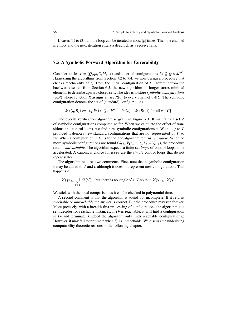If cases (1) to (3) fail, the loop can be iterated at most  $|p|$  times. Then the channel is empty and the next iteration enters a deadlock as a receive fails.

### 7.5 A Symbolic Forward Algorithm for Coverability

Consider an lcs  $L = (Q, q_0, C, M, \rightarrow)$  and a set of configurations  $\Gamma_F \subseteq Q \times M^{*C}$ . Harnessing the algorithms from Section 7.2 to 7.4, we now design a procedure that checks reachability of Γ*<sup>F</sup>* from the initial configuration of *L*. Different from the backwards search from Section 6.5, the new algorithm no longer stores minimal elements to describe upward closed sets. The idea is to store *symbolic configurations*  $(q, R)$  where function *R* assigns an sre  $R(c)$  to every channel  $c \in C$ . The symbolic configuration denotes the set of (standard) configurations

$$
\mathscr{L}((q,R)) := \{ (q,W) \in Q \times M^{*C} \mid W(c) \in \mathscr{L}(R(c)) \text{ for all } c \in C \}.
$$

The overall verification algorithm is given in Figure 7.1. It maintains a set *V* of symbolic configurations computed so far. When we calculate the effect of transitions and control loops, we find new symbolic configurations γ. We add γ to *V* provided it denotes new standard configurations that are not represented by *V* so far. When a configuration in Γ*<sup>F</sup>* is found, the algorithm returns *reachable*. When no more symbolic configurations are found ( $V_0 \subseteq V_1 \subseteq \ldots \subseteq V_k = V_{k+1}$ ), the procedure returns *unreachable*. The algorithm expects a finite set *loops* of control loops to be accelerated. A canonical choice for *loops* are the *simple* control loops that do not repeat states.

The algorithm requires two comments. First, note that a symbolic configuration γ may be added to *V* and *L* although it does not represent new configurations. This happens if

$$
\mathscr{L}(\gamma) \subseteq \bigcup_{\gamma' \in V} \mathscr{L}(\gamma')
$$
 but there is no single  $\gamma' \in V$  so that  $\mathscr{L}(\gamma) \subseteq \mathscr{L}(\gamma')$ .

We stick with the local comparison as it can be checked in polynomial time.

A second comment is that the algorithm is sound but incomplete. If it returns *reachable* or *unreachable* the answer is correct. But the procedure may run forever. More precisely, with a breadth-first processing of configurations the algorithm is a semidecider for reachable instances: if Γ*<sup>F</sup>* is reachable, it will find a configuration in  $\Gamma_F$  and terminate. (Indeed the algorithm only finds reachable configurations.) However, it may fail to terminate when  $\Gamma_F$  is unreachable. We discuss the underlying computability theoretic reasons in the following chapter.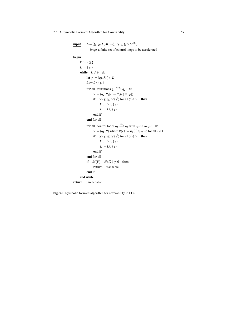#### 7.5 A Symbolic Forward Algorithm for Coverability 57

 $\mathbf{input}: \quad L = (Q, q_0, C, M, \rightarrow), \Gamma_F \subseteq Q \times {M^*}^C,$ 

*loops* a finite set of control loops to be accelerated

begin

```
V := \{\gamma_0\}L := \{\gamma_0\}while L \neq \emptyset do
               let γ<sub>1</sub> = (q<sub>1</sub>, R<sub>1</sub>) ∈ LL := L \setminus \{\gamma_1\}for all transitions q_1 \xrightarrow{c, op} q_2 do
                      \gamma := (q_2, R_1[c := R_1(c) \oplus op])if \mathscr{L}(\gamma) \not\subseteq \mathscr{L}(\gamma') for all \gamma' \in V then
                              V := V \cup \{\gamma\}L := L \cup \{\gamma\}end if
               end for all
                for all control loops q_1 \stackrel{ops}{\longrightarrow} q_1 with ops \in loops do
                        \gamma := (q_1, R) where R(c) := R_1(c) \oplus ops_c^* for all c \in Cif \mathscr{L}(\gamma) \not\subseteq \mathscr{L}(\gamma') for all \gamma' \in V then
                              V := V \cup \{\gamma\}L := L \cup \{\gamma\}end if
               end for all
               if \mathscr{L}(V) \cap \mathscr{L}(F_F) \neq \emptyset then
                       return reachable
               end if
       end while
return unreachable
```
Fig. 7.1 Symbolic forward algorithm for coverability in LCS.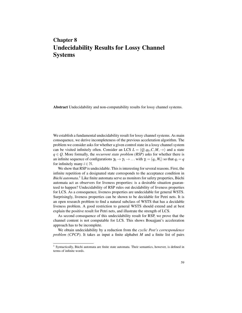## Chapter 8 Undecidability Results for Lossy Channel Systems

Abstract Undecidability and non-computability results for lossy channel systems.

We establish a fundamental undecidability result for lossy channel systems. As main consequence, we derive incompleteness of the previous acceleration algorithm. The problem we consider asks for whether a given control state in a lossy channel system can be visited infinitely often. Consider an LCS  $L = (Q, q_0, C, M, \rightarrow)$  and a state  $q \in Q$ . More formally, the *recurrent state problem* (*RSP*) asks for whether there is an infinite sequence of configurations  $\gamma_0 \to \gamma_1 \to \dots$  with  $\gamma_i = (q_i, W_i)$  so that  $q_i = q$ for infinitely many  $i \in \mathbb{N}$ .

We show that RSP is undecidable. This is interesting for several reasons. First, the infinite repetition of a designated state corresponds to the acceptance condition in *Büchi automata*.<sup>1</sup> Like finite automata serve as monitors for safety properties, Büchi automata act as observers for liveness properties: is a desirable situation guaranteed to happen? Undecidability of RSP rules out decidability of liveness properties for LCS. As a consequence, liveness properties are undecidable for general WSTS. Surprisingly, liveness properties can be shown to be decidable for Petri nets. It is an open research problem to find a natural subclass of WSTS that has a decidable liveness problem. A good restriction to general WSTS should extend and at best explain the positive result for Petri nets, and illustrate the strength of LCS.

As second consequence of this undecidability result for RSP, we prove that the channel content is not computable for LCS. This shows Bouajjani's acceleration approach has to be incomplete.

We obtain undecidability by a reduction from the *cyclic Post's correspondence problem (CPCP)*. It takes as input a finite alphabet *M* and a finite list of pairs

<sup>&</sup>lt;sup>1</sup> Syntactically, Büchi automata are finite state automata. Their semantics, however, is defined in terms of infinite words.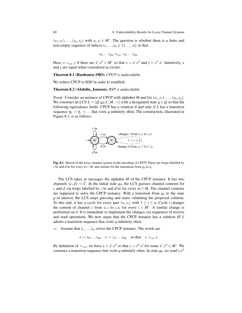$(x_1, y_1), \ldots, (x_n, y_n)$  with  $x_i, y_i \in M^*$ . The question is whether there is a finite and non-empty sequence of indices  $i_1, \ldots, i_m \in \{1, \ldots, n\}$  so that

$$
x_{i1} \dots x_{im} =_{cyc} y_{i1} \dots y_{im}.
$$

Here,  $x =_{cyc} y$  if there are  $x'$ ,  $x'' \in M^*$  so that  $x = x'$ .  $x''$  and  $y = x''$ .  $x'$ . Intuitively, x and *y* are equal when considered as circles.

Theorem 8.1 (Ruohonen 1983). *CPCP is undecidable.*

We reduce CPCP to RSP in order to establish

#### Theorem 8.2 (Abdulla, Jonsson). *RSP is undecidable.*

*Proof.* Consider an instance of CPCP with alphabet *M* and list  $(x_1, y_1), \ldots, (x_n, y_n)$ . We construct an LCS  $L = (Q, q_0, C, M, \rightarrow)$  with a designated state  $q \in Q$  so that the following equivalence holds: CPCP has a solution if and only if *L* has a transition sequence  $\gamma_0 \to \gamma_1 \to \dots$  that visits *q* infinitely often. The construction, illustrated in Figure 8.1, is as follows.



Fig. 8.1 Sketch of the lossy channel system in the encoding of CPCP. There are loops labelled by *c*!*m* and *d*!*m* for every  $m \in M$ , and similar for the transitions from  $q_0$  to  $q$ .

The LCS takes as messages the alphabet *M* of the CPCP instance. It has two channels  $\{c,d\} =: C$ . In the initial state  $q_0$ , the LCS guesses channel contents for *c* and *d* via loops labelled by *c*!*m* and *d*!*m* for every  $m \in M$ . The channel contents are supposed to solve the CPCP instance. With a transition from  $q_0$  to the state *q* of interest, the LCS stops guessing and starts validating the proposed solution. To this end, it has a cycle for every pair  $(x_i, y_i)$  with  $1 \le i \le n$ . Cycle *i* changes the content of channel *c* from  $y_i$ , *z* to *z*.*x<sub>i</sub>* for every  $z \in M^*$ . A similar change is performed on *d*. It is immediate to implement the changes via sequences of receive and send operations. We now argue that the CPCP instance has a solution iff *L* admits a transition sequence that visits *q* infinitely often.

 $\Rightarrow$  Assume that  $i_1, \ldots, i_m$  solves the CPCP instance. The words are

 $x := x_{i1} \dots x_{im}$   $y := y_{i1} \dots y_{im}$  so that  $x =_{cyc} y$ .

By definition of  $=_{cyc}$ , we have  $x = x' \cdot x''$  so that  $y = x'' \cdot x'$  for some  $x'$ ,  $x'' \in M^*$ . We construct a transition sequence that visits *q* infinitely often. In state  $q_0$ , we send  $y.x''$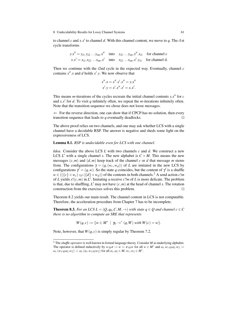to channel *c* and  $x.x'$  to channel *d*. With this channel content, we move to *q*. The *i*1st cycle transforms

$$
y.x'' = y_{i1}.y_{i2}...y_{im}.x''
$$
 into 
$$
y_{i2}...y_{im}.x''.x_{i1}
$$
 for channel c  

$$
x.x' = x_{i1}.x_{i2}...x_{im}.x'
$$
 into 
$$
x_{i2}...x_{im}.x'.y_{i1}
$$
 for channel d.

Then we continue with the *i*2nd cycle in the expected way. Eventually, channel *c* contains  $x''$ . *x* and *d* holds  $x'$ . *y*. We now observe that

$$
x'' \cdot x = x'' \cdot x' \cdot x'' = y \cdot x'' x' \cdot y = x' \cdot x'' \cdot x' = x \cdot x'.
$$

This means *m*-iterations of the cycles recreate the initial channel contents  $y.x''$  for  $c$ and  $x.x'$  for  $d$ . To visit  $q$  infinitely often, we repeat the  $m$ -iterations infinitely often. Note that the transition sequence we chose does not loose messages.

 $\Leftarrow$  For the reverse direction, one can show that if CPCP has no solution, then every transition sequence that leads to  $q$  eventually deadlocks.

The above proof relies on two channels, and one may ask whether LCS with a single channel have a decidable RSP. The answer is negative and sheds some light on the expressiveness of LCS.

#### Lemma 8.1. *RSP is undecidable even for LCS with one channel.*

*Idea.* Consider the above LCS *L* with two channels *c* and *d*. We construct a new LCS  $L'$  with a single channel *s*. The new alphabet is  $C \times M$ . This means the new messages  $(c, m)$  and  $(d, m)$  keep track of the channel  $c$  or  $d$  that message  $m$  stems from. The configurations  $\gamma = (q,(w_c,w_d))$  of *L* are imitated in the new LCS by configurations  $\gamma' = (q, w)$ . So the state *q* coincides, but the content of  $\gamma'$  is a shuffle  $w \in (({c} \times w_c) \sqcup ({d} \times w_d))$  of the contents in both channels.<sup>2</sup> A send action *c*!*m* of *L* yields  $s!(c,m)$  in  $L'$ . Imitating a receive  $c?m$  of *L* is more delicate. The problem is that, due to shuffling,  $L'$  may not have  $(c, m)$  at the head of channel *s*. The rotation construction from the exercises solves this problem.  $\Box$ 

Theorem 8.2 yields our main result. The channel content in LCS is not computable. Therefore, the acceleration procedure from Chapter 7 has to be incomplete.

**Theorem 8.3.** For an LCS  $L = (Q, q_0, C, M, \rightarrow)$  with state  $q \in Q$  and channel  $c \in C$ *there is no algorithm to compute an SRE that represents*

$$
W(q, c) := \{ w \in M^* \mid \gamma_0 \to^* (q, W) \text{ with } W(c) = w \}.
$$

Note, however, that  $W(q, c)$  is simply regular by Theorem 7.2.

<sup>2</sup> The *shuffle operator* is well known in formal language theory. Consider *M* as underlying alphabet. The operator is defined inductively by  $w \sqcup \varepsilon := w =: \varepsilon \sqcup w$  for all  $w \in M^*$  and  $a_1.w_1 \sqcup a_2.w_2 :=$  $a_1.(w_1 \sqcup a_2.w_2) \cup a_2.(a_1.w_1 \sqcup w_2)$  for all  $a_1, a_2 \in M$ ,  $w_1, w_2 \in M^*$ .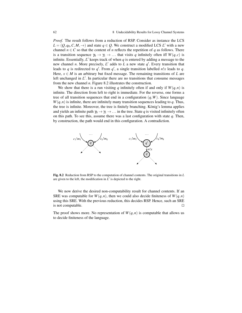*Proof.* The result follows from a reduction of RSP. Consider as instance the LCS  $L = (Q, q_0, C, M, \rightarrow)$  and state  $q \in Q$ . We construct a modified LCS *L'* with a new channel  $n \in C$  so that the content of *n* reflects the repetition of *q* as follows. There is a transition sequence  $\gamma_0 \to \gamma_1 \to \dots$  that visits *q* infinitely often iff  $W(q, c)$  is infinite. Essentially,  $L'$  keeps track of when  $q$  is entered by adding a message to the new channel *n*. More precisely,  $L'$  adds to  $L$  a new state  $q'$ . Every transition that leads to *q* is redirected to *q*<sup>'</sup>. From *q*<sup>'</sup>, a single transition labelled *n*!*x* leads to *q*. Here,  $x \in M$  is an arbitrary but fixed message. The remaining transitions of *L* are left unchanged in  $L'$ . In particular there are no transitions that consume messages from the new channel *n*. Figure 8.2 illustrates the construction.

We show that there is a run visiting *q* infinitely often if and only if  $W(q, n)$  is infinite. The direction from left to right is immediate. For the reverse, one forms a tree of all transition sequences that end in a configuration  $(q, W)$ . Since language  $W(q, n)$  is infinite, there are infinitely many transition sequences leading to *q*. Thus, the tree is infinite. Moreover, the tree is finitely branching. König's lemma applies and yields an infinite path  $\gamma_0 \to \gamma_1 \to \ldots$  in the tree. State q is visited infinitely often on this path. To see this, assume there was a last configuration with state *q*. Then, by construction, the path would end in this configuration. A contradiction.



Fig. 8.2 Reduction from RSP to the computation of channel contents. The original transitions in *L* are given to the left, the modification in  $\overline{L}'$  is depicted to the right.

We now derive the desired non-computability result for channel contents. If an SRE was computable for  $W(q, n)$ , then we could also decide finiteness of  $W(q, n)$ using this SRE. With the previous reduction, this decides RSP. Hence, such an SRE is not computable.  $\Box$ 

The proof shows more. No representation of  $W(q, n)$  is computable that allows us to decide finiteness of the language.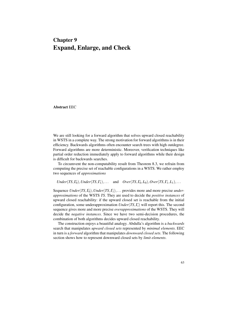## Chapter 9 Expand, Enlarge, and Check

Abstract EEC

We are still looking for a forward algorithm that solves upward closed reachability in WSTS in a complete way. The strong motivation for forward algorithms is in their efficiency. Backwards algorithms often encounter search trees with high outdegree. Forward algorithms are more deterministic. Moreover, verification techniques like partial order reduction immediately apply to forward algorithms while their design is difficult for backwards searches.

To circumvent the non-computability result from Theorem 8.3, we refrain from computing the precise set of reachable configurations in a WSTS. We rather employ two sequences of *approximations*

 $Under(TS, \Gamma_0), Under(TS, \Gamma_1),...$  and  $Over(TS, \Gamma_0, L_0), Over(TS, \Gamma_1, L_1),...$ 

Sequence *Under*(*TS*, $\Gamma_0$ ), *Under*(*TS*, $\Gamma_1$ ),... provides more and more precise *underapproximations* of the WSTS *TS*. They are used to decide the *positive instances* of upward closed reachability: if the upward closed set is reachable from the initial configuration, some underapproximation *Under*(*TS*,Γ*i*) will report this. The second sequence gives more and more precise *overapproximations* of the WSTS. They will decide the *negative instances*. Since we have two semi-decision procedures, the combination of both algorithms decides upward closed reachability.

The construction enjoys a beautiful analogy. Abdulla's algorithm is a *backwards* search that manipulates *upward closed sets* represented by *minimal elements*. EEC in turn is a *forward* algorithm that manipulates *downward closed sets*. The following section shows how to represent downward closed sets by *limit elements*.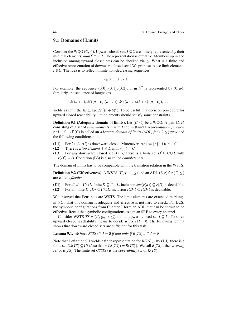#### 9.1 Domains of Limits

Consider the WQO ( $C \leq$ ). Upward closed sets  $I \subseteq C$  are finitely represented by their minimal elements:  $min(I) \uparrow I$ . The representation is effective. Membership in and inclusion among upward closed sets can be checked via  $\le$ . What is a finite and effective representation of downward closed sets? We propose to use limit elements  $l \notin C$ . The idea is to reflect infinite non-decreasing sequences

$$
c_0 \leq c_1 \leq c_2 \leq \ldots
$$

For example, the sequence  $(0,0), (0,1), (0,2), \ldots$  in  $\mathbb{N}^2$  is represented by  $(0, \omega)$ . Similarly, the sequence of languages

$$
\mathscr{L}(a+\varepsilon), \mathscr{L}((a+\varepsilon),(b+\varepsilon)), \mathscr{L}((a+\varepsilon),(b+\varepsilon),(a+\varepsilon)), \dots
$$

yields as limit the language  $\mathscr{L}((a+b)^*)$ . To be useful in a decision procedure for upward closed reachability, limit elements should satisfy some constraints.

**Definition 9.1** (Adequate domain of limits). Let  $(C, \leq)$  be a WQO. A pair  $(L, r)$ consisting of a set of *limit elements L* with  $L \cap C = \emptyset$  and a *representation function r* : *L*∪*C* →  $\mathbb{P}(C)$  is called an *adequate domain of limits (ADL) for*  $(C, ≤)$  provided the following conditions hold.

- (L1) For  $l \in L$ ,  $r(l)$  is downward closed. Moreoever,  $r(c) := \{c\} \downarrow$  f.a.  $c \in C$ .
- (L2) There is a *top element*  $\top \in L$  with  $r(\top) = C$ .
- (L3) For any downward closed set  $D \subseteq C$  there is a *finite* set  $D' \subseteq C \cup L$  with  $r(D') = D$ . Condition (L3) is also called *completeness*.

The domain of limits has to be compatible with the transition relation in the WSTS.

**Definition 9.2 (Effectiveness).** A WSTS  $(\Gamma, \gamma, \rightarrow, \leq)$  and an ADL  $(L, r)$  for  $(\Gamma, \leq)$ are called *effective* if

(E1) For all  $d \in \Gamma \cup L$ , finite  $D \subseteq \Gamma \cup L$ , inclusion  $suc(r(d)) \subseteq r(D)$  is decidable. (E2) For all finite  $D_1, D_2 \subseteq \Gamma \cup L$ , inclusion  $r(D_1) \subseteq r(D_2)$  is decidable.

We observed that Petri nets are WSTS. The limit elements are extended markings in  $\mathbb{N}_{\omega}^{|\mathcal{S}|}$ . That this domain is adequate and effective is not hard to check. For LCS, the symbolic configurations from Chapter 7 form an ADL that can be shown to be effective. Recall that symbolic configurations assign an SRE to every channel.

Consider WSTS  $TS = (\Gamma, \gamma_0, \rightarrow, \leq)$  and an upward closed set  $I \subseteq \Gamma$ . To solve upward closed reachability means to decide  $R(TS) \cap I = \emptyset$ . The following lemma shows that downward closed sets are sufficient for this task.

**Lemma 9.1.** *We have*  $R(TS) \cap I = \emptyset$  *if and only if*  $R(TS) \downarrow \cap I = \emptyset$ *.* 

Note that Definition 9.1 yields a finite representation for *R*(*TS*)↓. By (L3), there is a finite set  $CS(TS) \subseteq \Gamma \cup L$  so that  $r(CS(TS)) = R(TS) \downarrow$ . We call  $R(TS) \downarrow$  the *covering set* of *R*(*TS*). The finite set *CS*(*TS*) is the *coverability set* of *R*(*TS*).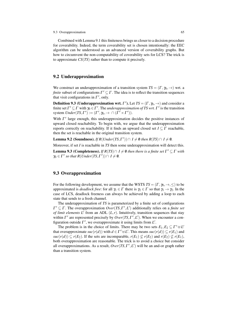#### 9.3 Overapproximation 65

Combined with Lemma 9.1 this finiteness brings us closer to a decision procedure for coverability. Indeed, the term coverability set is chosen intentionally: the EEC algorithm can be understood as an advanced version of coverability graphs. But how to circumvent the non-computability of coverability sets for LCS? The trick is to approximate *CS*(*TS*) rather than to compute it precisely.

### 9.2 Underapproximation

We construct an underapproximation of a transition system  $TS = (\Gamma, \gamma_0, \rightarrow)$  wrt. a *finite* subset of configurations  $\Gamma' \subseteq \Gamma$ . The idea is to reflect the transition sequences that visit configurations in  $\Gamma'$ , only.

**Definition 9.3 (Underapproximation wrt.**  $\Gamma'$ ). Let  $TS = (\Gamma, \gamma_0, \rightarrow)$  and consider a finite set  $\Gamma' \subseteq \Gamma$  with  $\gamma_0 \in \Gamma'$ . The *underapproximation of TS wrt.*  $\Gamma'$  is the transition system  $Under(TS, \Gamma') := (\Gamma', \gamma_0, \rightarrow \cap (\Gamma' \times \Gamma')).$ 

With  $\Gamma'$  large enough, this underapproximation decides the positive instances of upward closed reachability. To begin with, we argue that the underapproximation reports correctly on reachability. If it finds an upward closed set  $I \subseteq \Gamma$  reachable, then the set is reachable in the original transition system.

**Lemma 9.2 (Soundness).** *If*  $R(Under(TS, \Gamma')) \cap I \neq \emptyset$  then  $R(TS) \cap I \neq \emptyset$ .

Moreover, if set *I* is reachable in *TS* then some underapproximation will detect this.

**Lemma 9.3 (Completeness).** *If*  $R(TS) \cap I \neq \emptyset$  *then there is a finite set*  $\Gamma' \subseteq \Gamma$  *with*  $\gamma_0 \in \Gamma'$  so that  $R(Under(TS, \Gamma')) \cap I \neq \emptyset$ .

### 9.3 Overapproximation

For the following development, we assume that the WSTS  $TS = (\Gamma, \gamma_0, \rightarrow, \leq)$  to be approximated is *deadlock free*: for all  $\gamma_1 \in \Gamma$  there is  $\gamma_2 \in \Gamma$  so that  $\gamma_1 \to \gamma_2$ . In the case of LCS, deadlock freeness can always be achieved by adding a loop to each state that sends to a fresh channel.

The underapproximation of *TS* is parameterized by a finite set of configurations  $\Gamma' \subseteq \Gamma$ . The overapproximation  $Over(TS, \Gamma', L')$  additionally relies on a *finite set of limit elements L'* from an ADL  $(L, r)$ . Intuitively, transition sequences that stay within  $\Gamma'$  are represented precisely by  $Over(TS, \Gamma', L')$ . When we encounter a configuration outside  $\Gamma'$ , we overapproximate it using limits from  $L'$ .

The problem is in the choice of limits. There may be two sets  $E_1, E_2 \subseteq \Gamma' \cup L'$ that overapproximate  $suc(r(d))$  with  $d \in \Gamma' \oplus L'$ . This means  $suc(r(d)) \subseteq r(E_1)$  and *suc*(*r*(*d*)) ⊆ *r*(*E*<sub>2</sub>). If the sets are incomparable, *r*(*E*<sub>1</sub>) ⊈ *r*(*E*<sub>2</sub>) and *r*(*E*<sub>2</sub>) ⊈ *r*(*E*<sub>1</sub>), both overapproximation are reasonable. The trick is to avoid a choice but consider all overapproximations. As a result,  $Over(TS, \Gamma', L')$  will be an and-or graph rather than a transition system.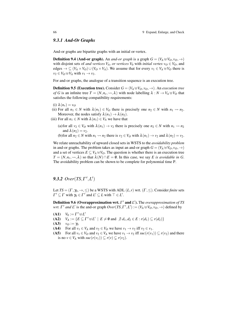#### *9.3.1 And-Or Graphs*

And-or graphs are bipartite graphs with an initial or-vertex.

**Definition 9.4 (And-or graph).** An *and-or graph* is a graph  $G = (V_A \oplus V_O, v_O, \rightarrow)$ with disjoint sets of *and vertices*  $V_A$ , *or vertices*  $V_0$  with *initial vertex*  $v_O \in V_O$ , and edges  $\rightarrow \subseteq (V_A \times V_O) \cup (V_O \times V_A)$ . We assume that for every  $v_1 \in V_A \cup V_O$  there is  $v_2 \in V_O \oplus V_A$  with  $v_1 \rightarrow v_2$ .

For and-or graphs, the analogue of a transition sequence is an execution tree.

**Definition 9.5 (Execution tree).** Consider  $G = (V_A \oplus V_O, v_O, \rightarrow)$ . An *execution tree of G* is an infinite tree  $T = (N, n_r, \rightsquigarrow, \lambda)$  with node labelling  $\lambda : N \to V_A \oplus V_O$  that satisfies the following compatibility requirements:

- (i)  $\lambda(n_r) = v_O$
- (ii) For all  $n_1 \in N$  with  $\lambda(n_1) \in V_O$  there is precisely one  $n_2 \in N$  with  $n_1 \rightarrow n_2$ . Moreover, the nodes satisfy  $\lambda(n_1) \rightarrow \lambda(n_2)$ .
- (iii) For all  $n_1 \in N$  with  $\lambda(n_1) \in V_A$  we have that
	- (a) for all  $v_2 \in V_O$  with  $\lambda(n_1) \to v_2$  there is precisely one  $n_2 \in N$  with  $n_1 \rightarrow n_2$ and  $\lambda(n_2) = v_2$ .

(b)for all  $n_2 \in N$  with  $n_1 \rightarrow n_2$  there is  $v_2 \in V_O$  with  $\lambda(n_1) \rightarrow v_2$  and  $\lambda(n_2) = v_2$ .

We relate unreachability of upward closed sets in WSTS to the *avoidability problem* in and-or graphs. The problem takes as input an and-or graph  $G = (V_A \oplus V_O, v_O, \rightarrow)$ and a set of vertices  $E \subseteq V_A \oplus V_O$ . The question is whether there is an execution tree  $T = (N, n_r, \rightsquigarrow, \lambda)$  so that  $\lambda(N) \cap E = \emptyset$ . In this case, we say *E* is avoidable in *G*. The avoidability problem can be shown to be complete for polynomial time P.

## **9.3.2** *Over*(*TS*, *Γ'*, *L'*)

Let  $TS = (\Gamma, \gamma_0, \rightarrow, \leq)$  be a WSTS with ADL  $(L, r)$  wrt.  $(\Gamma, \leq)$ . Consider *finite* sets  $\Gamma' \subseteq \Gamma$  with  $\gamma_0 \in \Gamma'$  and  $L' \subseteq L$  with  $\top \in L'$ .

**Definition 9.6 (Overapproximation wrt.** Γ' and *L*'). The *overapproximation of TS wrt.*  $\Gamma'$  *and*  $L'$  is the and-or graph  $Over(TS, \Gamma', L') := (V_A \oplus V_O, v_O, \rightarrow)$  defined by

- (**A1**)  $V_0 := \Gamma' \oplus L'$
- $V_A := \{ E \subseteq \Gamma' \cup L' \mid E \neq \emptyset \text{ and } \nexists d_1, d_2 \in E : r(d_1) \subseteq r(d_2) \}$
- $(A3)$   $v_O := \gamma_0$
- (A4) For all  $v_1 \in V_A$  and  $v_2 \in V_O$  we have  $v_1 \to v_2$  iff  $v_2 \in v_1$ .
- (A5) For all  $v_1 \in V_O$  and  $v_2 \in V_A$  we have  $v_1 \to v_2$  iff  $suc(r(v_1)) \subseteq r(v_2)$  and there is no  $v \in V_A$  with  $suc(r(v_1)) \subseteq r(v) \subseteq r(v_2)$ .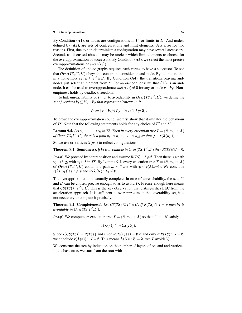#### 9.3 Overapproximation 67

By Condition (A1), or-nodes are configurations in  $\Gamma'$  or limits in  $L'$ . And-nodes, defined by (A2), are sets of configurations and limit elements. Sets arise for two reasons. First, due to non-determinism a configuration may have several successors. Second, as discussed above it may be unclear which limit elements to choose for the overapproximation of successors. By Condition (A5), we select the most precise overapproximations of  $succ(r(v_1))$ .

The definition of and-or graphs requires each vertex to have a successor. To see that  $Over(TS, \Gamma', L')$  obeys this constraint, consider an and-node. By definition, this is a non-empty set  $E \subseteq \Gamma' \cup L'$ . By Condition (A4), the transitions leaving andnodes just select an element from *E*. For an or-node, observe that  $\{\top\}$  is an andnode. It can be used to overapproximate  $suc(r(v)) \neq \emptyset$  for any or-node  $v \in V_O$ . Nonemptiness holds by deadlock freedom.

To link unreachability of  $I \subseteq \Gamma$  to avoidability in  $Over(TS, \Gamma', L')$ , we define the *set of vertices*  $V_I \subseteq V_A \oplus V_O$  *that represent elements in I:* 

$$
V_I := \{ v \in V_A \oplus V_O \mid r(v) \cap I \neq \emptyset \}.
$$

To prove the overapproximation sound, we first show that it imitates the behaviour of *TS*. Note that the following statements holds for any choice of  $\Gamma'$  and  $L'$ .

**Lemma 9.4.** Let  $\gamma_0 \to \ldots \to \gamma_k$  in TS. Then in every execution tree  $T = (N, n_r, \leadsto, \lambda)$ *of Over*(*TS*,  $\Gamma', L'$ ) there is a path  $n_r \rightsquigarrow n_1 \rightsquigarrow ... \rightsquigarrow n_{2k}$  so that  $\gamma_i \in r(\lambda(n_{2i}))$ .

So we use or-vertices  $\lambda(n_{2i})$  to reflect configurations.

**Theorem 9.1 (Soundness).** *If*  $V_I$  *is avoidable in Over*(*TS*,  $\Gamma', L'$ ) *then*  $R(TS) \cap I = \emptyset$ *.* 

*Proof.* We proceed by contraposition and assume  $R(TS) \cap I \neq \emptyset$ . Then there is a path  $\gamma_0 \to^+ \gamma_k$  with  $\gamma_k \in I$  in *TS*. By Lemma 9.4, every execution tree  $T = (N, n_r, \leadsto, \lambda)$ of *Over*(*TS*,  $\Gamma'$ , *L*') contains a path  $n_r \rightarrow +n_{2k}$  with  $\gamma_i \in r(\lambda(n_{2i}))$ . We conclude *r*( $\lambda$ (*n*<sub>2*k*</sub>))∩ *I*  $\neq$  **0** and so  $\lambda$ (*N*)∩*V<sub>I</sub>*  $\neq$  **0**.

The overapproximation is actually complete. In case of unreachability, the sets  $\Gamma'$ and  $L'$  can be chosen precise enough so as to avoid  $V_I$ . Precise enough here means that  $CS(TS) \subseteq \Gamma' \cup L'$ . This is the key observation that distinguishes EEC from the acceleration approach. It is sufficient to overapproximate the coverability set, it is not necessary to compute it precisely.

**Theorem 9.2 (Completeness).** Let  $CS(TS) \subseteq \Gamma' \oplus L'$ . If  $R(TS) \cap I = \emptyset$  then  $V_I$  is *avoidable in Over*(*TS*,  $\Gamma', L'$ )*.* 

*Proof.* We compute an execution tree  $T = (N, n_r, \leadsto, \lambda)$  so that all  $n \in N$  satisfy

$$
r(\lambda(n)) \subseteq r(CS(TS)).
$$

Since  $r(CS(TS)) = R(TS) \downarrow$  and since  $R(TS) \downarrow \cap I = \emptyset$  if and only if  $R(TS) \cap I = \emptyset$ , we conclude  $r(\lambda(n)) \cap I = \emptyset$ . This means  $\lambda(N) \cap V_I = \emptyset$ , tree *T* avoids  $V_I$ .

We construct the tree by induction on the number of layers of or- and and-vertices. In the base case, we start from the root with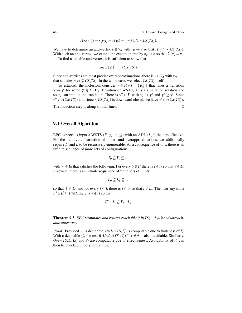68 9 Expand, Enlarge, and Check

$$
r(\lambda(n_r)) = r(v_O) = r(\gamma_0) = {\gamma_0} \downarrow \subseteq r(CS(TS)).
$$

We have to determine an and-vertex  $v \in V_A$  with  $v_0 \to v$  so that  $r(v) \subseteq r(CS(TS))$ . With such an and-vertex, we extend the execution tree by  $n_r \rightarrow n$  so that  $\lambda(n) = v$ .

To find a suitable and-vertex, it is sufficient to show that

$$
suc(r(\gamma_0)) \subseteq r(CS(TS)).
$$

Since and-vertices are most precise overapproximations, there is  $v \in V_A$  with  $v_O \to v$ that satisfies  $r(v) \subseteq CS(TS)$ . In the worst case, we select  $CS(TS)$  itself.

To establish the inclusion, consider  $\gamma \in r(\gamma_0) = {\gamma_0} \downarrow$  that takes a transition  $\gamma \rightarrow \gamma'$  for some  $\gamma' \in \Gamma$ . By definition of WSTS,  $\leq$  is a simulation relation and so  $\gamma_0$  can imitate the transition. There is  $\gamma'' \in \Gamma$  with  $\gamma_0 \to \gamma''$  and  $\gamma'' \ge \gamma'$ . Since  $\gamma'' \in r(CS(TS))$  and since  $r(CS(TS))$  is downward closed, we have  $\gamma' \in r(CS(TS))$ .

The induction step is along similar lines.

9.4 Overall Algorithm

EEC expects as input a WSTS  $(\Gamma, \gamma_0, \rightarrow, \leq)$  with an ADL  $(L, r)$  that are effective. For the iterative construction of under- and overapproximations, we additionally require  $\Gamma$  and  $L$  to be recursively enumerable. As a consequence of this, there is an infinite sequence of *finite* sets of configurations

$$
\varGamma_0\subseteq\varGamma_1\subseteq\ldots
$$

with  $\gamma_0 \in \Gamma_0$  that satisfies the following. For every  $\gamma \in \Gamma$  there is  $i \in \mathbb{N}$  so that  $\gamma \in \Gamma_i$ . Likewise, there is an infinite sequencce of finite sets of limits

$$
L_0\subseteq L_1\subseteq \ldots
$$

so that  $\top \in L_0$  and for every  $l \in L$  there is  $i \in \mathbb{N}$  so that  $l \in L_i$ . Then for any finite  $\Gamma' \uplus L' \subseteq \Gamma \uplus L$  there is  $j \in \mathbb{N}$  so that

$$
\Gamma' \uplus L' \subseteq \Gamma_j \uplus L_j.
$$

**Theorem 9.3.** *EEC terminates and returns reachable if*  $R(TS) \cap I \neq \emptyset$  *and unreachable otherwise.*

*Proof.* Provided  $\rightarrow$  is decidable, *Under*(*TS*,  $\Gamma$ *i*) is computable due to finiteness of  $\Gamma$ *i*. With a decidable  $\leq$ , the test  $R(Under(TS, \Gamma_i)) \cap I \neq \emptyset$  is also decidable. Similarly,  $Over(TS, \Gamma_i, L_i)$  and  $V_I$  are computable due to effectiveness. Avoidability of  $V_I$  can then be checked in polynomial time.

$$
\Box_{\varepsilon}
$$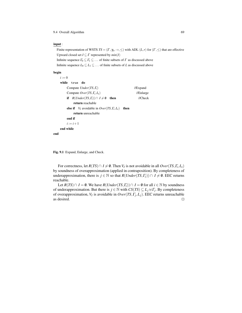9.4 Overall Algorithm 69

### input :

Finite representation of WSTS  $TS = (\Gamma, \gamma_0, \rightarrow, \leq)$  with ADL  $(L, r)$  for  $(\Gamma, \leq)$  that are effective Upward closed set  $I \subseteq \Gamma$  represented by  $min(I)$ 

Infinite sequence  $\Gamma_0 \subseteq \Gamma_1 \subseteq \ldots$  of finite subsets of  $\Gamma$  as discussed above Infinite sequence  $L_0 \subseteq L_1 \subseteq \ldots$  of finite subsets of *L* as discussed above

### begin

| $i := 0$                                                            |                     |
|---------------------------------------------------------------------|---------------------|
| while<br>true do                                                    |                     |
| Compute $Under(TS, \Gamma)$                                         | //Expand            |
| Compute $Over(TS, \Gamma_i, L_i)$                                   | //Enlarge           |
| if $R(Under(TS, \Gamma_i)) \cap I \neq \emptyset$<br>then           | $\mathcal{U}$ Check |
| return reachable                                                    |                     |
| <b>else if</b> $V_I$ avoidable in $Over(TS, \Gamma_i, L_i)$<br>then |                     |
| return unreachable                                                  |                     |
| end if                                                              |                     |
| $i := i + 1$                                                        |                     |
| end while                                                           |                     |
| end                                                                 |                     |
|                                                                     |                     |

Fig. 9.1 Expand, Enlarge, and Check.

For correctness, let  $R(TS) \cap I \neq \emptyset$ . Then  $V_I$  is not avoidable in all  $Over(TS, \Gamma_i, L_i)$ by soundness of overapproximation (applied in contraposition). By completeness of underapproximation, there is *j* ∈ N so that *R*(*Under*(*TS*, $\Gamma$ *j*))∩ *I* ≠ 0. EEC returns reachable.

Let *R*(*TS*)∩ *I* =  $\emptyset$ . We have *R*(*Under*(*TS*,*Γ<sub>i</sub>*))∩ *I* =  $\emptyset$  for all *i* ∈  $\mathbb N$  by soundness of underapproximation. But there is  $j \in \mathbb{N}$  with  $CS(TS) \subseteq L_j \cup \overline{\Gamma_j}$ . By completeness of overapproximation, *V<sup>I</sup>* is avoidable in *Over*(*TS*,Γ*<sup>j</sup>* ,*Lj*). EEC returns unreachable as desired.  $\Box$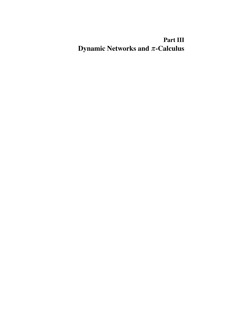# Part III Dynamic Networks and  $\pi$ -Calculus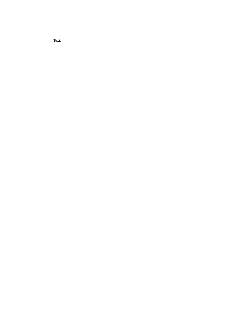Text.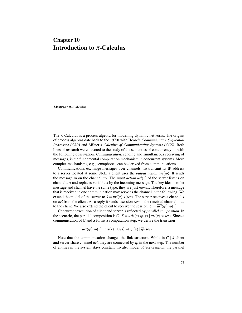# Chapter 10 Introduction to  $\pi$ -Calculus

**Abstract**  $\pi$ -Calculus

The  $\pi$ -Calculus is a process algebra for modelling dynamic networks. The origins of process algebras date back to the 1970s with Hoare's *Communicating Sequential Processes (CSP)* and Milner's *Calculus of Communicating Systems (CCS)*. Both lines of research were devoted to the study of the semantics of concurrency — with the following observation. *Communication*, sending and simultaneous receiving of messages, is the fundamental computation mechanism in concurrent systems. More complex mechanisms, e.g., semaphores, can be derived from communications.

Communications exchange messages over channels. To transmit its IP address to a server located at some URL, a client uses the *output action*  $url$ *ip*). It sends the message *ip* on the channel *url*. The *input action*  $url(x)$  of the server listens on channel *url* and replaces variable *x* by the incoming message. The key idea is to let message and channel have the same type: they are just *names*. Therefore, a message that is received in one communication may serve as the channel in the following. We extend the model of the server to  $S = url(x) \cdot \bar{x} \langle ses \rangle$ . The server receives a channel *x* on *url* from the client. As a reply it sends a session *ses* on the received channel, i.e., to the client. We also extend the client to receive the session:  $C = \overline{url}{ip}\rangle ip(y)$ .

Concurrent execution of client and server is reflected by *parallel composition*. In the scenario, the parallel composition is  $C | S = \overline{url}(ip) \cdot ip(v) | url(x) \cdot \overline{x} \langle ses \rangle$ . Since a communication of *C* and *S* forms a computation step, we derive the transition

$$
\overline{url}\langle ip \rangle .ip(y) | url(x).\overline{x}\langle ses \rangle \rightarrow ip(y) | \overline{ip}\langle ses \rangle.
$$

Note that the communication changes the link structure. While in *C* | *S* client and server share channel *url*, they are connected by *ip* in the next step. The number of entities in the system stays constant. To also model *object creation*, the parallel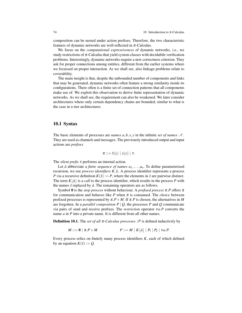composition can be nested under action prefixes. Therefore, the two characteristic features of dynamic networks are well-reflected in  $\pi$ -Calculus.

We focus on the *computational expressiveness* of dynamic networks, i.e., we study restrictions of  $\pi$ -Calculus that yield system classes with decidabile verification problems. Interestingly, dynamic networks require a new correctness criterion. They ask for proper connections among entities, different from the earlier systems where we focussed on proper interaction. As we shall see, also linkage problems relate to coverability.

The main insight is that, despite the unbounded number of components and links that may be generated, dynamic networks often feature a strong similarity inside its configurations. There often is a finite set of connection patterns that all components make use of. We exploit this observation to derive finite representation of dynamic networks. As we shall see, the requirement can also be weakened. We later consider architectures where only certain dependency chains are bounded, similar to what is the case in *n*-tier architectures.

# 10.1 Syntax

The basic elements of processes are *names*  $a, b, x, y$  in the infinite *set of names* N. They are used as channels and messages. The previously introduced output and input actions are *prefixes*

$$
\pi ::= \overline{x}\langle y \rangle \mid x(y) \mid \tau.
$$

The *silent prefix* τ performs an internal action.

Let  $\tilde{a}$  abbreviate a *finite sequence of names*  $a_1, \ldots, a_n$ . To define parameterized recursion, we use *process identifiers K*,*L*. A process identifier represents a process *P* via a recursive definition  $K(\tilde{x}) := P$ , where the elements in  $\tilde{x}$  are pairwise distinct. The term  $K|\tilde{a}|$  is a *call* to the process identifier, which results in the process *P* with the names  $\tilde{x}$  replaced by  $\tilde{a}$ . The remaining operators are as follows.

Symbol 0 is the *stop process* without behaviour. A *prefixed process*  $\pi$ . P offers  $\pi$ for communication and behaves like *P* when  $\pi$  is consumed. The *choice* between prefixed processes is represented by  $\pi.P + M$ . If  $\pi.P$  is chosen, the alternatives in M are forgotten. In a *parallel composition*  $P \mid Q$ , the processes  $P$  and  $Q$  communicate via pairs of send and receive prefixes. The *restriction* operator ν*a*.*P* converts the name *a* in *P* into a private name. It is different from all other names.

**Definition 10.1.** The *set of all*  $\pi$ -Calculus processes  $\mathcal{P}$  is defined inductively by

$$
M ::= \mathbf{0} \mid \pi.P + M \qquad P ::= M \mid K[\tilde{a}] \mid P_1 \mid P_2 \mid \text{va}.P.
$$

Every process relies on finitely many process identifiers *K*, each of which defined by an equation  $K(\tilde{x}) := Q$ .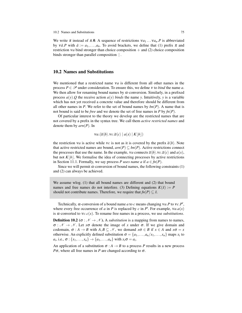We write  $\pi$  instead of  $\pi.0$ . A sequence of restrictions  $v a_1 \dots v a_n P$  is abbreviated by  $v\tilde{a}$ .*P* with  $\tilde{a} := a_1, \ldots, a_n$ . To avoid brackets, we define that (1) prefix  $\pi$  and restriction  $\vee a$  bind stronger than choice composition  $+$  and (2) choice composition binds stronger than parallel composition  $\vert$ .

# 10.2 Names and Substitutions

We mentioned that a restricted name ν*a* is different from all other names in the process  $P \in \mathcal{P}$  under consideration. To ensure this, we define v to *bind* the name *a*. We then allow for renaming bound names by  $\alpha$ -conversion. Similarly, in a prefixed process  $a(y)$ . *Q* the receive action  $a(y)$  *binds* the name *y*. Intuitively, *y* is a variable which has not yet received a concrete value and therefore should be different from all other names in *P*. We refer to the set of bound names by  $bn(P)$ . A name that is not bound is said to be *free* and we denote the set of free names in *P* by *fn*(*P*).

Of particular interest to the theory we develop are the restricted names that are not covered by a prefix in the syntax tree. We call them *active restricted names* and denote them by *arn*(*P*). In

 $\forall a.(\overline{a}\langle b\rangle \cdot \vee c.\overline{a}\langle c\rangle | a(x) | K|b|)$ 

the restriction *va* is active while *vc* is not as it is covered by the prefix  $\overline{a} \langle b \rangle$ . Note that active restricted names are bound,  $arn(P) \subseteq bn(P)$ . Active restrictions connect the processes that use the name. In the example, *va* connects  $\overline{a}\langle b\rangle$ .*vc*. $\overline{a}\langle c\rangle$  and  $a(x)$ , but not  $K[b]$ . We formalise the idea of connecting processes by active restrictions in Section 11.1. Formally, we say process *P* uses name a if  $a \in fn(P)$ .

Since we will permit  $\alpha$ -conversion of bound names, the following constraints (1) and (2) can always be achieved.

We assume wlog. (1) that all bound names are different and (2) that bound names and free names do not interfere. (3) Defining equations  $K(\tilde{x}) := P$ should not contribute names. Therefore, we require that  $fn(P) \subset \tilde{x}$ .

Technically,  $\alpha$ -conversion of a bound name *a* to *c* means changing  $\alpha$  *a*.*P* to  $\gamma$ *c*.*P*<sup>*i*</sup>, where every free occurrence of *a* in *P* is replaced by *c* in *P*<sup> $\prime$ </sup>. For example,  $\nu a.a(x)$ is  $\alpha$ -converted to  $\text{v}_c.c(x)$ . To rename free names in a process, we use *substitutions*.

**Definition 10.2** ( $\sigma : \mathcal{N} \to \mathcal{N}$ ). A *substitution* is a mapping from names to names,  $\sigma : \mathscr{N} \to \mathscr{N}$ . Let  $x\sigma$  denote the image of x under  $\sigma$ . If we give domain and codomain,  $\sigma : A \to B$  with  $A, B \subseteq \mathcal{N}$ , we demand  $x\sigma \in B$  if  $x \in A$  and  $x\sigma = x$ otherwise. An explicitly defined substitution  $\sigma = \{a_1, \ldots, a_n/x_1, \ldots, x_n\}$  maps  $x_i$  to  $a_i$ , i.e.,  $\sigma$ : { $x_1, ..., x_n$ }  $\to$  { $a_1, ..., a_n$ } with  $x_i \sigma = a_i$ .

An application of a substitution  $\sigma : A \rightarrow B$  to a process *P* results in a new process *P*σ, where all free names in *P* are changed according to  $\sigma$ .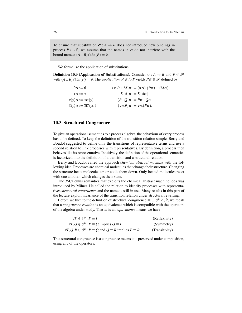To ensure that substitution  $\sigma : A \rightarrow B$  does not introduce new bindings in process  $P \in \mathcal{P}$ , we assume that the names in  $\sigma$  do not interfere with the bound names:  $(A \cup B) \cap bn(P) = \emptyset$ .

We formalize the application of substitutions.

**Definition 10.3 (Application of Substitutions).** Consider  $\sigma : A \rightarrow B$  and  $P \in \mathcal{P}$ with  $(A \cup B) \cap bn(P) = \emptyset$ . The *application of*  $\sigma$  *to P* yields  $P\sigma \in \mathcal{P}$  defined by

| $0\sigma := 0$                                                                 | $(\pi.P+M)\sigma := (\pi\sigma).(P\sigma)+(M\sigma)$ |
|--------------------------------------------------------------------------------|------------------------------------------------------|
| $\tau\sigma:=\tau$                                                             | $K \tilde{a} \sigma := K \tilde{a}\sigma $           |
| $x(y)\sigma := x\sigma(y)$                                                     | $(P   Q) \sigma := P \sigma   Q \sigma$              |
| $\overline{x}\langle y\rangle\sigma:=\overline{x\sigma}\langle y\sigma\rangle$ | $(va.P)\sigma := va.(P\sigma).$                      |

# 10.3 Structural Congruence

To give an operational semantics to a process algebra, the behaviour of every process has to be defined. To keep the definition of the transition relation simple, Berry and Boudol suggested to define only the transitions of representative terms and use a second relation to link processes with representatives. By definition, a process then behaves like its representative. Intuitively, the definition of the operational semantics is factorized into the definition of a transition and a structural relation.

Berry and Boudol called the approach *chemical abstract machine* with the following idea. Processes are chemical molecules that change their structure. Changing the structure heats molecules up or cools them down. Only heated molecules react with one another, which changes their state.

The  $\pi$ -Calculus semantics that exploits the chemical abstract machine idea was introduced by Milner. He called the relation to identify processes with representatives *structural congruence* and the name is still in use. Many results in this part of the lecture exploit invariance of the transition relation under structural rewriting.

Before we turn to the definition of structural congruence  $\equiv \subseteq \mathscr{P} \times \mathscr{P}$ , we recall that a *congruence relation* is an equivalence which is compatible with the operators of the algebra under study. That ≡ is an *equivalence* means we have

| $\forall P \in \mathscr{P} : P \equiv P$                                               | (Reflexivity)  |
|----------------------------------------------------------------------------------------|----------------|
| $\forall P, Q \in \mathscr{P} : P \equiv Q$ implies $Q \equiv P$                       | (Symmetry)     |
| $\forall P, Q, R \in \mathcal{P} : P \equiv Q$ and $Q \equiv R$ implies $P \equiv R$ . | (Transitivity) |

That structural congruence is a congruence means it is preserved under composition, using any of the operators: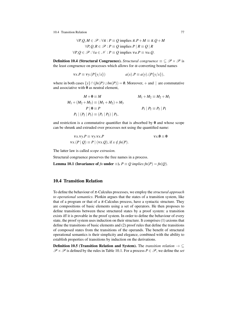10.4 Transition Relation 77

$$
\forall P, Q, M \in \mathcal{P}: \forall \pi: P \equiv Q \text{ implies } \pi.P + M \equiv \pi.Q + M
$$

$$
\forall P, Q, R \in \mathcal{P}: P \equiv Q \text{ implies } P \mid R \equiv Q \mid R
$$

$$
\forall P, Q \in \mathcal{P}: \forall a \in \mathcal{N}: P \equiv Q \text{ implies } \forall a.P \equiv \forall a.Q.
$$

**Definition 10.4 (Structural Congruence).** *Structural congruence*  $\equiv \subseteq \mathcal{P} \times \mathcal{P}$  is the least congruence on processes which allows for  $\alpha$ -converting bound names

$$
vx.P \equiv vy.(P{y/x}) \qquad a(x).P \equiv a(y).(P{y/x}),
$$

where in both cases  $\{y\} \cap (fn(P) \cup bn(P)) = \emptyset$ . Moreover, + and | are commutative and associative with 0 as neutral element,

$$
M + \mathbf{0} \equiv M
$$
  
\n
$$
M_1 + (M_2 + M_3) \equiv (M_1 + M_2) + M_3
$$
  
\n
$$
P | \mathbf{0} \equiv P
$$
  
\n
$$
P_1 | (P_2 | P_3) \equiv (P_1 | P_2) | P_3,
$$
  
\n
$$
P_1 | P_2 \equiv P_2 | P_1
$$

and restriction is a commutative quantifier that is absorbed by  $\bf{0}$  and whose scope can be shrunk and extruded over processes not using the quantified name:

$$
vx.vy.P \equiv vy.vx.P
$$
  
 
$$
vx.(P \mid Q) \equiv P \mid (vx.Q), \text{ if } x \notin fn(P).
$$

The latter law is called *scope extrusion.*

Structural congruence preserves the free names in a process.

**Lemma 10.1 (Invariance of**  $fn$  **under**  $\equiv$ **).**  $P \equiv Q$  implies  $fn(P) = fn(Q)$ .

# 10.4 Transition Relation

To define the behaviour of π-Calculus processes, we employ the *structural approach to operational semantics*. Plotkin argues that the states of a transition system, like that of a program or that of a  $\pi$ -Calculus process, have a syntactic structure. They are compositions of basic elements using a set of operators. He then proposes to define transitions between these structured states by a proof system: a transition exists iff it is provable in the proof system. In order to define the behaviour of every state, the proof system uses induction on their structure. It comprises (1) axioms that define the transitions of basic elements and (2) proof rules that define the transitions of composed states from the transitions of the operands. The benefit of structural operational semantics is their simplicity and elegance, combined with the ability to establish properties of transitions by induction on the derivations.

Definition 10.5 (Transition Relation and System). The *transition relation* → ⊆  $\mathscr{P} \times \mathscr{P}$  is defined by the rules in Table 10.1. For a process  $P \in \mathscr{P}$ , we define the *set*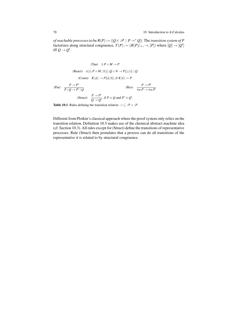*of reachable processes* to be  $R(P) := \{Q \in \mathcal{P} \mid P \rightarrow^* Q\}$ . The *transition system of* P factorizes along structural congruence,  $T(P) := (R(P)/_{\equiv}, \rightarrow, [P])$  where  $[Q] \rightarrow [Q']$ iff  $Q \rightarrow Q'$ .

(Tau) 
$$
\tau.P + M \rightarrow P
$$
  
\n(React)  $x(y).P + M | \bar{x}\langle z \rangle \cdot Q + N \rightarrow P\{z/y\} | Q$   
\n(Const)  $K[\bar{a}] \rightarrow P\{\bar{a}/\bar{x}\}\text{, if } K(\bar{x}) := P$   
\n(Par)  $\frac{P \rightarrow P'}{P | Q \rightarrow P' | Q}$  (Res)  $\frac{P \rightarrow P'}{\text{va}.P \rightarrow \text{va}.P'}$   
\n(Struct)  $\frac{P \rightarrow P'}{Q \rightarrow Q'}$ , if  $P \equiv Q$  and  $P' \equiv Q'$ .

Table 10.1 Rules defining the transition relation  $\rightarrow \subseteq \mathcal{P} \times \mathcal{P}$ .

Different from Plotkin's classical approach where the proof system only relies on the transition relation, Definition 10.5 makes use of the chemical abstract machine idea (cf. Section 10.3). All rules except for (Struct) define the transitions of representative processes. Rule (Struct) then postulates that a process can do all transitions of the representative it is related to by structural congruence.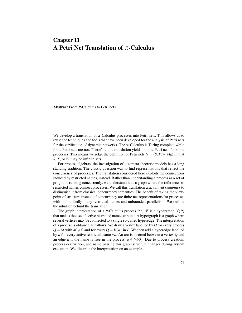# Chapter 11 A Petri Net Translation of  $\pi$ -Calculus

**Abstract** From  $\pi$ -Calculus to Petri nets

We develop a translation of  $\pi$ -Calculus processes into Petri nets. This allows us to reuse the techniques and tools that have been developed for the analysis of Petri nets for the verification of dynamic networks. The  $\pi$ -Calculus is Turing complete while finite Petri nets are not. Therefore, the translation yields infinite Petri nets for some processes. This means we relax the definition of Petri nets  $N = (S, T, W, M_0)$  in that *S*, *T*, or *W* may be infinite sets.

For process algebras, the investigation of automata-theoretic models has a long standing tradition. The classic question was to find representations that reflect the concurrency of processes. The translation considered here exploits the connections induced by restricted names, instead. Rather than understanding a process as a set of programs running concurrently, we understand it as a graph where the references to restricted names connect processes. We call this translation a *structural semantics* to distinguish it from classical concurrency semantics. The benefit of taking the viewpoint of structure instead of concurrency are finite net representations for processes with unboundedly many restricted names and unbounded parallelism. We outline the intuition behind the translation.

The graph interpretation of a  $\pi$ -Calculus process  $P \in \mathcal{P}$  is a hypergraph  $\mathcal{G}(P)$ that makes the use of active restricted names explicit. A hypergraph is a graph where several vertices may be connected to a single so-called hyperedge. The interpretation of a process is obtained as follows. We draw a vertex labelled by *Q* for every process  $Q = M$  with  $M \neq 0$  and for every  $Q = K | \tilde{a} |$  in *P*. We then add a hyperedge labelled by *a* for every active restricted name ν*a*. An arc is inserted between a vertex *Q* and an edge *a* if the name is free in the process,  $a \in fn(Q)$ . Due to process creation, process destruction, and name passing this graph structure changes during system execution. We illustrate the interpretation on an example.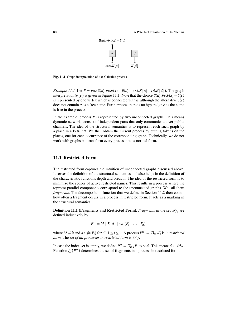#### 80 11 A Petri Net Translation of π-Calculus



Fig. 11.1 Graph interpretation of a  $\pi$ -Calculus process

*Example 11.1.* Let  $P = \nu a.(\overline{a}\langle a \rangle \cdot \nu b.b(x) + \overline{c}\langle c \rangle |c(x).K|a| |v d.K|d|$ . The graph interpretation  $\mathscr{G}(P)$  is given in Figure 11.1. Note that the choice  $\overline{a}\langle a \rangle \cdot v \cdot b \cdot b(x) + \overline{c}\langle c \rangle$ is represented by one vertex which is connected with *a*, although the alternative  $\overline{c}\langle c \rangle$ does not contain  $a$  as a free name. Furthermore, there is no hyperedge  $c$  as the name is free in the process.

In the example, process  $P$  is represented by two unconnected graphs. This means dynamic networks consist of independent parts that only communicate over public channels. The idea of the structural semantics is to represent each such graph by a place in a Petri net. We then obtain the current process by putting tokens on the places, one for each occurrence of the corresponding graph. Technically, we do not work with graphs but transform every process into a normal form.

# 11.1 Restricted Form

The restricted form captures the intuition of unconnected graphs discussed above. It serves the definition of the structural semantics and also helps in the definition of the characteristic functions depth and breadth. The idea of the restricted form is to minimize the scopes of active restricted names. This results in a process where the topmost parallel components correspond to the unconnected graphs. We call them *fragments*. The decomposition function that we define in Section 11.2 then counts how often a fragment occurs in a process in restricted form. It acts as a marking in the structural semantics.

**Definition 11.1 (Fragments and Restricted Form).** *Fragments* in the set  $\mathscr{P}_{fg}$  are defined inductively by

$$
F ::= M \mid K[\tilde{a}] \mid va.(F_1 \mid \ldots \mid F_n),
$$

where  $M \neq \mathbf{0}$  and  $a \in \mathit{fn}(F_i)$  for all  $1 \leq i \leq n$ . A process  $P^{rf} = \prod_{i \in I} F_i$  is *in restricted form.* The *set of all processes in restricted form* is  $\mathcal{P}_r f$ .

In case the index set is empty, we define  $P^{rf} = \prod_{i \in \emptyset} F_i$  to be 0. This means  $0 \in \mathcal{P}_{rf}$ . Function  $fg(P^{rf})$  determines the set of fragments in a process in restricted form.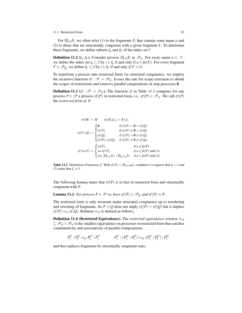#### 11.1 Restricted Form 81

For  $\Pi_{i \in I} F_i$ , we often refer (1) to the fragments  $F_i$  that contain some name *a* and (2) to those that are structurally congruent with a given fragment *F*. To determine these fragments, we define subsets  $I_a$  and  $I_f$  of the index set  $I$ .

**Definition 11.2** ( $I_a, I_F$ ). Consider process  $\Pi_{i \in I} F_i$  in  $\mathcal{P}_{rf}$ . For every name  $a \in \mathcal{N}$ , we define the index set  $I_a \subseteq I$  by  $i \in I_a$  if and only if  $a \in fn(F_i)$ . For every fragment *F* ∈  $\mathscr{P}_{fg}$ , we define *I<sub>F</sub>* ⊆ *I* by *i* ∈ *I<sub>F</sub>* if and only if *F* ≡ *F<sub>i</sub>*.

To transform a process into restricted form via structural congruence, we employ the recursive function  $rf : \mathcal{P} \rightarrow \mathcal{P}_{rf}$ . It uses the rule for scope extrusion to shrink the scopes of restrictions and removes parallel compositions of stop processes 0.

**Definition 11.3** ( $rf : \mathcal{P} \rightarrow \mathcal{P}_{rf}$ ). The function  $rf$  in Table 11.1 computes for any process *P* ∈  $\mathcal{P}$  a process *rf*(*P*) in restricted form, i.e., *rf*(*P*) ∈  $\mathcal{P}_{rf}$ . We call *rf*(*P*) the *restricted form of P*.

$$
rf(M) := M \t rf(K[\tilde{a}]) := K[\tilde{a}]
$$
  

$$
rf(P | Q) := \begin{cases} 0, & \text{if } rf(P) = 0 = rf(Q) \\ rf(P), & \text{if } rf(P) \neq 0 = rf(Q) \\ rf(Q), & \text{if } rf(P) = 0 \neq rf(Q) \\ rf(P) | rf(Q), & \text{if } rf(P) \neq 0 \neq rf(Q) \end{cases}
$$
  

$$
rf(\mathbf{v}a.P) := \begin{cases} rf(P), & \text{if } a \notin fn(P) \\ \mathbf{v}a.rf(P), & \text{if } a \in fn(P) \text{ and } (1) \\ \mathbf{v}a.(\Pi_{i \in I_a}F_i) | \Pi_{i \in I_b}F_i, & \text{if } a \in fn(P) \text{ and } (2) \end{cases}
$$

**Table 11.1** Definition of function *rf*. With  $rf(P) = \prod_{i \in I \neq \emptyset} F_i$ , condition (1) requires that  $I_a = I$  and (2) states that  $I_a \neq I$ .

The following lemma states that  $rf(P)$  is in fact in restricted form and structurally congruent with *P*.

**Lemma 11.1.** *For process*  $P \in \mathcal{P}$  *we have rf*(*P*) ∈  $\mathcal{P}_{rf}$  *and rf*(*P*) ≡ *P*.

The restricted form is only invariant under structural congruence up to reordering and rewriting of fragments. So  $P \equiv Q$  does not imply  $rf(P) = rf(Q)$  but it implies  $rf(P) \equiv_{rf} rf(Q)$ . Relation  $\equiv_{rf}$  is defined as follows.

**Definition 11.4 (Restricted Equivalence).** The *restricted equivalence relation*  $\equiv_{rf}$  $\subseteq \mathcal{P}_{rf} \times \mathcal{P}_{rf}$  is the smallest equivalence on processes in restricted form that satisfies commutativity and associativity of parallel compositions,

$$
P_1^{rf} | P_2^{rf} \equiv_{rf} P_2^{rf} | P_1^{rf} \qquad \qquad P_1^{rf} | (P_2^{rf} | P_3^{rf}) \equiv_{rf} (P_1^{rf} | P_2^{rf}) | P_3^{rf},
$$

and that replaces fragments by structurally congruent ones,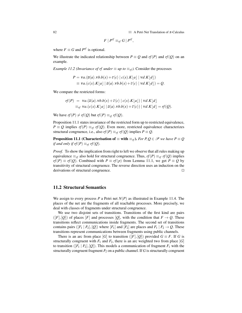82 11 A Petri Net Translation of π-Calculus

$$
F \mid P^{rf} \equiv_{rf} G \mid P^{rf},
$$

where  $F \equiv G$  and  $P^{rf}$  is optional.

We illustrate the indicated relationship between  $P \equiv Q$  and  $rf(P)$  and  $rf(Q)$  on an example.

*Example 11.2 (Invariance of rf under*  $\equiv$  *up to*  $\equiv$ <sub>*rf*</sub> $)$ . Consider the processes

$$
P = \mathbf{v}a.(\overline{a}\langle a\rangle \cdot \mathbf{v}b. b(x) + \overline{c}\langle c\rangle |c(x).K[a] | \mathbf{v}d.K[d])
$$
  
\n
$$
\equiv \mathbf{v}a.(\mathbf{c}(x).K[a] | \overline{a}\langle a\rangle \cdot \mathbf{v}b.b(x) + \overline{c}\langle c\rangle | \mathbf{v}d.K[d]) = Q.
$$

We compare the restricted forms:

$$
rf(P) = \nu a.(\overline{a}\langle a\rangle \cdot \nu b. b(x) + \overline{c}\langle c\rangle \mid c(x).K\lfloor a \rfloor) \mid \nu d.K\lfloor d \rfloor
$$
  

$$
\equiv_{rf} \nu a. (c(x).K\lfloor a \rfloor \mid \overline{a}\langle a\rangle \cdot \nu b. b(x) + \overline{c}\langle c\rangle) \mid \nu d.K\lfloor d \rfloor = rf(Q).
$$

We have  $rf(P) \neq rf(Q)$  but  $rf(P) \equiv_{rf} rf(Q)$ .

Proposition 11.1 states invariance of the restricted form up to restricted equivalence,  $P \equiv Q$  implies  $r f(P) \equiv r f(Q)$ . Even more, restricted equivalence characterizes structural congruence, i.e., also  $rf(P) \equiv_{rf} rf(Q)$  implies  $P \equiv Q$ .

**Proposition 11.1** (Characterisation of  $\equiv$  with  $\equiv$ <sub>*rf*</sub>). *For P*,  $Q \in \mathcal{P}$  *we have P*  $\equiv$  *Q if and only if rf* $(P) \equiv_{rf} rf(Q)$ *.* 

*Proof.* To show the implication from right to left we observe that all rules making up equivalence  $\equiv_{rf}$  also hold for structural congruence. Thus,  $rf(P) \equiv_{rf} rf(Q)$  implies *rf*(*P*) ≡ *rf*(*Q*). Combined with *P* ≡ *rf*(*p*) from Lemma 11.1, we get *P* ≡ *Q* by transitivity of structural congruence. The reverse direction uses an induction on the  $derivations of structural congruence.$ 

# 11.2 Structural Semantics

We assign to every process *P* a Petri net  $N(P)$  as illustrated in Example 11.4. The places of the net are the fragments of all reachable processes. More precisely, we deal with classes of fragments under structural congruence.

We use two disjoint sets of transitions. Transitions of the first kind are pairs  $([F],[Q])$  of places  $[F]$  and processes  $[Q]$ , with the condition that  $F \to Q$ . These transitions reflect communications inside fragments. The second set of transitions contains pairs  $([F_1 \mid F_2], [Q])$  where  $[F_1]$  and  $[F_2]$  are places and  $F_1 \mid F_2 \rightarrow Q$ . These transitions represent communications between fragments using public channels.

There is an arc from place [*G*] to transition ([*F*], [*Q*]) provided  $G \equiv F$ . If *G* is structurally congruent with  $F_1$  and  $F_2$ , there is an arc weighted two from place [*G*] to transition  $([F_1 \mid F_2], [Q])$ . This models a communication of fragment  $F_1$  with the structurally congruent fragment  $F_2$  on a public channel. If  $G$  is structurally congruent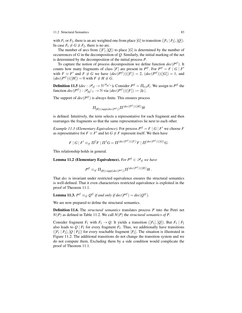#### 11.2 Structural Semantics 83

with  $F_1$  or  $F_2$ , there is an arc weighted one from place  $[G]$  to transition  $([F_1 \, | \, F_2], [Q])$ . In case  $F_1 \not\equiv G \not\equiv F_2$ , there is no arc.

The number of arcs from  $([F],[Q])$  to place  $[G]$  is determined by the number of occurrences of *G* in the decomposition of *Q*. Similarly, the initial marking of the net is determined by the decomposition of the initial process *P*.

To capture the notion of process decomposition we define function  $dec(P^{rf})$ . It counts how many fragments of class  $[F]$  are present in  $P^{rf}$ . For  $P^{rf} = F | G | F'$ with  $F \equiv F'$  and  $F \not\equiv G$  we have  $(dec(P^{rf}))([F]) = 2$ ,  $(dec(P^{rf}))([G]) = 1$ , and  $(dec(P^{rf}))([H]) = 0$  with  $F \not\equiv H \not\equiv G$ .

**Definition 11.5** ( $dec: \mathcal{P}_{rf} \to \mathbb{N}^{\mathcal{P}_{fg}/\equiv}$ ). Consider  $P^{rf} = \prod_{i \in I} F_i$ . We assign to  $P^{rf}$  the function  $dec(P^{rf}): \mathscr{P}_{fg}/\equiv \rightarrow \mathbb{N}$  via  $(dec(P^{rf}))([F]) := |I_F|.$ 

The support of  $dec(P^{rf})$  is always finite. This ensures process

$$
\Pi_{[H]\in supp(dec(P^{rf}))}\Pi^{(dec(P^{rf}))([H])}H
$$

is defined. Intuitively, the term selects a representative for each fragment and then rearranges the fragments so that the same representatives lie next to each other.

*Example 11.3 (Elementary Equivalence).* For process  $P^{rf} = F | G | F'$  we choose *F* as representative for  $F \equiv F'$  and let  $G \not\equiv F$  represent itself. We then have

$$
F | G | F' \equiv_{r f} \Pi^2 F | \Pi^1 G = \Pi^{(dec(P^{r f}))([F])} F | \Pi^{(dec(P^{r f}))([G])} G.
$$

This relationship holds in general.

**Lemma 11.2 (Elementary Equivalence).** *For*  $P^{rf} \in \mathcal{P}_{rf}$  *we have* 

$$
P^{rf} \equiv_{rf} \Pi_{[H]\in supp(dec(P^{rf}))}\Pi^{(dec(P^{rf}))([H])}H \ .
$$

That *dec* is invariant under restricted equivalence ensures the structural semantics is well-defined. That it even characterizes restricted equivalence is exploited in the proof of Theorem 11.1.

**Lemma 11.3.**  $P^{rf} \equiv_{rf} Q^{rf}$  if and only if  $dec(P^{rf}) = dec(Q^{rf})$ .

We are now prepared to define the structural semantics.

Definition 11.6. The *structural semantics* translates process *P* into the Petri net *N*(*P*) as defined in Table 11.2. We call *N*(*P*) the *structural semantics of P*.

Consider fragment  $F_1$  with  $F_1 \rightarrow Q$ . It yields a transition ( $[F_1], [Q]$ ). But  $F_1 \mid F_2$ also leads to  $Q \mid F_2$  for every fragment  $F_2$ . Thus, we additionally have transitions  $([F_1 \mid F_2], [Q \mid F_2])$  for every reachable fragment  $[F_2]$ . The situation is illustrated in Figure 11.2. The additional transitions do not change the transition system and we do not compute them. Excluding them by a side condition would complicate the proof of Theorem 11.1.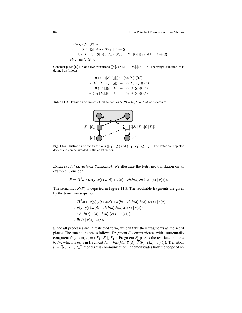#### 84 11 A Petri Net Translation of π-Calculus

$$
S := fg\left(rf(R(P))\right)/\equiv
$$
\n
$$
T := \left\{ ([F], [Q]) \in S \times \mathcal{P} / \equiv | F \to Q \right\}
$$
\n
$$
\cup \left\{ ([F_1 \mid F_2], [Q]) \in \mathcal{P} / \equiv \times \mathcal{P} / \equiv | [F_1], [F_2] \in S \text{ and } F_1 \mid F_2 \to Q \right\}
$$
\n
$$
M_0 := dec\left(rf(P)\right).
$$

Consider place  $[G] \in S$  and two transitions  $([F], [Q]), ([F_1 \mid F_2], [Q]) \in T$ . The weight function *W* is defined as follows:

$$
W([G], ([F], [Q])) := (dec(F))([G])
$$
  
\n
$$
W([G], ([F_1 | F_2], [Q])) := (dec(F_1 | F_2))([G])
$$
  
\n
$$
W(([F], [Q]), [G]) := (dec(rf(Q)))([G])
$$
  
\n
$$
W(([F_1 | F_2], [Q]), [G]) := (dec(rf(Q)))([G]).
$$

**Table 11.2** Definition of the structural semantics  $N(P) = (S, T, W, M_0)$  of process *P*.



Fig. 11.2 Illustration of the transitions  $([F_1],[Q])$  and  $([F_1 | F_2],[Q | F_2])$ . The latter are depicted dotted and can be avoided in the construction.

*Example 11.4 (Structural Semantics).* We illustrate the Petri net translation on an example. Consider

$$
P = \Pi^{2} a(x).x(y).y(z).\overline{a}\langle d \rangle + \overline{a}\langle b \rangle \mid \nu h.\overline{b}\langle h \rangle.\overline{h}\langle b \rangle.(c(x) \mid c(x)).
$$

The semantics  $N(P)$  is depicted in Figure 11.3. The reachable fragments are given by the transition sequence

$$
\Pi^2 a(x).x(y).y(z).\overline{a}\langle d \rangle + \overline{a}\langle b \rangle \mid \mathbf{v}h.\overline{b}\langle h \rangle.\overline{h}\langle b \rangle.(c(x) \mid c(x))
$$
  
\n
$$
\rightarrow b(y).y(z).\overline{a}\langle d \rangle \mid \mathbf{v}h.\overline{b}\langle h \rangle.\overline{h}\langle b \rangle.(c(x) \mid c(x))
$$
  
\n
$$
\rightarrow \mathbf{v}h.(h(z).\overline{a}\langle d \rangle \mid \overline{h}\langle b \rangle.(c(x) \mid c(x)))
$$
  
\n
$$
\rightarrow \overline{a}\langle d \rangle \mid c(x) \mid c(x).
$$

Since all processes are in restricted form, we can take their fragments as the set of places. The transitions are as follows. Fragment  $F_1$  communicates with a structurally congruent fragment,  $t_1 = ([F_1 | F_1], [F_2])$ . Fragment  $F_3$  passes the restricted name *h* to *F*<sub>2</sub>, which results in fragment  $F_4 = \nu h \cdot (h(z) \cdot \overline{a} \langle d \rangle | \overline{h} \langle b \rangle \cdot (c(x) | c(x))$ . Transition  $t_2 = ([F_2 | F_3], [F_4])$  models this communication. It demonstrates how the scope of re-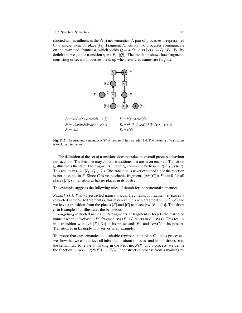#### 11.2 Structural Semantics 85

stricted names influences the Petri net semantics. A pair of processes is represented by a single token on place  $[F_4]$ . Fragment  $F_4$  lets its two processes communicate on the restricted channel *h*, which yields  $Q = \overline{a} \langle d \rangle | c(x) | c(x) = F_6 | F_5 | F_5$ . By definition, we get the transition  $t_3 = (F_4, [Q])$ . The transition shows how fragments consisting of several processes break up when restricted names are forgotten.



Fig. 11.3 The structural semantics *N*(*P*) of process *P* in Example 11.4. The meaning of transitions is explained in the text.

The definition of the set of transitions does not take the overall process behaviour into account. The Petri net may contain transitions that are never enabled. Transition  $t_4$  illustrates this fact. The fragments  $F_1$  and  $F_6$  communicate to  $G = d(y) \cdot y(z) \cdot \overline{a} \langle d \rangle$ . This results in  $t_4 = (F_1 \mid F_6], [G])$ . The transition is never executed since the reaction is not possible in *P*. Since *G* is no reachable fragment,  $(dec(G))([F]) = 0$  for all places  $[F]$ , so transition  $t_4$  has no places in its postset.

The example suggests the following rules of thumb for the structural semantics.

*Remark 11.1. Passing* restricted names *merges* fragments. If fragment *F* passes a restricted name v*a* to fragment *G*, this may result in a new fragment v*a*.( $F' | G'$ ) and we have a transition from the places  $[F]$  and  $[G]$  to place  $[va(F | G')]$ . Transition  $t_2$  in Example 11.4 illustrates the behaviour.

*Forgetting* restricted names *splits* fragments. If fragment *F* forgets the restricted name *a* when it evolves to *F*<sup> $\prime$ </sup>, fragment  $\mathit{va}(F \mid G)$  reacts to  $F' \mid \mathit{va}.G$ . This results in a transition with  $[va(F | G)]$  in its preset and  $[F']$  and  $[va.G]$  in its postset. Transition  $t_3$  in Example 11.4 serves as an example.

To ensure that our semantics is a suitable representation of  $\pi$ -Calculus processes, we show that we can retrieve all information about a process and its transitions from the semantics. To relate a marking in the Petri net  $N(P)$  and a process, we define the function *retrieve* :  $R(N(P)) \to \mathcal{P}/\equiv$ . It constructs a process from a marking by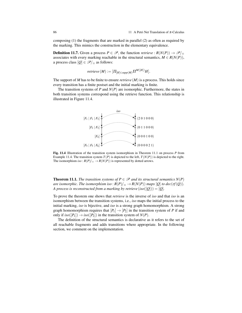composing (1) the fragments that are marked in parallel (2) as often as required by the marking. This mimics the construction in the elementary equivalence.

**Definition 11.7.** Given a process  $P \in \mathcal{P}$ , the function *retrieve* :  $R(N(P)) \rightarrow \mathcal{P}/\equiv$ associates with every marking reachable in the structural semantics,  $M \in R(N(P)),$ a process class  $[Q] \in \mathscr{P}/_{\equiv}$  as follows:

$$
retrieve(M):=[\Pi_{[H]\in supp(M)}\Pi^{M([H])}H].
$$

The support of *M* has to be finite to ensure *retrieve* (*M*) is a process. This holds since every transition has a finite postset and the initial marking is finite.

The transition systems of *P* and  $N(P)$  are isomorphic. Furthermore, the states in both transition systems correspond using the retrieve function. This relationship is illustrated in Figure 11.4.



Fig. 11.4 Illustration of the transition system isomorphism in Theorem 11.1 on process *P* from Example 11.4. The transition system  $T(P)$  is depicted to the left,  $T(N(P))$  is depicted to the right. The isomorphism *iso* :  $R(P)/_{\equiv} \rightarrow R(N(P))$  is represented by dotted arrows.

**Theorem 11.1.** *The transition systems of*  $P \in \mathcal{P}$  *and its structural semantics*  $N(P)$ *are isomorphic. The isomorphism iso* :  $R(P)|_{\equiv} \rightarrow R(N(P))$  *maps* [*Q*] *to dec*(*rf*(*Q*)). *A process is reconstructed from a marking by retrieve* (*iso*( $[Q]$ )) =  $[Q]$ *.* 

To prove the theorem one shows that *retrieve* is the inverse of *iso* and that *iso* is an isomorphism between the transition systems, i.e., *iso* maps the initial process to the initial marking, *iso* is bijective, and *iso* is a strong graph homomorphism. A strong graph homomorphism requires that  $[P_1] \rightarrow [P_2]$  in the transition system of *P* if and only if  $iso([P_1]) \rightarrow iso([P_2])$  in the transition system of  $N(P)$ .

The definition of the structural semantics is declarative as it refers to the set of all reachable fragments and adds transitions where appropriate. In the following section, we comment on the implementation.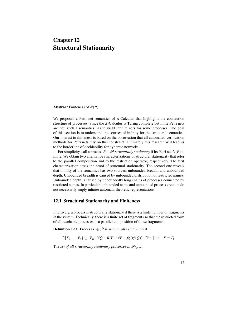# Chapter 12 Structural Stationarity

Abstract Finiteness of *N*(*P*)

We proposed a Petri net semantics of  $\pi$ -Calculus that highlights the connection structure of processes. Since the  $\pi$ -Calculus is Turing complete but finite Petri nets are not, such a semantics has to yield infinite nets for some processes. The goal of this section is to understand the sources of infinity for the structural semantics. Our interest in finiteness is based on the observation that all automated verification methods for Petri nets rely on this constraint. Ultimately this research will lead us to the borderline of decidability for dynamic networks.

For simplicity, call a process  $P \in \mathcal{P}$  *structurally stationary* if its Petri net  $N(P)$  is finite. We obtain two alternative characterizations of structural stationarity that refer to the parallel composition and to the restriction operator, respectively. The first characterization eases the proof of structural stationarity. The second one reveals that infinity of the semantics has two sources: unbounded breadth and unbounded depth. Unbounded breadth is caused by unbounded distribution of restricted names. Unbounded depth is caused by unboundedly long chains of processes connected by restricted names. In particular, unbounded name and unbounded process creation do not necessarily imply infinite automata-theoretic representations.

# 12.1 Structural Stationarity and Finiteness

Intuitively, a process is structurally stationary if there is a finite number of fragments in the system. Technically, there is a finite set of fragments so that the restricted form of all reachable processes is a parallel composition of those fragments.

**Definition 12.1.** Process  $P \in \mathcal{P}$  is *structurally stationary* if

$$
\exists \{F_1,\ldots,F_n\} \subseteq \mathscr{P}_{fg} : \forall Q \in R(P) : \forall F \in fg \,(rf(Q)) : \exists i \in [1,n] : F \equiv F_i.
$$

The *set of all structurally stationary processes is*  $\mathscr{P}_{fg<\infty}$ .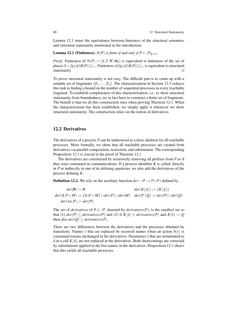Lemma 12.1 states the equivalence between finiteness of the structural semantics and structural stationarity mentioned in the introduction.

**Lemma 12.1 (Finiteness).** *N*(*P*) *is finite if and only if*  $P \in \mathscr{P}_{fg < \infty}$ *.* 

*Proof.* Finiteness of  $N(P) = (S, T, W, M_0)$  is equivalent to finiteness of the set of places  $S = fg(rf(R(P)))/Z$ . Finiteness of  $fg(rf(R(P)))/Z$  is equivalent to structural stationarity.  $\Box$ 

To prove structural stationarity is not easy. The difficult part is to come up with a suitable set of fragments  $\{F_1, \ldots, F_n\}$ . The characterization in Section 12.3 reduces this task to finding a bound on the number of sequential processes in every reachable fragment. To establish completeness of this characterization, i.e., to show structural stationarity from boundedness, we in fact have to construct a finite set of fragments. The benefit is that we do this construction once when proving Theorem 12.1. When the characterization has been established, we simply apply it whenever we show structural stationarity. The construction relies on the notion of derivatives.

## 12.2 Derivatives

The derivatives of a process *P* can be understood as a *finite* skeleton for all reachable processes. More formally, we show that all reachable processes are created from derivatives via parallel composition, restriction, and substitution. The corresponding Proposition 12.1 is crucial in the proof of Theorem 12.1.

The derivatives are constructed by recursively removing all prefixes from *P* as if they were consumed in communications. If a process identifier *K* is called, directly in *P* or indirectly in one of its defining equations, we also add the derivatives of the process defining *K*.

**Definition 12.2.** We rely on the auxiliary function  $der : \mathscr{P} \to \mathbb{P}(\mathscr{P})$  defined by

$$
der(\mathbf{0}) := \emptyset \qquad der(K[\tilde{a}]) := \{K[\tilde{a}]\}
$$
  

$$
der(\pi.P + M) := \{\pi.P + M\} \cup der(P) \cup der(M) \qquad der(P | Q) := der(P) \cup der(Q)
$$
  

$$
der(\mathbf{v}a.P) := der(P).
$$

The set of *derivatives* of  $P \in \mathscr{P}$ , denoted by *derivatives*(*P*), is the smallest set so that (1)  $der(P) \subseteq derivatives(P)$  and (2) if  $K|\tilde{a}| \in derivatives(P)$  and  $K(\tilde{x}) := Q$ then also  $der(Q) \subseteq derivatives(P)$ .

There are two differences between the derivatives and the processes obtained by transitions. Names *y* that are replaced by received names when an action  $b(y)$  is consumed remain unchanged in the derivatives. Parameters ˜*x* that are instantiated to  $\tilde{a}$  in a call  $K|\tilde{a}|$  are not replaced in the derivatives. Both shortcomings are corrected by substitutions applied to the free names in the derivatives. Proposition 12.1 shows that this yields all reachable processes.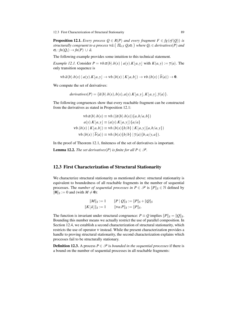12.3 First Characterization of Structural Stationarity 89

**Proposition 12.1.** *Every process*  $Q \in R(P)$  *and every fragment*  $F \in fg(rf(Q))$  *is structurally congruent to a process* ν*a*˜. Π*i*∈*<sup>I</sup> Qi*σ*<sup>i</sup> where Q<sup>i</sup>* ∈ *derivatives*(*P*) *and*  $\sigma_i$ : *fn*(*Qi*) → *fn*(*P*) ∪  $\tilde{a}$ .

The following example provides some intuition to this technical statement.

*Example 12.1.* Consider  $P = \nu b.\overline{a}\langle b \rangle.b(x) | a(y).K|a,y$  with  $K(a, y) := \overline{y}\langle a \rangle$ . The only transition sequence is

$$
vb.\overline{a}\langle b\rangle.b(x) | a(y).K[a,y] \rightarrow vb.(b(x) | K[a,b]) \rightarrow vb.(b(x) | \overline{b}\langle a\rangle) \rightarrow 0.
$$

We compute the set of derivatives:

$$
derivatives(P) = {\overline{a}\langle b \rangle.b(x), b(x), a(y).K[a,y], K[a,y], \overline{y}\langle a \rangle }
$$

The following congruences show that every reachable fragment can be constructed from the derivatives as stated in Proposition 12.1:

$$
\mathbf{v}b.\overline{a}\langle b\rangle.b(x) \equiv \mathbf{v}b.\left((\overline{a}\langle b\rangle.b(x))\{a,b/a,b\}\right)
$$

$$
a(y).K\left[a,y\right] \equiv (a(y).K\left[a,y\right])\{a/a\}
$$

$$
\mathbf{v}b.(b(x) | K\left[a,b\right]) \equiv \mathbf{v}b.(b(x)\{b/b\} | K\left[a,y\right]\{a,b/a,y\})
$$

$$
\mathbf{v}b.(b(x) | \overline{b}\langle a\rangle) \equiv \mathbf{v}b.(b(x)\{b/b\} | \overline{y}\langle a\rangle\{b,a/y,a\}).
$$

In the proof of Theorem 12.1, finiteness of the set of derivatives is important.

**Lemma 12.2.** *The set derivatives*( $P$ ) *is finite for all*  $P \in \mathcal{P}$ *.* 

### 12.3 First Characterization of Structural Stationarity

We characterize structural stationarity as mentioned above: structural stationarity is equivalent to boundedness of all reachable fragments in the number of sequential processes. The *number of sequential processes in*  $P \in \mathcal{P}$  is  $||P||_S \in \mathbb{N}$  defined by  $||0||_S := 0$  and (with  $M \neq 0$ ):

$$
||M||_S := 1 \t ||P||Q||_S := ||P||_S + ||Q||_S
$$
  

$$
||K[\tilde{a}]||_S := 1 \t ||va.P||_S := ||P||_S.
$$

The function is invariant under structural congruence:  $P \equiv Q$  implies  $||P||_S = ||Q||_S$ . Bounding this number means we actually restrict the use of parallel composition. In Section 12.4, we establish a second characterization of structural stationarity, which restricts the use of operator ν instead. While the present characterization provides a handle to proving structural stationarity, the second characterization explains which processes fail to be structurally stationary.

**Definition 12.3.** A process  $P \in \mathcal{P}$  is *bounded in the sequential processes* if there is a bound on the number of sequential processes in all reachable fragments: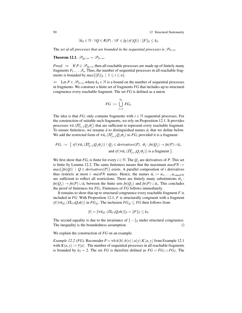90 12 Structural Stationarity

$$
\exists k_S \in \mathbb{N} : \forall Q \in R(P) : \forall F \in fg \left( rf(Q) \right) : \|F\|_S \leq k_S.
$$

The *set of all processes that are bounded in the sequential processes is*  $\mathscr{P}_{S\leq\infty}$ *.* 

**Theorem 12.1.**  $\mathscr{P}_{fg<\infty}=\mathscr{P}_{S<\infty}$ .

*Proof.*  $\Rightarrow$  If  $P \in \mathcal{P}_{fg\lt \infty}$  then all reachable processes are made up of finitely many fragments  $F_1, \ldots, F_n$ . Thus, the number of sequential processes in all reachable fragments is bounded by  $max\{\|F_i\|_S \mid 1 \le i \le n\}.$ 

⇐ Let *P* ∈ P*S*<<sup>∞</sup> where *k<sup>S</sup>* ∈ N is a bound on the number of sequential processes in fragments. We construct a finite set of fragments *FG* that includes up to structural congruence every reachable fragment. The set *FG* is defined as a union

$$
FG := \bigcup_{i=1}^{k_S} FG_i.
$$

The idea is that  $FG_i$  only contains fragments with  $i \in \mathbb{N}$  sequential processes. For the construction of suitable such fragments, we rely on Proposition 12.1. It provides processes  $v\tilde{a}.(\Pi_{j=1}^{i}Q_j\sigma'_j)$  that are sufficient to represent every reachable fragment. To ensure finiteness, we rename  $\tilde{a}$  to distinguished names  $\tilde{u}_i$  that we define below. We add the restricted form of  $v\tilde{u}_i$ .  $(\Pi_{j=1}^i Q_j \sigma_j)$  to  $FG_i$  provided it is a fragment:

$$
FG_i := \left\{ rf(\nu \tilde{u}_i.(\Pi_{j=1}^i Q_j \sigma_j)) \mid Q_j \in derivatives(P), \sigma_j : fn(Q_j) \rightarrow fn(P) \cup \tilde{u}_i, \text{and } rf(\nu \tilde{u}_i.(\Pi_{j=1}^i Q_j \sigma_j)) \text{ is a fragment } \right\}.
$$

We first show that  $FG_i$  is finite for every  $i \in \mathbb{N}$ . The  $Q_j$  are derivatives of P. This set is finite by Lemma 12.2. The same finiteness means that the maximum  $maxFN :=$  $max\{|fn(Q)| \mid Q \in derivatives(P)\}$  exists. A parallel composition of *i* derivatives thus restricts at most *i* ·  $maxFN$  names. Hence, the names  $\tilde{u}_i := u_1, \ldots, u_i$ <sub>*maxFN*</sub> are sufficient to reflect all restrictions. There are finitely many substitutions  $\sigma_j$ : *fn*( $Q_j$ ) → *fn*(*P*) ∪  $\tilde{u}_i$  between the finite sets *fn*( $Q_j$ ) and *fn*(*P*) ∪  $\tilde{u}_i$ . This concludes the proof of finiteness for *FG<sup>i</sup>* . Finiteness of *FG* follows immediately.

It remains to show that up to structural congruence every reachable fragment *F* is included in *FG*. With Proposition 12.1, *F* is structurally congruent with a fragment *rf*( $v\tilde{u}_{|I|}$ .( $\Pi_{i\in I}Q_i\sigma_i$ )) in  $FG_{|I|}$ . The inclusion  $FG_{|I|} \subseteq FG$  then follows from

$$
|I|=\|\mathbf{v}\tilde{u}_{|I|}.( \Pi_{i\in I}Q_i\sigma_i)\|_S=\|F\|_S\leq k_S.
$$

The second equality is due to the invariance of  $\| - \|_S$  under structural congruence. The inequality is the boundedness assumption.  $\Box$ 

We explain the construction of *FG* on an example.

*Example 12.2 (FG).* Reconsider  $P = \nu b.\overline{a}\langle b \rangle b(x) |a(y).K|a, y$  from Example 12.1 with  $K(a, y) := \overline{y}\langle a \rangle$ . The number of sequential processes in all reachable fragments is bounded by  $k_S = 2$ . The set *FG* is therefore defined as  $FG = FG_1 \cup FG_2$ . The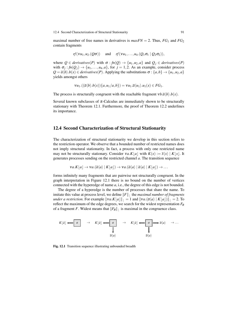maximal number of free names in derivatives is  $maxFN = 2$ . Thus,  $FG_1$  and  $FG_2$ contain fragments

$$
rf(vu_1, u_2.(Q\sigma))
$$
 and  $rf(vu_1,..., u_4.(Q_1\sigma_1 | Q_2\sigma_2)),$ 

where  $Q \in$  *derivatives*(*P*) with  $\sigma : f_n(Q) \to \{u_1, u_2, a\}$  and  $Q_j \in$  *derivatives*(*P*) with  $\sigma_j : f_n(Q_j) \to \{u_1, \ldots, u_4, a\}$ , for  $j = 1, 2$ . As an example, consider process  $Q = \overline{a} \langle b \rangle \cdot b \langle x \rangle \in$  *derivatives*(*P*). Applying the substitutions  $\sigma : \{a, b\} \rightarrow \{u_1, u_2, a\}$ yields amongst others

$$
\mathsf{v} u_1.((\overline{a}\langle b\rangle.b(x))\{a,u_1/a,b\}) = \mathsf{v} u_1.\overline{a}\langle u_1\rangle.u_1(x) \in FG_1.
$$

The process is structurally congruent with the reachable fragment  $v \cdot b \cdot \overline{a} \langle b \rangle \cdot b \langle x \rangle$ .

Several known subclasses of  $\pi$ -Calculus are immediately shown to be structurally stationary with Theorem 12.1. Furthermore, the proof of Theorem 12.2 underlines its importance.

### 12.4 Second Characterization of Structural Stationarity

The characterization of structural stationarity we develop in this section refers to the restriction operator. We observe that a bounded number of restricted names does not imply structural stationarity. In fact, a process with only one restricted name may not be structurally stationary. Consider  $\forall a.K|a|$  with  $K(x) := \overline{x}\langle x \rangle |K|x|$ . It generates processes sending on the restricted channel *a*. The transition sequence

$$
va.K\lfloor a\rfloor \to va.(\overline{a}\langle a\rangle \mid K\lfloor a\rfloor) \to va.(\overline{a}\langle a\rangle \mid \overline{a}\langle a\rangle \mid K\lfloor a\rfloor) \to \dots
$$

forms infinitely many fragments that are pairwise not structurally congruent. In the graph interpretation in Figure 12.1 there is no bound on the number of vertices connected with the hyperedge of name *a*, i.e., the degree of this edge is not bounded.

The degree of a hyperedge is the number of processes that share the name. To imitate this value at process level, we define ||*F*|| <sup>|</sup> the *maximal number of fragments under a restriction*. For example  $||\mathbf{v}a.K[a]||_1 = 1$  and  $||\mathbf{v}a.(\overline{a}\langle a \rangle | K[a])||_1 = 2$ . To reflect the maximum of the edge degrees, we search for the widest representation *F<sup>B</sup>* of a fragment *F*. Widest means that  $||F_B||$  is maximal in the congruence class.

$$
K[\tilde{a}] \longleftarrow a \longrightarrow K[\tilde{a}] \longleftarrow a \longrightarrow K[\tilde{a}] \longrightarrow \begin{array}{c} \downarrow \\ \downarrow \\ \downarrow \\ \bar{a}\langle a \rangle \end{array} \longrightarrow K[\tilde{a}] \longleftarrow a \longrightarrow \bar{a}\langle a \rangle \longrightarrow \cdots
$$

Fig. 12.1 Transition sequence illustrating unbounded breadth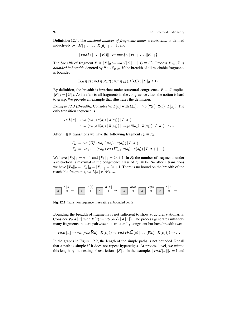Definition 12.4. The *maximal number of fragments under a restriction* is defined inductively by  $||M||_1 := 1$ ,  $||K[\tilde{a}]||_1 := 1$ , and

$$
||\mathbf{v}a.(F_1 \mid \ldots \mid F_n)||_+ := max\{n, ||F_1||_+,\ldots,||F_n||_+\}.
$$

The *breadth* of fragment *F* is  $||F||_B := max{||G||_1 \mid G \equiv F}$ . Process  $P \in \mathcal{P}$  is *bounded in breadth*, denoted by  $P \in \mathcal{P}_{B<\infty}$ , if the breadth of all reachable fragments is bounded:

$$
\exists k_B \in \mathbb{N} : \forall Q \in R(P) : \forall F \in fg \left( rf(Q) \right) : \|F\|_B \leq k_B.
$$

By definition, the breadth is invariant under structural congruence:  $F \equiv G$  implies  $||F||_B = ||G||_B$ . As it refers to all fragments in the congruence class, the notion is hard to grasp. We provide an example that illustrates the definition.

*Example 12.3 (Breadth).* Consider  $va.L|a|$  with  $L(x) := vb.(\bar{x}\langle b\rangle | \bar{x}\langle b\rangle | L|x|)$ . The only transition sequence is

$$
\begin{aligned} \mathsf{v}a.L[a] &\rightarrow \mathsf{v}a.(\mathsf{v}a_1.(\overline{a}\langle a_1\rangle \mid \overline{a}\langle a_1\rangle) \mid L[a]) \\ &\rightarrow \mathsf{v}a.(\mathsf{v}a_1.(\overline{a}\langle a_1\rangle \mid \overline{a}\langle a_1\rangle) \mid \mathsf{v}a_2.(\overline{a}\langle a_2\rangle \mid \overline{a}\langle a_2\rangle) \mid L[a]) \rightarrow \dots \end{aligned}
$$

After *n* ∈ N transitions we have the following fragment  $F_D \equiv F_B$ :

$$
F_D = \nu a. ( \Pi_{i=1}^n \nu a_i. (\overline{a} \langle a_i \rangle | \overline{a} \langle a_i \rangle) | L[a])
$$
  
\n
$$
F_B = \nu a_1. ( \ldots ( \nu a_n. (\nu a. ( \Pi_{i=1}^n ( \overline{a} \langle a_i \rangle | \overline{a} \langle a_i \rangle) | L[a])) ) \ldots ).
$$

We have  $||F_D||_1 = n + 1$  and  $||F_B||_1 = 2n + 1$ . In  $F_B$  the number of fragments under a restriction is maximal in the congruence class of  $F_D \equiv F_B$ . So after *n* transitions we have  $||F_D||_B = ||F_B||_B = ||F_B||_1 = 2n + 1$ . There is no bound on the breadth of the reachable fragments,  $\forall a.L \mid a \mid \notin \mathscr{P}_{B \leq \infty}$ .

*a K*b*a*˜c → *a b*h*a*i *b K*b*b*c → *a b*h*a*i *b c*h*b*i *c K*b*c*c → ...

Fig. 12.2 Transition sequence illustrating unbounded depth

Bounding the breadth of fragments is not sufficient to show structural stationarity. Consider  $\forall a \cdot K[a]$  with  $K(x) := \forall b \cdot (\overline{b}\langle x \rangle \mid K[b])$ . The process generates infinitely many fragments that are pairwise not structurally congruent but have breadth two:

$$
\mathsf{v} a.K\lfloor a\rfloor \to \mathsf{v} a.(\mathsf{v} b.(b\langle a\rangle \mid K\lfloor b\rfloor)) \to \mathsf{v} a.(\mathsf{v} b.(b\langle a\rangle \mid \mathsf{v} c.(\overline{c}\langle b\rangle \mid K\lfloor c\rfloor))) \to \dots
$$

In the graphs in Figure 12.2, the length of the simple paths is not bounded. Recall that a path is simple if it does not repeat hyperedges. At process level, we mimic this length by the nesting of restrictions  $||F||_V$ . In the example,  $||Va.K|a||_V = 1$  and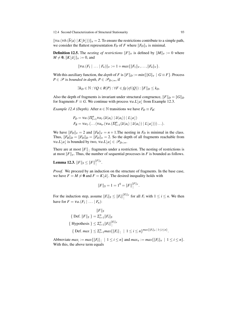12.4 Second Characterization of Structural Stationarity 93

 $||va.(vb.(\overline{b}\langle a \rangle | K|b|))||_v = 2$ . To ensure the restrictions contribute to a simple path, we consider the flattest representation  $F_D$  of  $F$  where  $||F_D||_V$  is minimal.

**Definition 12.5.** The *nesting of restrictions*  $||F||_V$  is defined by  $||M||_V := 0$  where  $M \neq 0$ ,  $||K|\tilde{a}||_{V} := 0$ , and

$$
||\mathbf{v}a.(F_1 \mid \ldots \mid F_n)||_v := 1 + \max\{||F_1||_v, \ldots, ||F_n||_v\}.
$$

With this auxiliary function, the *depth* of *F* is  $||F||_D := min{||G||_V | G \equiv F}$ . Process *P* ∈  $\mathcal{P}$  is *bounded in depth*, *P* ∈  $\mathcal{P}_{D \leq \infty}$ , if

$$
\exists k_D \in \mathbb{N} : \forall Q \in R(P) : \forall F \in fg \left( rf(Q) \right) : ||F||_D \leq k_D.
$$

Also the depth of fragments is invariant under structural congruence,  $||F||_D = ||G||_D$ for fragments  $F \equiv G$ . We continue with process  $\forall a L |a|$  from Example 12.3.

*Example 12.4 (Depth).* After  $n \in \mathbb{N}$  transitions we have  $F_D \equiv F_B$ :

$$
F_D = \nu a. (\Pi_{i=1}^n \nu a_i. (\overline{a} \langle a_i \rangle \mid \overline{a} \langle a_i \rangle) \mid L\lfloor a \rfloor)
$$
  
\n
$$
F_B = \nu a_1. (\ldots (\nu a_n. (\nu a. (\Pi_{i=1}^n (\overline{a} \langle a_i \rangle \mid \overline{a} \langle a_i \rangle) \mid L\lfloor a \rfloor))) \ldots).
$$

We have  $||F_D||_v = 2$  and  $||F_B||_v = n + 1$ . The nesting in  $F_D$  is minimal in the class. Thus,  $||F_B||_D = ||F_D||_D = ||F_D||_V = 2$ . So the depth of all fragments reachable from *va.L*[*a*] is bounded by two,  $va.L[a] \in \mathcal{P}_{D<\infty}$ .

There are at most  $||F||_1$  fragments under a restriction. The nesting of restrictions is at most  $||F||_V$ . Thus, the number of sequential processes in *F* is bounded as follows.

Lemma 12.3.  $||F||_S \leq ||F||_{}^{\Vert F \Vert_V}.$ 

*Proof.* We proceed by an induction on the structure of fragments. In the base case, we have  $F = M \neq 0$  and  $F = K | \tilde{a} |$ . The desired inequality holds with

$$
||F||_S = 1 = 1^0 = ||F||_{}^{|F||_V}.
$$

For the induction step, assume  $||F_i||_S \le ||F_i||^{||F_i||_V}$  for all  $F_i$  with  $1 \le i \le n$ . We then have for  $F = va.(F_1 \mid ... \mid F_n)$ :

$$
||F||_S
$$
  
{ Def.  $||F||_S$ } =  $\sum_{i=1}^n ||F_i||_S$   
{ Hypothesis }  $\leq \sum_{i=1}^n ||F_i||_+^{||F_i||_V}$   
{ Def. max }  $\leq \sum_{i=1}^n max{||F_i||_+ | 1 \leq i \leq n}$   $max{||F_i||_v | 1 \leq i \leq n}$ .

Abbreviate  $max_{i} := max\{\|F_i\| \mid 1 \leq i \leq n\}$  and  $max_{v} := max\{\|F_i\|_{v} \mid 1 \leq i \leq n\}.$ With this, the above term equals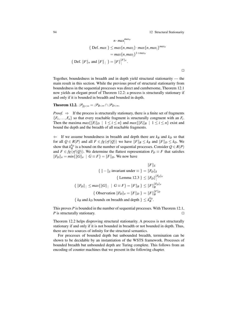94 12 Structural Stationarity

 $\Box$ 

$$
n \cdot max_{\parallel}^{max_{\nu}}
$$
  
{ Def. max }  $\leq max\{n, max_{\parallel}\} \cdot max\{n, max_{\parallel}\}^{max_{\nu}}$   
=  $max\{n, max_{\parallel}\}^{1 + max_{\nu}}$   
{ Def. ||F||<sub>\nu</sub> and ||F||<sub>\parallel</sub> } = ||F||\_{\parallel}^{||F||\_{\nu}}.

Together, boundedness in breadth and in depth yield structural stationarity — the main result in this section. While the previous proof of structural stationarity from boundedness in the sequential processes was direct and cumbersome, Theorem 12.1 now yields an elegant proof of Theorem 12.2: a process is structurally stationary if and only if it is bounded in breadth and bounded in depth.

**Theorem 12.2.**  $\mathscr{P}_{fg<\infty}=\mathscr{P}_{B<\infty}\cap\mathscr{P}_{D<\infty}$ .

*Proof.*  $\Rightarrow$  If the process is structurally stationary, there is a finite set of fragments  ${F_1, \ldots, F_n}$  so that every reachable fragment is structurally congruent with an  $F_i$ . Then the maxima  $max\{\|F_i\|_D \mid 1 \le i \le n\}$  and  $max\{\|F_i\|_B \mid 1 \le i \le n\}$  exist and bound the depth and the breadth of all reachable fragments.

 $\Leftarrow$  If we assume boundedness in breadth and depth there are  $k_B$  and  $k_D$  so that for all  $Q \in R(P)$  and all  $F \in fg(rf(Q))$  we have  $||F||_B \le k_B$  and  $||F||_D \le k_D$ . We show that  $k_B^{k_D}$  is a bound on the number of sequential processes. Consider  $Q \in R(P)$ and  $F \in fg(rf(Q))$ . We determine the flattest representation  $F_D \equiv F$  that satisfies  $||F_D||_v = min{||G||_v | G \equiv F} = ||F||_D$ . We now have

$$
||F||_S
$$
  
\n
$$
\{ || - ||_S \text{ invariant under } \equiv \} = ||F_D||_S
$$
  
\n
$$
\{ \text{ Lemma 12.3 } \} \leq ||F_D||^{|F_D||_V}
$$
  
\n
$$
\{ ||F_D||_1 \leq max\{ ||G||_1 \mid G \equiv F \} = ||F||_B \} \leq ||F||_B^{|F_D||_V}
$$
  
\n
$$
\{ \text{Observation } ||F_D||_V = ||F||_D \} = ||F||_B^{|F||_D}
$$
  
\n
$$
\{ k_B \text{ and } k_D \text{ bounds on breadth and depth } \} \leq k_B^k.
$$

This proves *P* is bounded in the number of sequential processes. With Theorem 12.1, *P* is structurally stationary.

Theorem 12.2 helps disproving structural stationarity. A process is not structurally stationary if and only if it is not bounded in breadth or not bounded in depth. Thus, there are two sources of infinity for the structural semantics.

For processes of bounded depth but unbounded breadth, termination can be shown to be decidable by an instantiation of the WSTS framework. Processes of bounded breadth but unbounded depth are Turing complete. This follows from an encoding of counter machines that we present in the following chapter.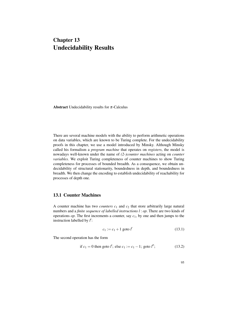# Chapter 13 Undecidability Results

Abstract Undecidability results for  $\pi$ -Calculus

There are several machine models with the ability to perform arithmetic operations on data variables, which are known to be Turing complete. For the undecidability proofs in this chapter, we use a model introduced by Minsky. Although Minsky called his formalism a *program machine* that operates on *registers*, the model is nowadays well-known under the name of *(2-)counter machines* acting on *counter variables*. We exploit Turing completeness of counter machines to show Turing completeness for processes of bounded breadth. As a consequence, we obtain undecidability of structural stationarity, boundedness in depth, and boundedness in breadth. We then change the encoding to establish undecidability of reachability for processes of depth one.

# 13.1 Counter Machines

A counter machine has two *counters c*<sup>1</sup> and *c*<sup>2</sup> that store arbitrarily large natural numbers and a *finite sequence of labelled instructions l* : *op*. There are two kinds of operations *op*. The first increments a counter, say *c*1, by one and then jumps to the instruction labelled by  $l'$ :

$$
c_1 := c_1 + 1 \text{ goto } l' \tag{13.1}
$$

The second operation has the form

if 
$$
c_1 = 0
$$
 then got  $l'$ ; else  $c_1 := c_1 - 1$ ; got  $l''$ ; (13.2)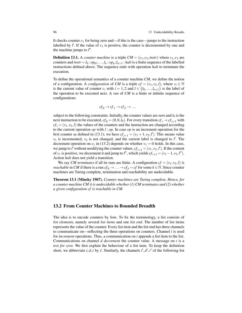It checks counter  $c_1$  for being zero and—if this is the case—jumps to the instruction labelled by  $l'$ . If the value of  $c_1$  is positive, the counter is decremented by one and the machine jumps to  $l''$ .

**Definition 13.1.** A *counter machine* is a triple  $CM = (c_1, c_2, instr)$  where  $c_1, c_2$  are counters and  $instr = l_0 : op_0; \ldots, l_n : op_n; l_{n+1} : halt$  is a finite sequence of the labelled instructions defined above. The sequence ends with operation *halt* to terminate the execution.

To define the operational semantics of a counter machine *CM*, we define the notion of a configuration. A *configuration* of *CM* is a triple  $cf = (v_1, v_2, l)$ , where  $v_i \in \mathbb{N}$ is the current value of counter  $c_i$  with  $i = 1,2$  and  $l \in \{l_0, \ldots, l_{n+1}\}$  is the label of the operation to be executed next. A *run* of *CM* is a finite or infinite sequence of configurations

$$
cf_0 \to cf_1 \to cf_2 \to \dots
$$

subject to the following constraints. Initially, the counter values are zero and  $l_0$  is the next instruction to be executed,  $cf_0 = (0,0,l_0)$ . For every transition  $cf_i \rightarrow cf_{i+1}$  with  $cf_i = (v_1, v_2, l)$  the values of the counters and the instruction are changed according to the current operation *op* with *l* : *op*. In case *op* is an increment operation for the first counter as defined in (13.1), we have  $cf_{i+1} = (v_1 + 1, v_2, l')$ . This means value  $v_1$  is incremented,  $v_2$  is not changed, and the current label is changed to  $l'$ . The decrement operation on  $c_1$  in (13.2) depends on whether  $v_1 = 0$  holds. In this case, we jump to *l'* without modifying the counter values,  $cf_{i+1} = (v_1, v_2, l')$ . If the content of *c*<sub>1</sub> is positive, we decrement it and jump to *l''*, which yields  $cf_{i+1} = (v_1 - 1, v_2, l'')$ . Action *halt* does not yield a transition.

We say *CM terminates* if all its runs are finite. A configuration  $cf = (v_1, v_2, l)$  is *reachable* in *CM* if there is a run  $cf_0 \rightarrow \ldots \rightarrow cf_k = cf$  for some  $k \in \mathbb{N}$ . Since counter machines are Turing complete, termination and reachability are undecidable.

Theorem 13.1 (Minsky 1967). *Counter machines are Turing complete. Hence, for a counter machine CM it is undecidable whether (1) CM terminates and (2) whether a given configuration cf is reachable in CM.*

# 13.2 From Counter Machines to Bounded Breadth

The idea is to encode counters by lists. To fix the terminology, a list consists of *list elements*, namely several *list items* and one *list end*. The number of list items represents the value of the counter. Every list item and the list end has three channels to communicate on—reflecting the three operations on counters. Channel  $i$  is used for *increment* operations. Thus, a communication on *i* appends a list item to the list. Communications on channel *d decrement* the counter value. A message on *t* is a *test for zero*. We first explain the behaviour of a list item. To keep the definition short, we abbreviate  $i, d, t$  by  $\tilde{c}$ . Similarly, the channels  $i', d', t'$  of the following list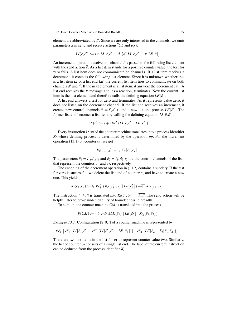#### 13.2 From Counter Machines to Bounded Breadth 97

element are abbreviated by  $\tilde{c}$ . Since we are only interested in the channels, we omit parameters *x* in send and receive actions  $\overline{i}\langle x \rangle$  and  $i(x)$ :

$$
LI(\tilde{c}, \tilde{c}') := i.\overline{i}'.LI[\tilde{c}, \tilde{c}'] + d.(\overline{d}'.LI[\tilde{c}, \tilde{c}'] + \overline{i}'.LE[\tilde{c}]).
$$

An increment operation received on channel *i* is passed to the following list element with the send action  $\overline{i'}$ . As a list item stands for a positive counter value, the test for zero fails. A list item does not communicate on channel *t*. If a list item receives a decrement, it contacts the following list element. Since it is unknown whether this is a list item *LI* or a list end *LE*, the current list item tries to communicate on both channels  $\overline{d}^{\prime}$  and  $\overline{t}^{\prime}$ . If the next element is a list item, it answers the decrement call. A list end receives the  $\bar{t}$ <sup> $\bar{t}$ </sup> message and, as a reaction, terminates. Now the current list item is the last element and therefore calls the defining equation  $LE[\tilde{c}]$ .

A list end answers a test for zero and terminates. As it represents value zero, it does not listen on the decrement channel. If the list end receives an increment, it creates new control channels  $\tilde{c}' = i', d', t'$  and a new list end process  $LE[\tilde{c}']$ . The former list end becomes a list item by calling the defining equation  $LI[\tilde{c}, \tilde{c}$ <sup> $\tilde{c}]$ </sup>:

$$
LE(\tilde{c}) := t + i \cdot V \tilde{c}' \cdot (LI\lfloor \tilde{c}, \tilde{c}' \rfloor \mid LE\lfloor \tilde{c}' \rfloor).
$$

Every instruction *l* : *op* of the counter machine translates into a process identifier  $K_l$  whose defining process is determined by the operation  $op$ . For the increment operation (13.1) on counter  $c_1$ , we get

$$
K_l(\tilde{c}_1,\tilde{c}_2):=\overline{i_1}.K_{l'}\lfloor \tilde{c}_1,\tilde{c}_2\rfloor.
$$

The parameters  $\tilde{c}_1 = i_1, d_1, t_1$  and  $\tilde{c}_2 = i_2, d_2, t_2$  are the control channels of the lists that represent the counters  $c_1$  and  $c_2$ , respectively.

The encoding of the decrement operation in (13.2) contains a subtlety. If the test for zero is successful, we delete the list end of counter *c*<sup>1</sup> and have to create a new one. This yields

$$
K_l(\tilde{c}_1,\tilde{c}_2):=\overline{t_1}.v\tilde{c}'_1.\left(K_{l'}\lfloor \tilde{c}'_1,\tilde{c}_2\rfloor\mid LE\lfloor \tilde{c}'_1\rfloor\right)+\overline{d_1}.K_{l''}\lfloor \tilde{c}_1,\tilde{c}_2\rfloor.
$$

The instruction *l* : *halt* is translated into  $K_l(\tilde{c}_1, \tilde{c}_2) := \overline{halt}$ . The send action will be helpful later to prove undecidability of boundedness in breadth.

To sum up, the counter machine *CM* is translated into the process

$$
P(CM) := v\tilde{c}_1.v\tilde{c}_2.(LE\lfloor \tilde{c}_1 \rfloor |LE\lfloor \tilde{c}_2 \rfloor |K_{l_0}\lfloor \tilde{c}_1,\tilde{c}_2 \rfloor)
$$

*Example 13.1.* Configuration  $(2,0,l)$  of a counter machine is represented by

$$
\tilde{\nu \sigma_1}.\big[\tilde{\nu \sigma'_1}. \big( \tilde{\mathcal{U}} \big[\tilde{c}_1,\tilde{c}'_1\big] \mid \tilde{\nu \sigma''_1}. \big( \tilde{\mathcal{U}} \big[\tilde{c}'_1,\tilde{c}''_1\big] \mid L E\big[\tilde{c}''_1\big]\big)\big)\mid \tilde{\nu \sigma_2}. \big( L E\big[\tilde{c}_2\big] \mid K_l[\tilde{c}_1,\tilde{c}_2\big]\big)\big].
$$

There are two list items in the list for  $c_1$  to represent counter value two. Similarly, the list of counter  $c_2$  consists of a single list end. The label of the current instruction can be deduced from the process identifier *K<sup>l</sup>* .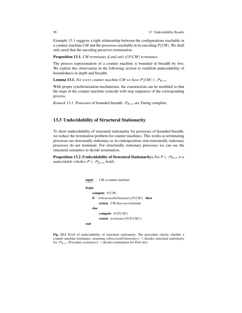Example 13.1 suggests a tight relationship between the configurations reachable in a counter machine *CM* and the processes reachable in its encoding *P*(*CM*). We shall only need that the encoding preserves termination.

Proposition 13.1. *CM terminates if and only if P*(*CM*) *terminates.*

The process representation of a counter machine is bounded in breadth by two. We exploit this observation in the following section to establish undecidability of boundedness in depth and breadth.

**Lemma 13.1.** *For every counter machine CM we have*  $P(CM) \in \mathcal{P}_{B \leq \infty}$ *.* 

With proper synchronization mechanisms, the construction can be modified so that the steps of the counter machine coincide with step sequences of the corresponding process.

*Remark 13.1.* Processes of bounded breadth  $\mathscr{P}_{B<\infty}$  are Turing complete.

# 13.3 Undecidability of Structural Stationarity

To show undecidability of structural stationarity for processes of bounded breadth, we reduce the termination problem for counter machines. This works as terminating processes are structurally stationary or, in contraposition, non-structurally stationary processes do not terminate. For structurally stationary processes we can use the structural semantics to decide termination.

**Proposition 13.2** (Undecidability of Structural Stationarity). *For*  $P \in \mathscr{P}_{B \lt \infty}$  *it is undecidable whether*  $P \in \mathscr{P}_{fg < \infty}$  *holds.* 

```
input : CM a counter machine
begin
    compute P(CM)
    if ¬isStructurallyStationary(P(CM)) then
        return CM does not terminate
    else
        compute N(P(CM))
        return terminates(N(P(CM)))
end
```
Fig. 13.1 Proof of undecidability of structural stationarity. The procedure checks whether a counter machine terminates, assuming *isStructurallyStationary*(−) decides structural stationarity for P*B*<∞. Procedure *terminates*(−) decides termination for Petri nets.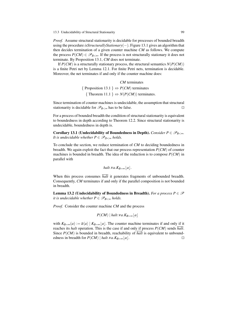*Proof.* Assume structural stationarity is decidable for processes of bounded breadth using the procedure *isStructurallyStationary*(−). Figure 13.1 gives an algorithm that then decides termination of a given counter machine *CM* as follows. We compute the process  $P(CM) \in \mathscr{P}_{B<\infty}$ . If the process is not structurally stationary it does not terminate. By Proposition 13.1, *CM* does not terminate.

If  $P(CM)$  is a structurally stationary process, the structural semantics  $N(P(CM))$ is a finite Petri net by Lemma 12.1. For finite Petri nets, termination is decidable. Moreover, the net terminates if and only if the counter machine does:

> *CM* terminates  $\{$  Proposition 13.1  $\} \Leftrightarrow P(CM)$  terminates { Theorem 11.1 }  $\Leftrightarrow N(P(CM))$  terminates.

Since termination of counter machines is undecidable, the assumption that structural stationarity is decidable for  $\mathscr{P}_{B<\infty}$  has to be false.

For a process of bounded breadth the condition of structural stationarity is equivalent to boundedness in depth according to Theorem 12.2. Since structural stationarity is undecidable, boundedness in depth is.

Corollary 13.1 (Undecidability of Boundedness in Depth). *Consider P*  $\in \mathscr{P}_{B<\infty}$ . *It is undecidable whether*  $P \in \mathscr{P}_{D \leq \infty}$  *holds.* 

To conclude the section, we reduce termination of *CM* to deciding boundedness in breadth. We again exploit the fact that our process representation *P*(*CM*) of counter machines is bounded in breadth. The idea of the reduction is to compose *P*(*CM*) in parallel with

*halt.va.K<sub>B=∞</sub>* 
$$
\lfloor a \rfloor
$$
*.*

When this process consumes *halt* it generates fragments of unbounded breadth. Consequently, *CM* terminates if and only if the parallel composition is not bounded in breadth.

Lemma 13.2 (Undecidability of Boundedness in Breadth). *For a process P*  $\in \mathscr{P}$ *it is undecidable whether*  $P \in \mathscr{P}_{B \leq \infty}$  holds.

*Proof.* Consider the counter machine *CM* and the process

$$
P(CM) | halt.va.K_{B=\infty}[a]
$$

with  $K_{B=\infty}(a) := \overline{a}\langle a \rangle \mid K_{B=\infty}[a]$ . The counter machine terminates if and only if it reaches its *halt* operation. This is the case if and only if process *P*(*CM*) sends *halt*. Since *P*(*CM*) is bounded in breadth, reachability of *halt* is equivalent to unboundedness in breadth for  $P(CM) | halt.va.K_{B=\infty} | a].$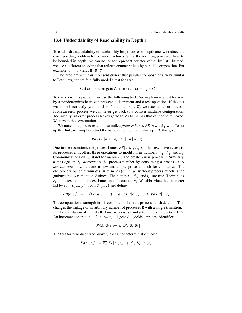# 13.4 Undecidability of Reachability in Depth 1

To establish undecidability of reachability for processes of depth one, we reduce the corresponding problem for counter machines. Since the resulting processes have to be bounded in depth, we can no longer represent counter values by lists. Instead, we use a different encoding that reflects counter values by parallel composition. For example,  $c_1 = 3$  yields  $\overline{a} | \overline{a} | \overline{a}$ .

The problem with this representation is that parallel compositions, very similar to Petri nets, cannot faithfully model a test for zero:

$$
l
$$
: if  $c_1 = 0$  then got  $l'$ ; else  $c_1 := c_1 - 1$  got  $l''$ ;

To overcome this problem, we use the following trick. We implement a test for zero by a nondeterministic choice between a decrement and a test operation. If the test was done incorrectly (we branch to  $l'$  although  $c_1 > 0$ ), we reach an error process. From an error process we can never get back to a counter machine configuration. Technically, an error process leaves garbage  $va.(\bar{a} | \bar{a} | \bar{a})$  that cannot be removed. We turn to the construction.

We attach the processes  $\bar{a}$  to a so-called *process bunch PB* $[a, i_c, d_{c_1}, t_{c_1}]$ . To set up this link, we simply restrict the name *a*. For counter value  $c_1 = 3$ , this gives

$$
va.(PB\lfloor a, i_{c_1}, d_{c_1}, t_{c_1}\rfloor \mid \overline{a} \mid \overline{a} \mid \overline{a}).
$$

Due to the restriction, the process bunch  $PB[a, i_{c_1}, d_{c_1}, t_{c_1}]$  has exclusive access to its processes  $\bar{a}$ . It offers three operations to modify their numbers:  $i_{c_1}$ ,  $d_{c_1}$ , and  $t_{c_1}$ . Communications on  $i_{c_1}$  stand for *increment* and create a new process  $\overline{a}$ . Similarly, a message on  $d_{c_1}$  *decrements* the process number by consuming a process  $\overline{a}$ . A *test for zero* on  $t_{c_1}$  creates a new and empty process bunch for counter  $c_1$ . The old process bunch terminates. A term  $va$ .( $\bar{a} | \bar{a} | \bar{a}$ ) without process bunch is the garbage that was mentioned above. The names  $i_{c_1}$ ,  $d_{c_1}$ , and  $t_{c_1}$  are free. Their index  $c_1$  indicates that the process bunch models counter  $c_1$ . We abbreviate the parameter list by  $\tilde{c}_x = i_{c_x}, d_{c_x}, t_{c_x}$  for  $x \in \{1, 2\}$  and define

$$
PB(a,\tilde{c}_x) := i_x.(PB\lfloor a,\tilde{c}_x\rfloor \mid \overline{a}) + d_x.a.PB\lfloor a,\tilde{c}_x\rfloor + t_x.vb.PB\lfloor b,\tilde{c}_x\rfloor.
$$

The computational strength in this construction is in the process bunch deletion. This changes the linkage of an arbitrary number of processes  $\bar{a}$  with a single transition.

The translation of the labelled instructions is similar to the one in Section 13.2. An increment operation  $l: c_1 := c_1 + 1$  goto  $l'$  yields a process identifier

$$
K_l(\tilde{c}_1,\tilde{c}_2) := \overline{i_{c_1}}.K_{l'}[\tilde{c}_1,\tilde{c}_2].
$$

The test for zero discussed above yields a nondeterministic choice

$$
K_l(\tilde{c}_1,\tilde{c}_2) := \overline{t_{c_1}}.K_{l'}[\tilde{c}_1,\tilde{c}_2] + \overline{d_{c_1}}.K_{l''}[\tilde{c}_1,\tilde{c}_2].
$$